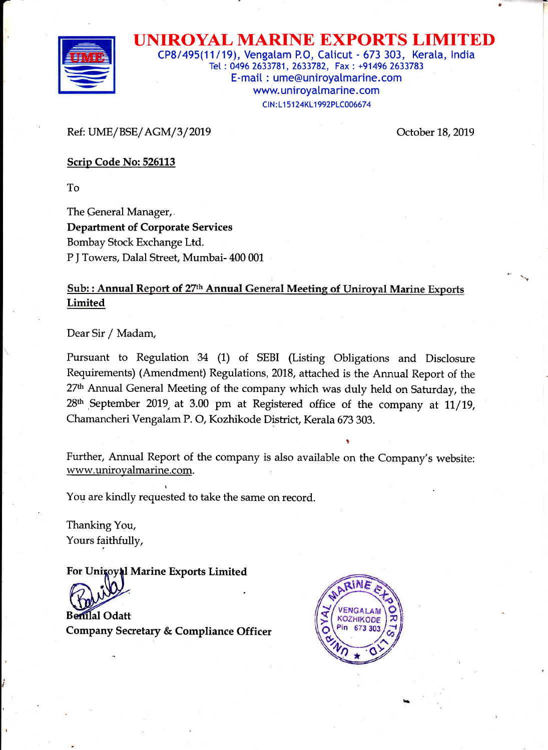

UNIROYAL MARINE EXPORTS LIMITED

CP8/495(11/19), Vengalam P.O, Calicut - 673 303, Kerala, India Tet : 0496 2633781,2633782, Fax : +91496 2633783 E-mait : ume@uniroyatmarine.com www.uniroyalmarine.com CIN:L15124KL1992PLC006674

Ref: UME/BSE/AGM/3/2019

October 18,2019

Scrip Code No:526113

To

The General Manager,. Department of Corporate Services Bombay Stock Exchange Ltd. P J Towers, Dalal Street, Mumbai- 400 001

## Sub: : Annual Report of 27<sup>th</sup> Annual General Meeting of Uniroval Marine Exports Limited

Dear Sir / Madam,

Pursuant to Regulation 34 (1) of SEBI (Listing Obligations and Disclosure Requirements) (Amendment) Regulations, 2018, attached is the Annual Report of the  $27<sup>th</sup>$  Annual General Meeting of the company which was duly held on Saturday, the  $28<sup>th</sup>$  September  $2019$  at  $3.00$  pm at Registered office of the company at  $11/19$ , Chamancheri Vengalam P. O, Kozhikode District, Kerala 673303.

Further, Annual Report of the company is also available on the Company's website: www.unirovalmarine.com.

You are kindly requested to take the same on record.

Thanking You, Yours faithfully,

For Uniroyal Marine Exports Limited

**Benilal Odatt** Company Secretary & Compliance Officer



t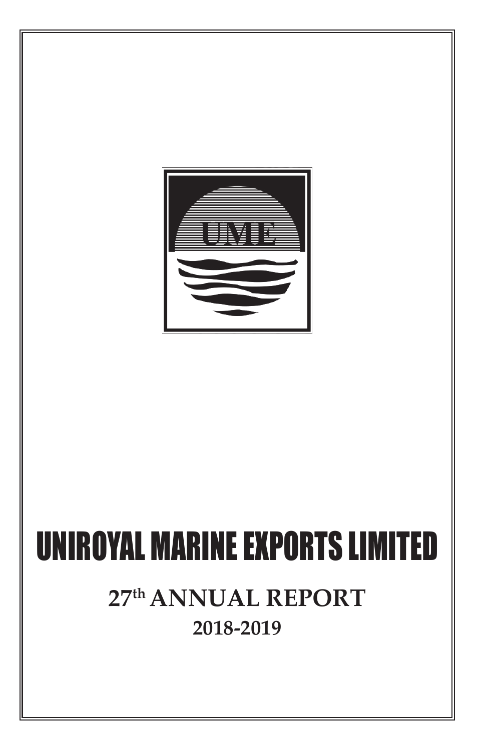

# UNIROYAL MARINE EXPORTS LIMITED

## **27th ANNUAL REPORT 2018-2019**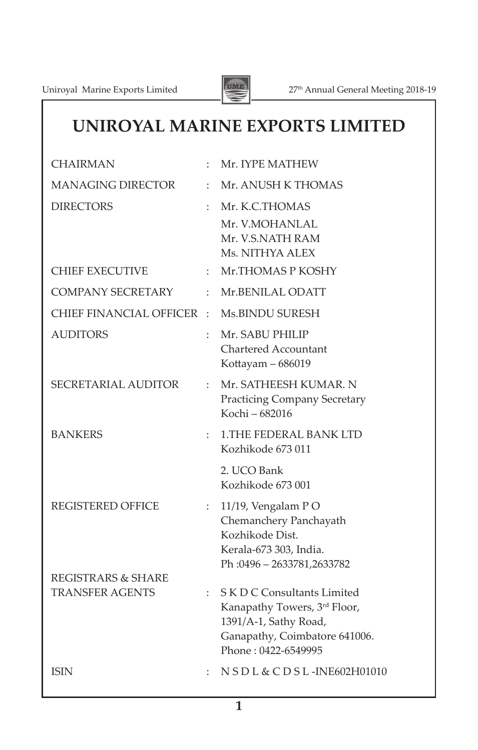

## **UNIROYAL MARINE EXPORTS LIMITED**

| <b>CHAIRMAN</b>            |                      | Mr. IYPE MATHEW                                                                                                                              |
|----------------------------|----------------------|----------------------------------------------------------------------------------------------------------------------------------------------|
| <b>MANAGING DIRECTOR</b>   | ÷                    | Mr. ANUSH K THOMAS                                                                                                                           |
| <b>DIRECTORS</b>           |                      | Mr. K.C.THOMAS<br>Mr. V.MOHANLAL<br>Mr. V.S.NATH RAM<br>Ms. NITHYA ALEX                                                                      |
| <b>CHIEF EXECUTIVE</b>     | ÷                    | Mr.THOMAS P KOSHY                                                                                                                            |
| COMPANY SECRETARY          |                      | Mr.BENILAL ODATT                                                                                                                             |
| CHIEF FINANCIAL OFFICER    | $\ddot{\cdot}$       | Ms.BINDU SURESH                                                                                                                              |
| <b>AUDITORS</b>            | t.                   | Mr. SABU PHILIP<br>Chartered Accountant<br>Kottayam – 686019                                                                                 |
| <b>SECRETARIAL AUDITOR</b> | ÷                    | Mr. SATHEESH KUMAR. N<br><b>Practicing Company Secretary</b><br>Kochi - 682016                                                               |
| <b>BANKERS</b>             | $\ddot{\phantom{a}}$ | <b>1.THE FEDERAL BANK LTD</b><br>Kozhikode 673011                                                                                            |
|                            |                      | 2. UCO Bank<br>Kozhikode 673 001                                                                                                             |
| <b>REGISTERED OFFICE</b>   | $\ddot{\phantom{0}}$ | 11/19, Vengalam PO<br>Chemanchery Panchayath<br>Kozhikode Dist.<br>Kerala-673 303, India.<br>Ph: 0496 - 2633781, 2633782                     |
| REGISTRARS & SHARE         |                      |                                                                                                                                              |
| <b>TRANSFER AGENTS</b>     | ÷.                   | S K D C Consultants Limited<br>Kanapathy Towers, 3rd Floor,<br>1391/A-1, Sathy Road,<br>Ganapathy, Coimbatore 641006.<br>Phone: 0422-6549995 |
| <b>ISIN</b>                |                      | N S D L & C D S L - INE 602 H01010                                                                                                           |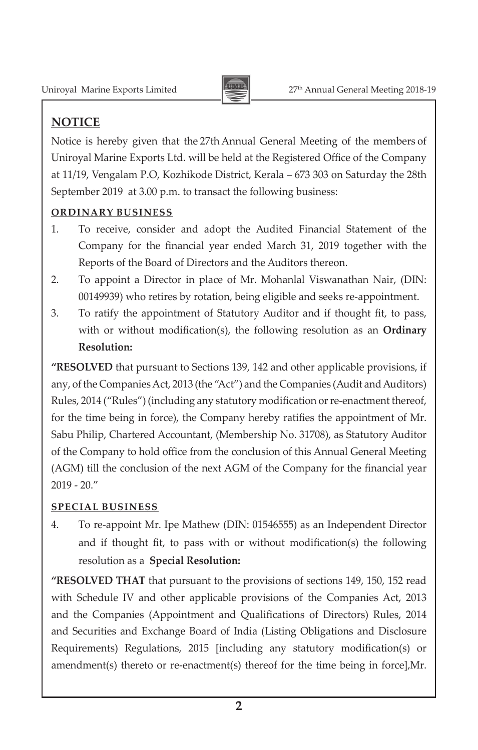

## **NOTICE**

Notice is hereby given that the 27th Annual General Meeting of the members of Uniroyal Marine Exports Ltd. will be held at the Registered Office of the Company at 11/19, Vengalam P.O, Kozhikode District, Kerala – 673 303 on Saturday the 28th September 2019 at 3.00 p.m. to transact the following business:

### **ORDINARY BUSINESS**

- 1. To receive, consider and adopt the Audited Financial Statement of the Company for the financial year ended March 31, 2019 together with the Reports of the Board of Directors and the Auditors thereon.
- 2. To appoint a Director in place of Mr. Mohanlal Viswanathan Nair, (DIN: 00149939) who retires by rotation, being eligible and seeks re-appointment.
- 3. To ratify the appointment of Statutory Auditor and if thought fit, to pass, with or without modification(s), the following resolution as an **Ordinary Resolution:**

**"RESOLVED** that pursuant to Sections 139, 142 and other applicable provisions, if any, of the Companies Act, 2013 (the "Act") and the Companies (Audit and Auditors) Rules, 2014 ("Rules") (including any statutory modification orre-enactment thereof, for the time being in force), the Company hereby ratifies the appointment of Mr. Sabu Philip, Chartered Accountant, (Membership No. 31708), as Statutory Auditor of the Company to hold office from the conclusion of this Annual General Meeting (AGM) till the conclusion of the next AGM of the Company for the financial year 2019 - 20."

#### **SPECIAL BUSINESS**

4. To re-appoint Mr. Ipe Mathew (DIN: 01546555) as an Independent Director and if thought fit, to pass with or without modification(s) the following resolution as a **Special Resolution:**

**"RESOLVED THAT** that pursuant to the provisions of sections 149, 150, 152 read with Schedule IV and other applicable provisions of the Companies Act, 2013 and the Companies (Appointment and Qualifications of Directors) Rules, 2014 and Securities and Exchange Board of India (Listing Obligations and Disclosure Requirements) Regulations, 2015 [including any statutory modification(s) or amendment(s) thereto or re-enactment(s) thereof for the time being in force],Mr.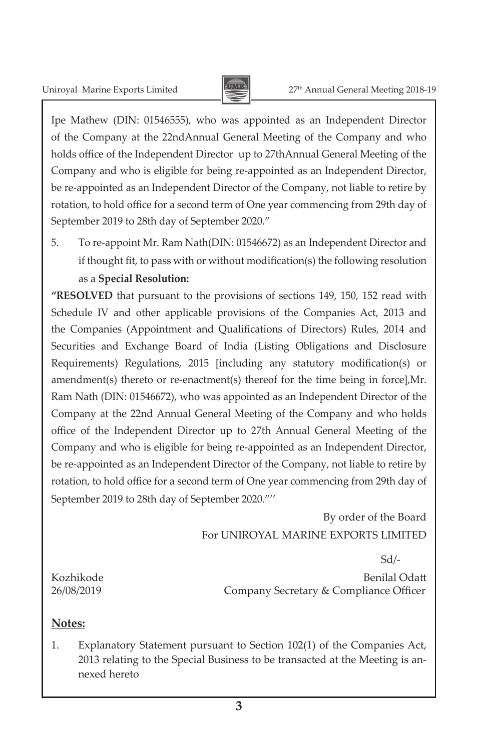

Ipe Mathew (DIN: 01546555), who was appointed as an Independent Director of the Company at the 22ndAnnual General Meeting of the Company and who holds office of the Independent Director up to 27thAnnual General Meeting of the Company and who is eligible for being re-appointed as an Independent Director, be re-appointed as an Independent Director of the Company, not liable to retire by rotation, to hold office for a second term of One year commencing from 29th day of September 2019 to 28th day of September 2020."

5. To re-appoint Mr. Ram Nath(DIN: 01546672) as an Independent Director and if thought fit, to pass with or without modification(s) the following resolution as a **Special Resolution:**

**"RESOLVED** that pursuant to the provisions of sections 149, 150, 152 read with Schedule IV and other applicable provisions of the Companies Act, 2013 and the Companies (Appointment and Qualifications of Directors) Rules, 2014 and Securities and Exchange Board of India (Listing Obligations and Disclosure Requirements) Regulations, 2015 [including any statutory modification(s) or amendment(s) thereto or re-enactment(s) thereof for the time being in force],Mr. Ram Nath (DIN: 01546672), who was appointed as an Independent Director of the Company at the 22nd Annual General Meeting of the Company and who holds office of the Independent Director up to 27th Annual General Meeting of the Company and who is eligible for being re-appointed as an Independent Director, be re-appointed as an Independent Director of the Company, not liable to retire by rotation, to hold office for a second term of One year commencing from 29th day of September 2019 to 28th day of September 2020."''

> By order of the Board For UNIROYAL MARINE EXPORTS LIMITED

Sd/-

Kozhikode Benilal Odatt 26/08/2019 Company Secretary & Compliance Officer

#### **Notes:**

1. Explanatory Statement pursuant to Section 102(1) of the Companies Act, 2013 relating to the Special Business to be transacted at the Meeting is annexed hereto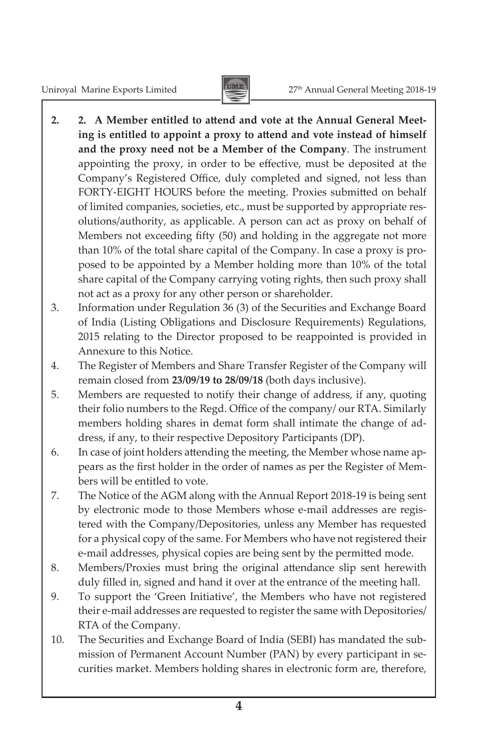

- **2. 2. A Member entitled to attend and vote at the Annual General Meeting is entitled to appoint a proxy to attend and vote instead of himself and the proxy need not be a Member of the Company**. The instrument appointing the proxy, in order to be effective, must be deposited at the Company's Registered Office, duly completed and signed, not less than FORTY-EIGHT HOURS before the meeting. Proxies submitted on behalf of limited companies, societies, etc., must be supported by appropriate resolutions/authority, as applicable. A person can act as proxy on behalf of Members not exceeding fifty (50) and holding in the aggregate not more than 10% of the total share capital of the Company. In case a proxy is proposed to be appointed by a Member holding more than 10% of the total share capital of the Company carrying voting rights, then such proxy shall not act as a proxy for any other person or shareholder.
- 3. Information under Regulation 36 (3) of the Securities and Exchange Board of India (Listing Obligations and Disclosure Requirements) Regulations, 2015 relating to the Director proposed to be reappointed is provided in Annexure to this Notice.
- 4. The Register of Members and Share Transfer Register of the Company will remain closed from **23/09/19 to 28/09/18** (both days inclusive).
- 5. Members are requested to notify their change of address, if any, quoting their folio numbers to the Regd. Office of the company/ our RTA. Similarly members holding shares in demat form shall intimate the change of address, if any, to their respective Depository Participants (DP).
- 6. In case of joint holders attending the meeting, the Member whose name appears as the first holder in the order of names as per the Register of Members will be entitled to vote.
- 7. The Notice of the AGM along with the Annual Report 2018-19 is being sent by electronic mode to those Members whose e-mail addresses are registered with the Company/Depositories, unless any Member has requested for a physical copy of the same. For Members who have not registered their e-mail addresses, physical copies are being sent by the permitted mode.
- 8. Members/Proxies must bring the original attendance slip sent herewith duly filled in, signed and hand it over at the entrance of the meeting hall.
- 9. To support the 'Green Initiative', the Members who have not registered their e-mail addresses are requested to register the same with Depositories/ RTA of the Company.
- 10. The Securities and Exchange Board of India (SEBI) has mandated the submission of Permanent Account Number (PAN) by every participant in securities market. Members holding shares in electronic form are, therefore,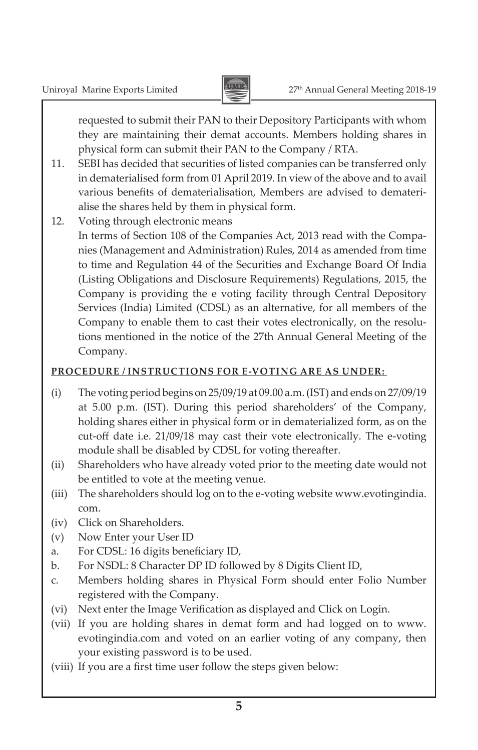

requested to submit their PAN to their Depository Participants with whom they are maintaining their demat accounts. Members holding shares in physical form can submit their PAN to the Company / RTA.

- 11. SEBI has decided that securities of listed companies can be transferred only in dematerialised form from 01 April 2019. In view of the above and to avail various benefits of dematerialisation, Members are advised to dematerialise the shares held by them in physical form.
- 12. Voting through electronic means In terms of Section 108 of the Companies Act, 2013 read with the Companies (Management and Administration) Rules, 2014 as amended from time to time and Regulation 44 of the Securities and Exchange Board Of India (Listing Obligations and Disclosure Requirements) Regulations, 2015, the Company is providing the e voting facility through Central Depository Services (India) Limited (CDSL) as an alternative, for all members of the Company to enable them to cast their votes electronically, on the resolutions mentioned in the notice of the 27th Annual General Meeting of the Company.

#### **PROCEDURE / INSTRUCTIONS FOR E -VOT ING ARE AS UNDER:**

- (i) The voting period begins on 25/09/19 at 09.00 a.m.(IST) and ends on 27/09/19 at 5.00 p.m. (IST). During this period shareholders' of the Company, holding shares either in physical form or in dematerialized form, as on the cut-off date i.e. 21/09/18 may cast their vote electronically. The e-voting module shall be disabled by CDSL for voting thereafter.
- (ii) Shareholders who have already voted prior to the meeting date would not be entitled to vote at the meeting venue.
- (iii) The shareholders should log on to the e-voting website www.evotingindia. com.
- (iv) Click on Shareholders.
- (v) Now Enter your User ID
- a. For CDSL: 16 digits beneficiary ID,
- b. For NSDL: 8 Character DP ID followed by 8 Digits Client ID,
- c. Members holding shares in Physical Form should enter Folio Number registered with the Company.
- (vi) Next enter the Image Verification as displayed and Click on Login.
- (vii) If you are holding shares in demat form and had logged on to www. evotingindia.com and voted on an earlier voting of any company, then your existing password is to be used.
- (viii) If you are a first time user follow the steps given below: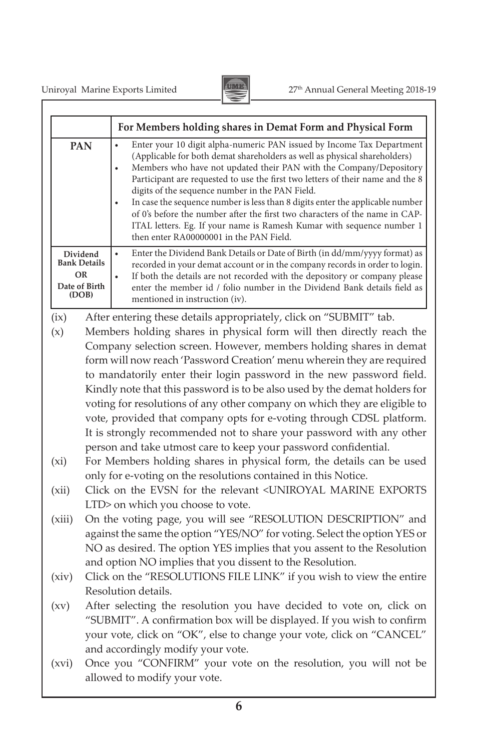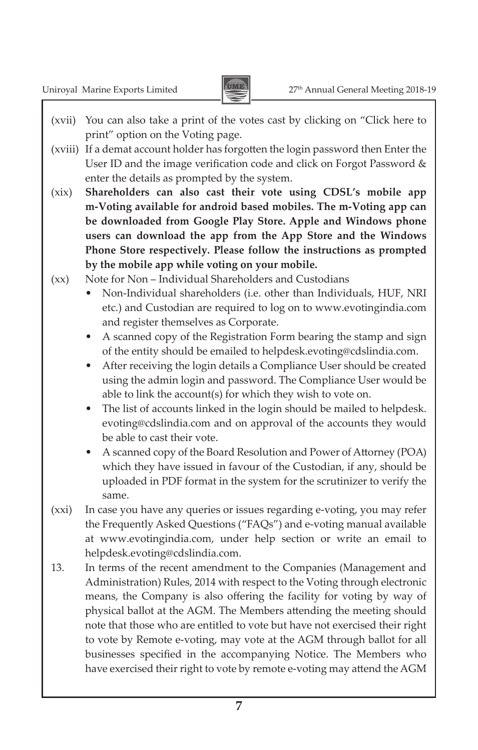

- (xvii) You can also take a print of the votes cast by clicking on "Click here to print" option on the Voting page.
- (xviii) If a demat account holder has forgotten the login password then Enter the User ID and the image verification code and click on Forgot Password & enter the details as prompted by the system.
- (xix) **Shareholders can also cast their vote using CDSL's mobile app m-Voting available for android based mobiles. The m-Voting app can be downloaded from Google Play Store. Apple and Windows phone users can download the app from the App Store and the Windows Phone Store respectively. Please follow the instructions as prompted by the mobile app while voting on your mobile.**
- (xx) Note for Non Individual Shareholders and Custodians
	- Non-Individual shareholders (i.e. other than Individuals, HUF, NRI etc.) and Custodian are required to log on to www.evotingindia.com and register themselves as Corporate.
	- A scanned copy of the Registration Form bearing the stamp and sign of the entity should be emailed to helpdesk.evoting@cdslindia.com.
	- After receiving the login details a Compliance User should be created using the admin login and password. The Compliance User would be able to link the account(s) for which they wish to vote on.
	- The list of accounts linked in the login should be mailed to helpdesk. evoting@cdslindia.com and on approval of the accounts they would be able to cast their vote.
	- A scanned copy of the Board Resolution and Power of Attorney (POA) which they have issued in favour of the Custodian, if any, should be uploaded in PDF format in the system for the scrutinizer to verify the same.
- (xxi) In case you have any queries or issues regarding e-voting, you may refer the Frequently Asked Questions ("FAQs") and e-voting manual available at www.evotingindia.com, under help section or write an email to helpdesk.evoting@cdslindia.com.
- 13. In terms of the recent amendment to the Companies (Management and Administration) Rules, 2014 with respect to the Voting through electronic means, the Company is also offering the facility for voting by way of physical ballot at the AGM. The Members attending the meeting should note that those who are entitled to vote but have not exercised their right to vote by Remote e-voting, may vote at the AGM through ballot for all businesses specified in the accompanying Notice. The Members who have exercised their right to vote by remote e-voting may attend the AGM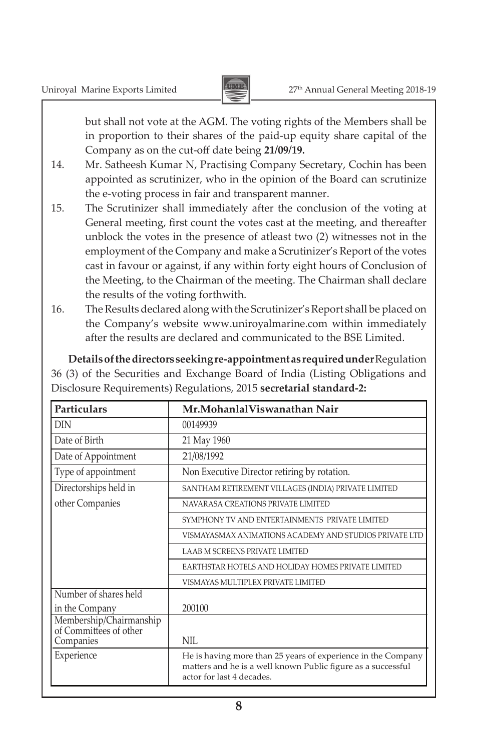

but shall not vote at the AGM. The voting rights of the Members shall be in proportion to their shares of the paid-up equity share capital of the Company as on the cut-off date being **21/09/19.**

- 14. Mr. Satheesh Kumar N, Practising Company Secretary, Cochin has been appointed as scrutinizer, who in the opinion of the Board can scrutinize the e-voting process in fair and transparent manner.
- 15. The Scrutinizer shall immediately after the conclusion of the voting at General meeting, first count the votes cast at the meeting, and thereafter unblock the votes in the presence of atleast two (2) witnesses not in the employment of the Company and make a Scrutinizer's Report of the votes cast in favour or against, if any within forty eight hours of Conclusion of the Meeting, to the Chairman of the meeting. The Chairman shall declare the results of the voting forthwith.
- 16. The Results declared along with the Scrutinizer's Report shall be placed on the Company's website www.uniroyalmarine.com within immediately after the results are declared and communicated to the BSE Limited.

**Detailsofthedirectorsseekingre-appointmentasrequiredunder**Regulation 36 (3) of the Securities and Exchange Board of India (Listing Obligations and Disclosure Requirements) Regulations, 2015 **secretarial standard-2:**

| Particulars                         | Mr.MohanlalViswanathan Nair                                                                                                                               |
|-------------------------------------|-----------------------------------------------------------------------------------------------------------------------------------------------------------|
| <b>DIN</b>                          | 00149939                                                                                                                                                  |
| Date of Birth                       | 21 May 1960                                                                                                                                               |
| Date of Appointment                 | 21/08/1992                                                                                                                                                |
| Type of appointment                 | Non Executive Director retiring by rotation.                                                                                                              |
| Directorships held in               | SANTHAM RETIREMENT VILLAGES (INDIA) PRIVATE LIMITED                                                                                                       |
| other Companies                     | NAVARASA CREATIONS PRIVATE LIMITED                                                                                                                        |
|                                     | SYMPHONY TV AND ENTERTAINMENTS PRIVATE LIMITED                                                                                                            |
|                                     | VISMAYASMAX ANIMATIONS ACADEMY AND STUDIOS PRIVATE LTD                                                                                                    |
|                                     | <b>LAAB M SCREENS PRIVATE LIMITED</b>                                                                                                                     |
|                                     | EARTHSTAR HOTELS AND HOLIDAY HOMES PRIVATE LIMITED                                                                                                        |
|                                     | VISMAYAS MULTIPLEX PRIVATE LIMITED                                                                                                                        |
| Number of shares held               |                                                                                                                                                           |
| in the Company                      | 200100                                                                                                                                                    |
| Membership/Chairmanship             |                                                                                                                                                           |
| of Committees of other<br>Companies | <b>NIL</b>                                                                                                                                                |
|                                     |                                                                                                                                                           |
| Experience                          | He is having more than 25 years of experience in the Company<br>matters and he is a well known Public figure as a successful<br>actor for last 4 decades. |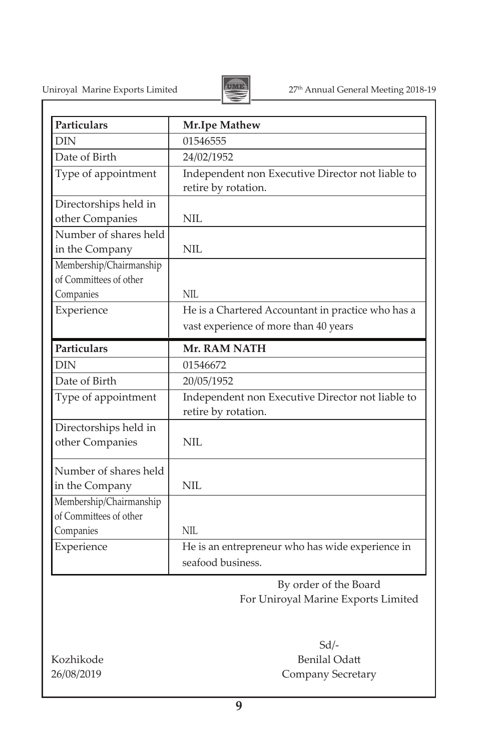

| Particulars                                       | Mr.Ipe Mathew                                                                               |
|---------------------------------------------------|---------------------------------------------------------------------------------------------|
| <b>DIN</b>                                        | 01546555                                                                                    |
| Date of Birth                                     | 24/02/1952                                                                                  |
| Type of appointment                               | Independent non Executive Director not liable to<br>retire by rotation.                     |
| Directorships held in<br>other Companies          | <b>NIL</b>                                                                                  |
| Number of shares held<br>in the Company           | <b>NIL</b>                                                                                  |
| Membership/Chairmanship<br>of Committees of other |                                                                                             |
| Companies                                         | <b>NIL</b>                                                                                  |
| Experience                                        | He is a Chartered Accountant in practice who has a<br>vast experience of more than 40 years |
| <b>Particulars</b>                                | Mr. RAM NATH                                                                                |
|                                                   |                                                                                             |
| <b>DIN</b>                                        | 01546672                                                                                    |
| Date of Birth                                     | 20/05/1952                                                                                  |
| Type of appointment                               | Independent non Executive Director not liable to<br>retire by rotation.                     |
| Directorships held in<br>other Companies          | NII.                                                                                        |
| Number of shares held<br>in the Company           | <b>NIL</b>                                                                                  |
| Membership/Chairmanship<br>of Committees of other |                                                                                             |
| Companies                                         | <b>NIL</b>                                                                                  |

 By order of the Board For Uniroyal Marine Exports Limited

 Sd/- Kozhikode Benilal Odatt 26/08/2019 Company Secretary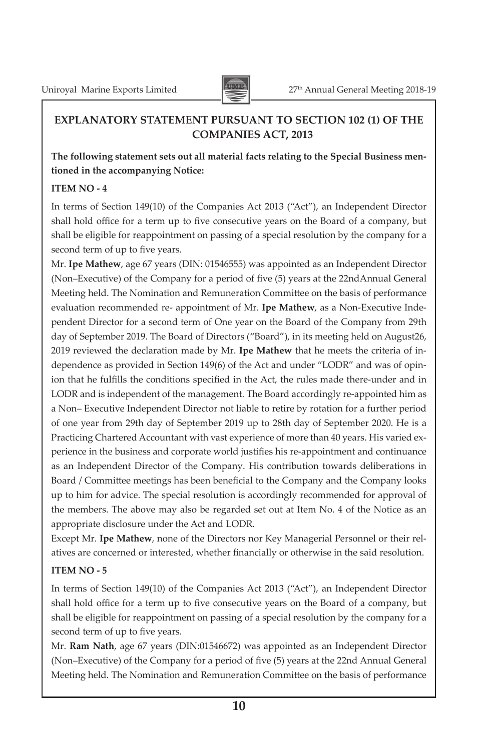

#### **EXPLANATORY STATEMENT PURSUANT TO SECTION 102 (1) OF THE COMPANIES ACT, 2013**

**The following statement sets out all material facts relating to the Special Business mentioned in the accompanying Notice:**

#### **ITEM NO - 4**

In terms of Section 149(10) of the Companies Act 2013 ("Act"), an Independent Director shall hold office for a term up to five consecutive years on the Board of a company, but shall be eligible for reappointment on passing of a special resolution by the company for a second term of up to five years.

Mr. **Ipe Mathew**, age 67 years (DIN: 01546555) was appointed as an Independent Director (Non–Executive) of the Company for a period of five (5) years at the 22ndAnnual General Meeting held. The Nomination and Remuneration Committee on the basis of performance evaluation recommended re- appointment of Mr. **Ipe Mathew**, as a Non-Executive Independent Director for a second term of One year on the Board of the Company from 29th day of September 2019. The Board of Directors ("Board"), in its meeting held on August26, 2019 reviewed the declaration made by Mr. **Ipe Mathew** that he meets the criteria of independence as provided in Section 149(6) of the Act and under "LODR" and was of opinion that he fulfills the conditions specified in the Act, the rules made there-under and in LODR and is independent of the management. The Board accordingly re-appointed him as a Non– Executive Independent Director not liable to retire by rotation for a further period of one year from 29th day of September 2019 up to 28th day of September 2020. He is a Practicing Chartered Accountant with vast experience of more than 40 years. His varied experience in the business and corporate world justifies his re-appointment and continuance as an Independent Director of the Company. His contribution towards deliberations in Board / Committee meetings has been beneficial to the Company and the Company looks up to him for advice. The special resolution is accordingly recommended for approval of the members. The above may also be regarded set out at Item No. 4 of the Notice as an appropriate disclosure under the Act and LODR.

Except Mr. **Ipe Mathew**, none of the Directors nor Key Managerial Personnel or their relatives are concerned or interested, whether financially or otherwise in the said resolution.

#### **ITEM NO - 5**

In terms of Section 149(10) of the Companies Act 2013 ("Act"), an Independent Director shall hold office for a term up to five consecutive years on the Board of a company, but shall be eligible for reappointment on passing of a special resolution by the company for a second term of up to five years.

Mr. **Ram Nath**, age 67 years (DIN:01546672) was appointed as an Independent Director (Non–Executive) of the Company for a period of five (5) years at the 22nd Annual General Meeting held. The Nomination and Remuneration Committee on the basis of performance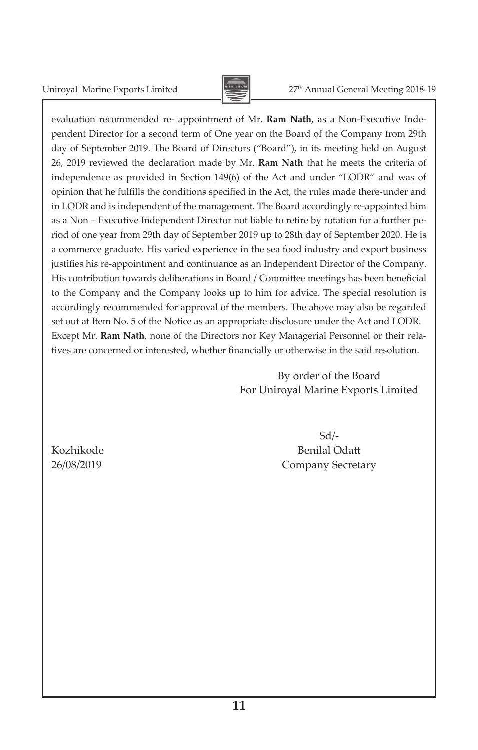

evaluation recommended re- appointment of Mr. **Ram Nath**, as a Non-Executive Independent Director for a second term of One year on the Board of the Company from 29th day of September 2019. The Board of Directors ("Board"), in its meeting held on August 26, 2019 reviewed the declaration made by Mr. **Ram Nath** that he meets the criteria of independence as provided in Section 149(6) of the Act and under "LODR" and was of opinion that he fulfills the conditions specified in the Act, the rules made there-under and in LODR and is independent of the management. The Board accordingly re-appointed him as a Non – Executive Independent Director not liable to retire by rotation for a further period of one year from 29th day of September 2019 up to 28th day of September 2020. He is a commerce graduate. His varied experience in the sea food industry and export business justifies his re-appointment and continuance as an Independent Director of the Company. His contribution towards deliberations in Board / Committee meetings has been beneficial to the Company and the Company looks up to him for advice. The special resolution is accordingly recommended for approval of the members. The above may also be regarded set out at Item No. 5 of the Notice as an appropriate disclosure under the Act and LODR. Except Mr. **Ram Nath**, none of the Directors nor Key Managerial Personnel or their relatives are concerned or interested, whether financially or otherwise in the said resolution.

> By order of the Board For Uniroyal Marine Exports Limited

 Sd/- Kozhikode Benilal Odatt 26/08/2019 Company Secretary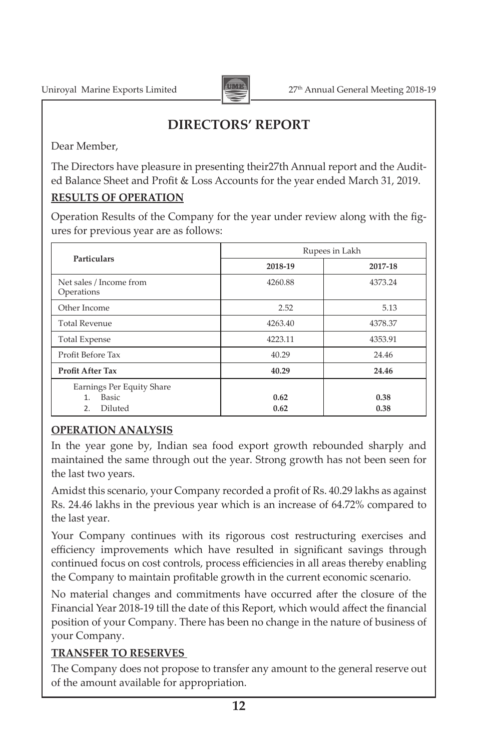

## **DIRECTORS' REPORT**

Dear Member,

The Directors have pleasure in presenting their27th Annual report and the Audited Balance Sheet and Profit & Loss Accounts for the year ended March 31, 2019.

## **RESULTS OF OPERATION**

Operation Results of the Company for the year under review along with the figures for previous year are as follows:

| <b>Particulars</b>                                        | Rupees in Lakh |              |  |  |  |
|-----------------------------------------------------------|----------------|--------------|--|--|--|
|                                                           | 2018-19        | 2017-18      |  |  |  |
| Net sales / Income from<br>Operations                     | 4260.88        | 4373.24      |  |  |  |
| Other Income                                              | 2.52           | 5.13         |  |  |  |
| <b>Total Revenue</b>                                      | 4263.40        | 4378.37      |  |  |  |
| <b>Total Expense</b>                                      | 4223.11        | 4353.91      |  |  |  |
| Profit Before Tax                                         | 40.29          | 24.46        |  |  |  |
| Profit After Tax                                          | 40.29          | 24.46        |  |  |  |
| Earnings Per Equity Share<br>Basic<br>1.<br>Diluted<br>2. | 0.62<br>0.62   | 0.38<br>0.38 |  |  |  |

#### **OPERATION ANALYSIS**

In the year gone by, Indian sea food export growth rebounded sharply and maintained the same through out the year. Strong growth has not been seen for the last two years.

Amidst this scenario, your Company recorded a profit of Rs. 40.29 lakhs as against Rs. 24.46 lakhs in the previous year which is an increase of 64.72% compared to the last year.

Your Company continues with its rigorous cost restructuring exercises and efficiency improvements which have resulted in significant savings through continued focus on cost controls, process efficiencies in all areas thereby enabling the Company to maintain profitable growth in the current economic scenario.

No material changes and commitments have occurred after the closure of the Financial Year 2018-19 till the date of this Report, which would affect the financial position of your Company. There has been no change in the nature of business of your Company.

#### **TRANSFER TO RESERVES**

The Company does not propose to transfer any amount to the general reserve out of the amount available for appropriation.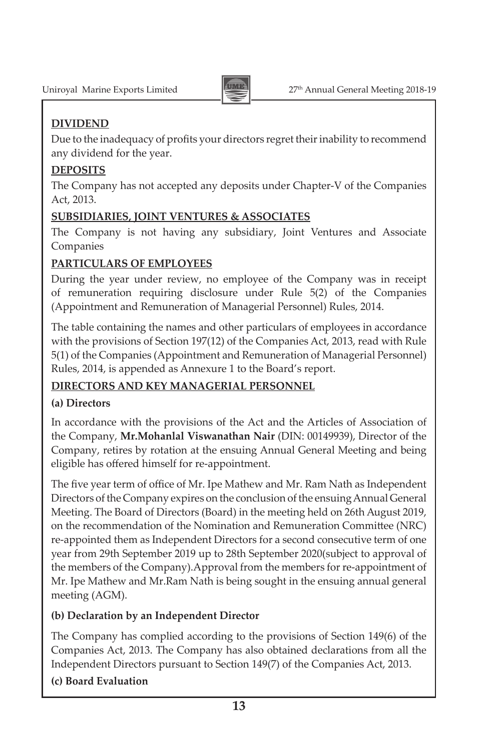

## **DIVIDEND**

Due to the inadequacy of profits your directors regret their inability to recommend any dividend for the year.

## **DEPOSITS**

The Company has not accepted any deposits under Chapter-V of the Companies Act, 2013.

### **SUBSIDIARIES, JOINT VENTURES & ASSOCIATES**

The Company is not having any subsidiary, Joint Ventures and Associate Companies

## **PARTICULARS OF EMPLOYEES**

During the year under review, no employee of the Company was in receipt of remuneration requiring disclosure under Rule 5(2) of the Companies (Appointment and Remuneration of Managerial Personnel) Rules, 2014.

The table containing the names and other particulars of employees in accordance with the provisions of Section 197(12) of the Companies Act, 2013, read with Rule 5(1) of the Companies (Appointment and Remuneration of Managerial Personnel) Rules, 2014, is appended as Annexure 1 to the Board's report.

## **DIRECTORS AND KEY MANAGERIAL PERSONNEL**

#### **(a) Directors**

In accordance with the provisions of the Act and the Articles of Association of the Company, **Mr.Mohanlal Viswanathan Nair** (DIN: 00149939), Director of the Company, retires by rotation at the ensuing Annual General Meeting and being eligible has offered himself for re-appointment.

The five year term of office of Mr. Ipe Mathew and Mr. Ram Nath as Independent Directors of the Company expires on the conclusion of the ensuing Annual General Meeting. The Board of Directors (Board) in the meeting held on 26th August 2019, on the recommendation of the Nomination and Remuneration Committee (NRC) re-appointed them as Independent Directors for a second consecutive term of one year from 29th September 2019 up to 28th September 2020(subject to approval of the members of the Company).Approval from the members for re-appointment of Mr. Ipe Mathew and Mr.Ram Nath is being sought in the ensuing annual general meeting (AGM).

## **(b) Declaration by an Independent Director**

The Company has complied according to the provisions of Section 149(6) of the Companies Act, 2013. The Company has also obtained declarations from all the Independent Directors pursuant to Section 149(7) of the Companies Act, 2013.

**(c) Board Evaluation**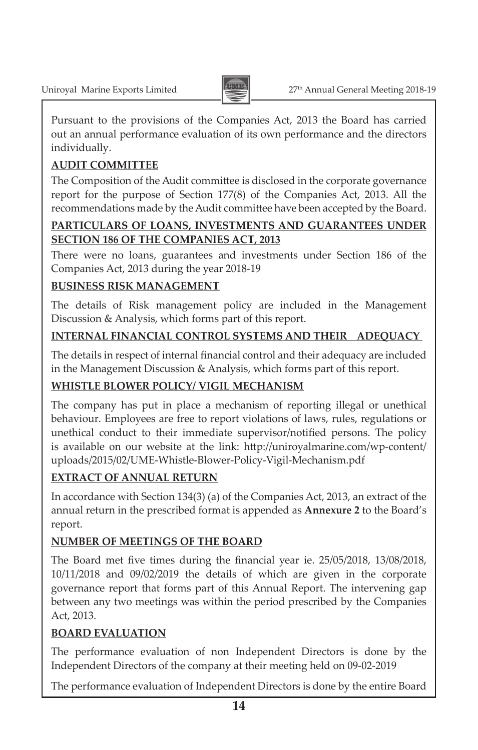

Pursuant to the provisions of the Companies Act, 2013 the Board has carried out an annual performance evaluation of its own performance and the directors individually.

#### **AUDIT COMMITTEE**

The Composition of the Audit committee is disclosed in the corporate governance report for the purpose of Section 177(8) of the Companies Act, 2013. All the recommendations made by the Audit committee have been accepted by the Board.

#### **PARTICULARS OF LOANS, INVESTMENTS AND GUARANTEES UNDER SECTION 186 OF THE COMPANIES ACT, 2013**

There were no loans, guarantees and investments under Section 186 of the Companies Act, 2013 during the year 2018-19

#### **BUSINESS RISK MANAGEMENT**

The details of Risk management policy are included in the Management Discussion & Analysis, which forms part of this report.

#### **INTERNAL FINANCIAL CONTROL SYSTEMS AND THEIR ADEQUACY**

The details in respect of internal financial control and their adequacy are included in the Management Discussion & Analysis, which forms part of this report.

#### **WHISTLE BLOWER POLICY/ VIGIL MECHANISM**

The company has put in place a mechanism of reporting illegal or unethical behaviour. Employees are free to report violations of laws, rules, regulations or unethical conduct to their immediate supervisor/notified persons. The policy is available on our website at the link: http://uniroyalmarine.com/wp-content/ uploads/2015/02/UME-Whistle-Blower-Policy-Vigil-Mechanism.pdf

#### **EXTRACT OF ANNUAL RETURN**

In accordance with Section 134(3) (a) of the Companies Act, 2013, an extract of the annual return in the prescribed format is appended as **Annexure 2** to the Board's report.

#### **NUMBER OF MEETINGS OF THE BOARD**

The Board met five times during the financial year ie. 25/05/2018, 13/08/2018, 10/11/2018 and 09/02/2019 the details of which are given in the corporate governance report that forms part of this Annual Report. The intervening gap between any two meetings was within the period prescribed by the Companies Act, 2013.

#### **BOARD EVALUATION**

The performance evaluation of non Independent Directors is done by the Independent Directors of the company at their meeting held on 09-02-2019

The performance evaluation of Independent Directors is done by the entire Board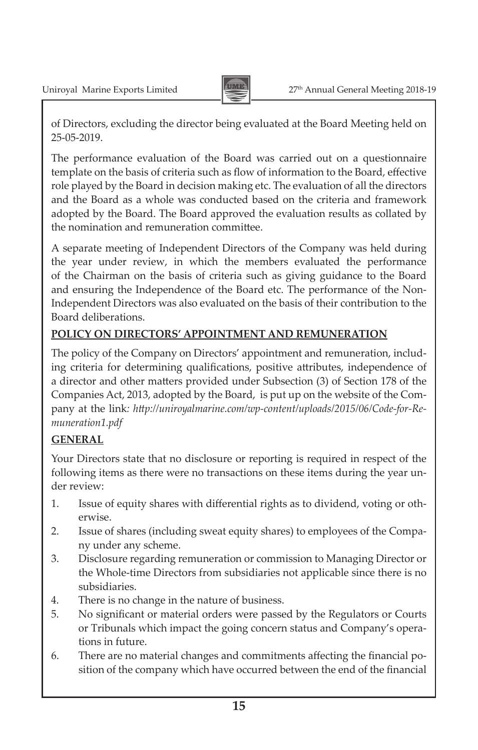

of Directors, excluding the director being evaluated at the Board Meeting held on 25-05-2019.

The performance evaluation of the Board was carried out on a questionnaire template on the basis of criteria such as flow of information to the Board, effective role played by the Board in decision making etc. The evaluation of all the directors and the Board as a whole was conducted based on the criteria and framework adopted by the Board. The Board approved the evaluation results as collated by the nomination and remuneration committee.

A separate meeting of Independent Directors of the Company was held during the year under review, in which the members evaluated the performance of the Chairman on the basis of criteria such as giving guidance to the Board and ensuring the Independence of the Board etc. The performance of the Non-Independent Directors was also evaluated on the basis of their contribution to the Board deliberations.

### **POLICY ON DIRECTORS' APPOINTMENT AND REMUNERATION**

The policy of the Company on Directors' appointment and remuneration, including criteria for determining qualifications, positive attributes, independence of a director and other matters provided under Subsection (3) of Section 178 of the Companies Act, 2013, adopted by the Board, is put up on the website of the Company at the link*: http://uniroyalmarine.com/wp-content/uploads/2015/06/Code-for-Remuneration1.pdf*

## **GENERAL**

Your Directors state that no disclosure or reporting is required in respect of the following items as there were no transactions on these items during the year under review:

- 1. Issue of equity shares with differential rights as to dividend, voting or otherwise.
- 2. Issue of shares (including sweat equity shares) to employees of the Company under any scheme.
- 3. Disclosure regarding remuneration or commission to Managing Director or the Whole-time Directors from subsidiaries not applicable since there is no subsidiaries.
- 4. There is no change in the nature of business.
- 5. No significant or material orders were passed by the Regulators or Courts or Tribunals which impact the going concern status and Company's operations in future.
- 6. There are no material changes and commitments affecting the financial position of the company which have occurred between the end of the financial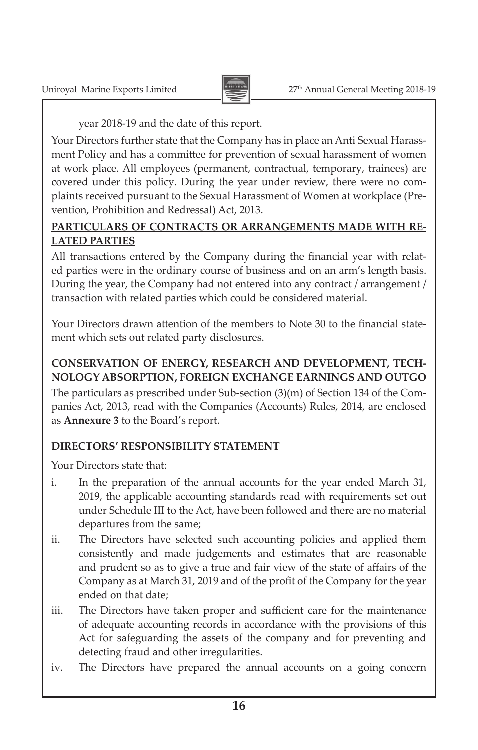

year 2018-19 and the date of this report.

Your Directors further state that the Company has in place an Anti Sexual Harassment Policy and has a committee for prevention of sexual harassment of women at work place. All employees (permanent, contractual, temporary, trainees) are covered under this policy. During the year under review, there were no complaints received pursuant to the Sexual Harassment of Women at workplace (Prevention, Prohibition and Redressal) Act, 2013.

#### **PARTICULARS OF CONTRACTS OR ARRANGEMENTS MADE WITH RE-LATED PARTIES**

All transactions entered by the Company during the financial year with related parties were in the ordinary course of business and on an arm's length basis. During the year, the Company had not entered into any contract / arrangement / transaction with related parties which could be considered material.

Your Directors drawn attention of the members to Note 30 to the financial statement which sets out related party disclosures.

## **CONSERVATION OF ENERGY, RESEARCH AND DEVELOPMENT, TECH-NOLOGY ABSORPTION, FOREIGN EXCHANGE EARNINGS AND OUTGO**

The particulars as prescribed under Sub-section (3)(m) of Section 134 of the Companies Act, 2013, read with the Companies (Accounts) Rules, 2014, are enclosed as **Annexure 3** to the Board's report.

#### **DIRECTORS' RESPONSIBILITY STATEMENT**

Your Directors state that:

- i. In the preparation of the annual accounts for the year ended March 31, 2019, the applicable accounting standards read with requirements set out under Schedule III to the Act, have been followed and there are no material departures from the same;
- ii. The Directors have selected such accounting policies and applied them consistently and made judgements and estimates that are reasonable and prudent so as to give a true and fair view of the state of affairs of the Company as at March 31, 2019 and of the profit of the Company for the year ended on that date;
- iii. The Directors have taken proper and sufficient care for the maintenance of adequate accounting records in accordance with the provisions of this Act for safeguarding the assets of the company and for preventing and detecting fraud and other irregularities.
- iv. The Directors have prepared the annual accounts on a going concern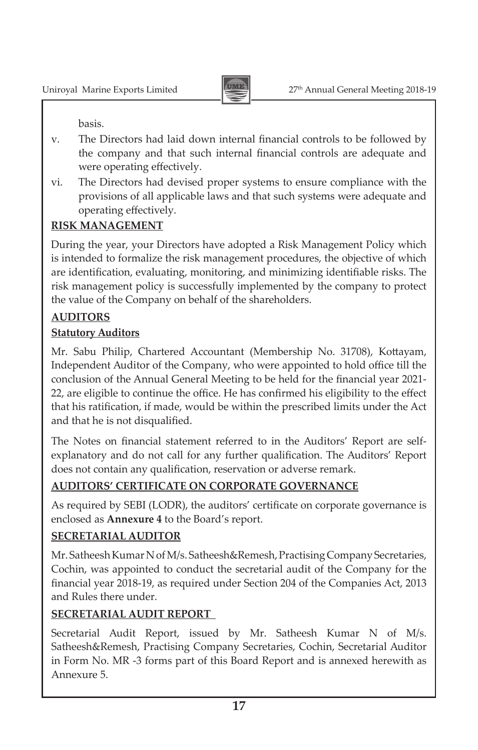

basis.

- v. The Directors had laid down internal financial controls to be followed by the company and that such internal financial controls are adequate and were operating effectively.
- vi. The Directors had devised proper systems to ensure compliance with the provisions of all applicable laws and that such systems were adequate and operating effectively.

#### **RISK MANAGEMENT**

During the year, your Directors have adopted a Risk Management Policy which is intended to formalize the risk management procedures, the objective of which are identification, evaluating, monitoring, and minimizing identifiable risks. The risk management policy is successfully implemented by the company to protect the value of the Company on behalf of the shareholders.

#### **AUDITORS Statutory Auditors**

Mr. Sabu Philip, Chartered Accountant (Membership No. 31708), Kottayam, Independent Auditor of the Company, who were appointed to hold office till the conclusion of the Annual General Meeting to be held for the financial year 2021- 22, are eligible to continue the office. He has confirmed his eligibility to the effect that his ratification, if made, would be within the prescribed limits under the Act and that he is not disqualified.

The Notes on financial statement referred to in the Auditors' Report are selfexplanatory and do not call for any further qualification. The Auditors' Report does not contain any qualification, reservation or adverse remark.

## **AUDITORS' CERTIFICATE ON CORPORATE GOVERNANCE**

As required by SEBI (LODR), the auditors' certificate on corporate governance is enclosed as **Annexure 4** to the Board's report.

#### **SECRETARIAL AUDITOR**

Mr. Satheesh Kumar N of M/s. Satheesh&Remesh, Practising Company Secretaries, Cochin, was appointed to conduct the secretarial audit of the Company for the financial year 2018-19, as required under Section 204 of the Companies Act, 2013 and Rules there under.

## **SECRETARIAL AUDIT REPORT**

Secretarial Audit Report, issued by Mr. Satheesh Kumar N of M/s. Satheesh&Remesh, Practising Company Secretaries, Cochin, Secretarial Auditor in Form No. MR -3 forms part of this Board Report and is annexed herewith as Annexure 5.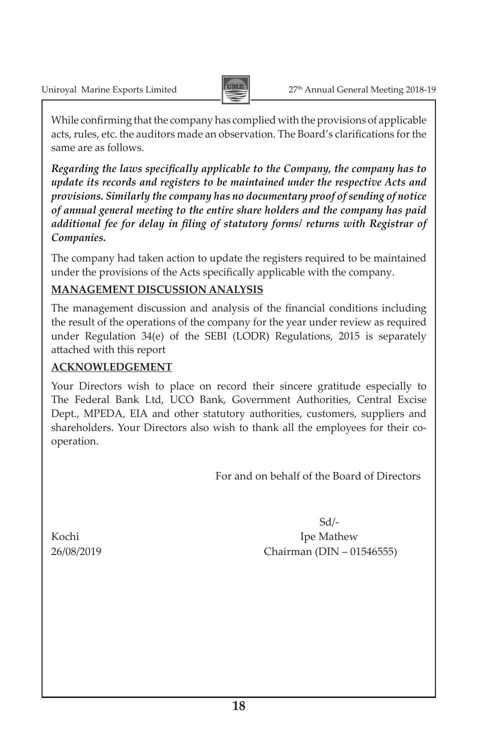

While confirming that the company has complied with the provisions of applicable acts, rules, etc. the auditors made an observation. The Board's clarifications for the same are as follows.

*Regarding the laws specifically applicable to the Company, the company has to update its records and registers to be maintained under the respective Acts and provisions. Similarly the company has no documentary proof of sending of notice of annual general meeting to the entire share holders and the company has paid additional fee for delay in filing of statutory forms/ returns with Registrar of Companies.* 

The company had taken action to update the registers required to be maintained under the provisions of the Acts specifically applicable with the company.

#### **MANAGEMENT DISCUSSION ANALYSIS**

The management discussion and analysis of the financial conditions including the result of the operations of the company for the year under review as required under Regulation 34(e) of the SEBI (LODR) Regulations, 2015 is separately attached with this report

#### **ACKNOWLEDGEMENT**

Your Directors wish to place on record their sincere gratitude especially to The Federal Bank Ltd, UCO Bank, Government Authorities, Central Excise Dept., MPEDA, EIA and other statutory authorities, customers, suppliers and shareholders. Your Directors also wish to thank all the employees for their cooperation.

For and on behalf of the Board of Directors

 Sd/-

Kochi Ipe Mathew 26/08/2019 Chairman (DIN – 01546555)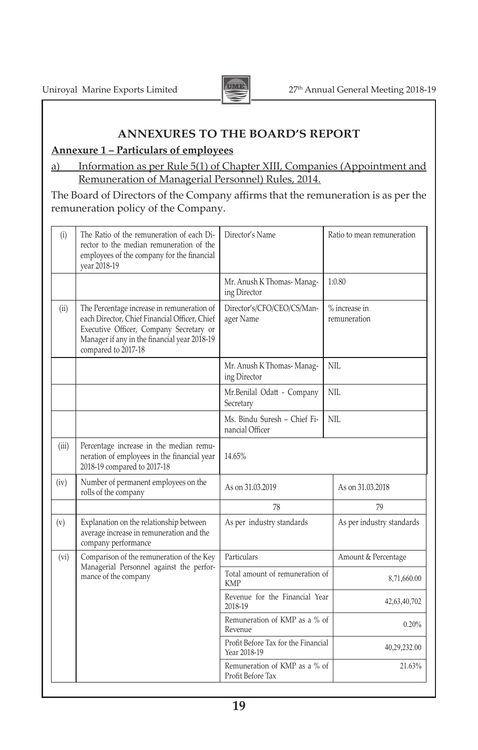

#### **ANNEXURES TO THE BOARD'S REPORT**

#### **Annexure 1 – Particulars of employees**

#### a) Information as per Rule 5(1) of Chapter XIII, Companies (Appointment and Remuneration of Managerial Personnel) Rules, 2014.

The Board of Directors of the Company affirms that the remuneration is as per the remuneration policy of the Company.

| (i)   | The Ratio of the remuneration of each Di-<br>rector to the median remuneration of the<br>employees of the company for the financial<br>year 2018-19                                                           | Director's Name                                     | Ratio to mean remuneration    |  |
|-------|---------------------------------------------------------------------------------------------------------------------------------------------------------------------------------------------------------------|-----------------------------------------------------|-------------------------------|--|
|       |                                                                                                                                                                                                               | Mr. Anush K Thomas-Manag-<br>ing Director           | 1:0.80                        |  |
| (ii)  | The Percentage increase in remuneration of<br>each Director, Chief Financial Officer, Chief<br>Executive Officer, Company Secretary or<br>Manager if any in the financial year 2018-19<br>compared to 2017-18 | Director's/CFO/CEO/CS/Man-<br>ager Name             | % increase in<br>remuneration |  |
|       |                                                                                                                                                                                                               | Mr. Anush K Thomas-Manag-<br>ing Director           | NIL                           |  |
|       |                                                                                                                                                                                                               | Mr.Benilal Odatt - Company<br>Secretary             | NII.                          |  |
|       |                                                                                                                                                                                                               | Ms. Bindu Suresh – Chief Fi-<br>nancial Officer     | NIL                           |  |
| (iii) | Percentage increase in the median remu-<br>neration of employees in the financial year<br>2018-19 compared to 2017-18                                                                                         | 14.65%                                              |                               |  |
| (iv)  | Number of permanent employees on the<br>rolls of the company                                                                                                                                                  | As on 31.03.2019                                    | As on 31.03.2018              |  |
|       |                                                                                                                                                                                                               | 78                                                  | 79                            |  |
| (v)   | Explanation on the relationship between<br>average increase in remuneration and the<br>company performance                                                                                                    | As per industry standards                           | As per industry standards     |  |
| (vi)  | Comparison of the remuneration of the Key                                                                                                                                                                     | Particulars                                         | Amount & Percentage           |  |
|       | Managerial Personnel against the perfor-<br>mance of the company                                                                                                                                              | Total amount of remuneration of<br><b>KMP</b>       | 8,71,660.00                   |  |
|       |                                                                                                                                                                                                               | Revenue for the Financial Year<br>2018-19           | 42,63,40,702                  |  |
|       |                                                                                                                                                                                                               | Remuneration of KMP as a % of<br>Revenue            | 0.20%                         |  |
|       |                                                                                                                                                                                                               | Profit Before Tax for the Financial<br>Year 2018-19 | 40,29,232.00                  |  |
|       |                                                                                                                                                                                                               | Remuneration of KMP as a % of<br>Profit Before Tax  | 21.63%                        |  |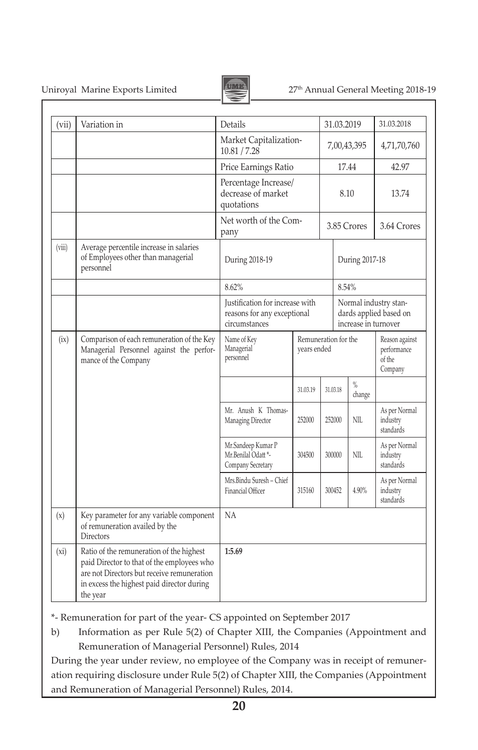

| (vii)  | Variation in                                                                                                                                                                                   | Details                                                                         |                | 31.03.2019                                                              |             |                         | 31.03.2018                                         |
|--------|------------------------------------------------------------------------------------------------------------------------------------------------------------------------------------------------|---------------------------------------------------------------------------------|----------------|-------------------------------------------------------------------------|-------------|-------------------------|----------------------------------------------------|
|        |                                                                                                                                                                                                | Market Capitalization-<br>10.81 / 7.28                                          |                |                                                                         | 7,00,43,395 |                         | 4,71,70,760                                        |
|        |                                                                                                                                                                                                | Price Earnings Ratio                                                            |                |                                                                         | 17.44       |                         | 42.97                                              |
|        |                                                                                                                                                                                                | Percentage Increase/<br>decrease of market<br>quotations                        |                | 8.10                                                                    |             |                         | 13.74                                              |
|        |                                                                                                                                                                                                | Net worth of the Com-<br>pany                                                   |                |                                                                         |             | 3.85 Crores             | 3.64 Crores                                        |
| (viii) | Average percentile increase in salaries<br>of Employees other than managerial<br>personnel                                                                                                     | During 2018-19                                                                  | During 2017-18 |                                                                         |             |                         |                                                    |
|        |                                                                                                                                                                                                | 8.62%                                                                           |                |                                                                         | 8.54%       |                         |                                                    |
|        |                                                                                                                                                                                                | Justification for increase with<br>reasons for any exceptional<br>circumstances |                | Normal industry stan-<br>dards applied based on<br>increase in turnover |             |                         |                                                    |
| (ix)   | Comparison of each remuneration of the Key<br>Managerial Personnel against the perfor-<br>mance of the Company                                                                                 | Name of Key<br>Managerial<br>personnel                                          | years ended    | Remuneration for the                                                    |             |                         | Reason against<br>performance<br>of the<br>Company |
|        |                                                                                                                                                                                                |                                                                                 | 31.03.19       | 31.03.18                                                                |             | $\frac{0}{0}$<br>change |                                                    |
|        |                                                                                                                                                                                                | Mr. Anush K Thomas-<br>Managing Director                                        | 252000         | 252000                                                                  |             | NIL                     | As per Normal<br>industry<br>standards             |
|        |                                                                                                                                                                                                | Mr.Sandeep Kumar P<br>Mr.Benilal Odatt*-<br>Company Secretary                   | 304500         | 300000                                                                  |             | NIL                     | As per Normal<br>industry<br>standards             |
|        |                                                                                                                                                                                                | Mrs.Bindu Suresh - Chief<br>Financial Officer                                   | 315160         | 300452                                                                  |             | 4.90%                   | As per Normal<br>industry<br>standards             |
| (x)    | Key parameter for any variable component<br>of remuneration availed by the<br><b>Directors</b>                                                                                                 | <b>NA</b>                                                                       |                |                                                                         |             |                         |                                                    |
| (xi)   | Ratio of the remuneration of the highest<br>paid Director to that of the employees who<br>are not Directors but receive remuneration<br>in excess the highest paid director during<br>the year | 1:5.69                                                                          |                |                                                                         |             |                         |                                                    |

\*- Remuneration for part of the year- CS appointed on September 2017

b) Information as per Rule 5(2) of Chapter XIII, the Companies (Appointment and Remuneration of Managerial Personnel) Rules, 2014

During the year under review, no employee of the Company was in receipt of remuneration requiring disclosure under Rule 5(2) of Chapter XIII, the Companies (Appointment and Remuneration of Managerial Personnel) Rules, 2014.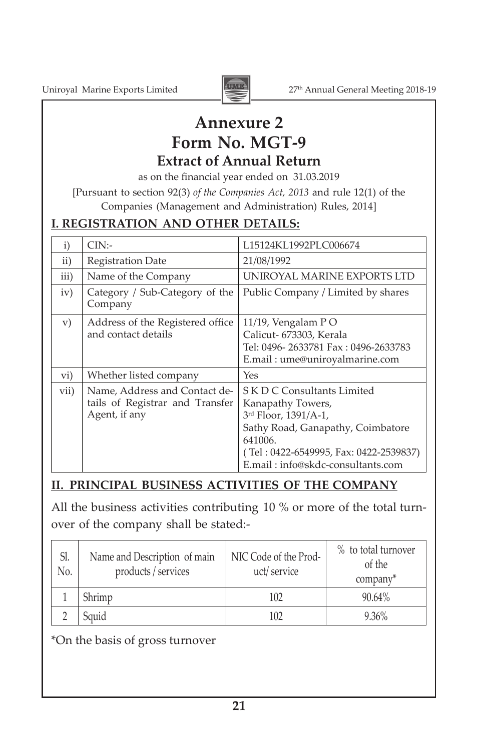

## **Annexure 2**

## **Form No. MGT-9**

**Extract of Annual Return**

as on the financial year ended on 31.03.2019

[Pursuant to section 92(3) *of the Companies Act, 2013* and rule 12(1) of the Companies (Management and Administration) Rules, 2014]

## **I. REGISTRATION AND OTHER DETAILS:**

| i)        | $CIN$ :-                                                                          | L15124KL1992PLC006674                                                                                                                                                                                   |
|-----------|-----------------------------------------------------------------------------------|---------------------------------------------------------------------------------------------------------------------------------------------------------------------------------------------------------|
| $\rm ii)$ | <b>Registration Date</b>                                                          | 21/08/1992                                                                                                                                                                                              |
| iii)      | Name of the Company                                                               | UNIROYAL MARINE EXPORTS LTD                                                                                                                                                                             |
| iv)       | Category / Sub-Category of the<br>Company                                         | Public Company / Limited by shares                                                                                                                                                                      |
| V)        | Address of the Registered office<br>and contact details                           | 11/19, Vengalam PO<br>Calicut- 673303, Kerala<br>Tel: 0496-2633781 Fax: 0496-2633783<br>E.mail: ume@uniroyalmarine.com                                                                                  |
| vi)       | Whether listed company                                                            | Yes                                                                                                                                                                                                     |
| vii)      | Name, Address and Contact de-<br>tails of Registrar and Transfer<br>Agent, if any | S K D C Consultants Limited<br>Kanapathy Towers,<br>3rd Floor, 1391/A-1,<br>Sathy Road, Ganapathy, Coimbatore<br>641006.<br>(Tel: 0422-6549995, Fax: 0422-2539837)<br>E.mail: info@skdc-consultants.com |

## **II. PRINCIPAL BUSINESS ACTIVITIES OF THE COMPANY**

All the business activities contributing 10 % or more of the total turnover of the company shall be stated:-

| Sl.<br>No. | Name and Description of main<br>products / services | NIC Code of the Prod-<br>uct/service | % to total turnover<br>of the<br>company* |
|------------|-----------------------------------------------------|--------------------------------------|-------------------------------------------|
|            | Shrimp                                              | 102                                  | 90.64%                                    |
|            | Sauid                                               | 102                                  | 9.36%                                     |

\*On the basis of gross turnover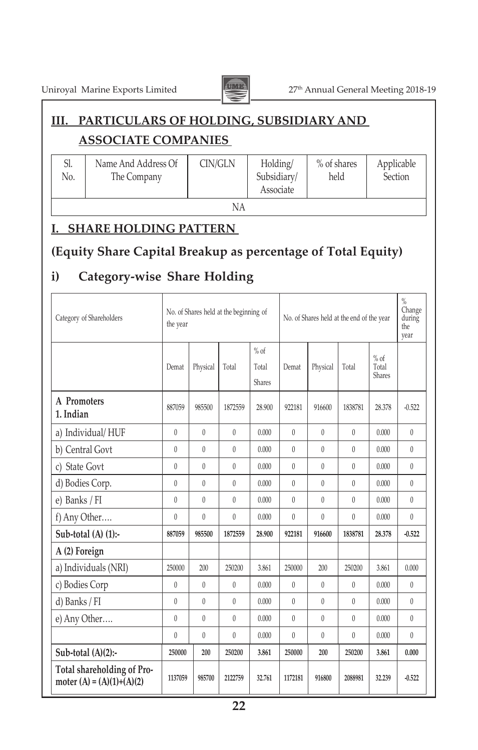

## **III. PARTICULARS OF HOLDING, SUBSIDIARY AND**

## **ASSOCIATE COMPANIES**

| Sl.<br>No. | Name And Address Of<br>The Company | CIN/GLN | Holding/<br>Subsidiary/<br>Associate | % of shares<br>held | Applicable<br>Section |  |  |  |
|------------|------------------------------------|---------|--------------------------------------|---------------------|-----------------------|--|--|--|
|            |                                    |         |                                      |                     |                       |  |  |  |

NA

## **I. SHARE HOLDING PATTERN**

## **(Equity Share Capital Breakup as percentage of Total Equity)**

## **i) Category-wise Share Holding**

| Category of Shareholders                                  | the year |          | No. of Shares held at the beginning of |                           | No. of Shares held at the end of the year |          |          |                                  | $\frac{0}{2}$<br>Change<br>during<br>the<br>year |
|-----------------------------------------------------------|----------|----------|----------------------------------------|---------------------------|-------------------------------------------|----------|----------|----------------------------------|--------------------------------------------------|
|                                                           | Demat    | Physical | Total                                  | $%$ of<br>Total<br>Shares | Demat                                     | Physical | Total    | $%$ of<br>Total<br><b>Shares</b> |                                                  |
| A Promoters<br>1. Indian                                  | 887059   | 985500   | 1872559                                | 28.900                    | 922181                                    | 916600   | 1838781  | 28.378                           | $-0.522$                                         |
| a) Individual/HUF                                         | $\theta$ | $\theta$ | $\theta$                               | 0.000                     | $\theta$                                  | $\theta$ | $\theta$ | 0.000                            | $\theta$                                         |
| b) Central Govt                                           | $\theta$ | $\theta$ | $\theta$                               | 0.000                     | $\theta$                                  | $\theta$ | $\theta$ | 0.000                            | $\theta$                                         |
| c) State Govt                                             | $\theta$ | $\theta$ | $\theta$                               | 0.000                     | $\theta$                                  | $\theta$ | $\theta$ | 0.000                            | $\theta$                                         |
| d) Bodies Corp.                                           | $\theta$ | $\theta$ | 0                                      | 0.000                     | $\theta$                                  | $\theta$ | $\theta$ | 0.000                            | $\theta$                                         |
| e) Banks / FI                                             | $\theta$ | $\theta$ | 0                                      | 0.000                     | $\theta$                                  | $\theta$ | $\theta$ | 0.000                            | $\theta$                                         |
| f) Any Other                                              | $\theta$ | $\theta$ | $\theta$                               | 0.000                     | $\theta$                                  | $\theta$ | $\theta$ | 0.000                            | $\theta$                                         |
| Sub-total (A) (1):-                                       | 887059   | 985500   | 1872559                                | 28.900                    | 922181                                    | 916600   | 1838781  | 28.378                           | $-0.522$                                         |
| A (2) Foreign                                             |          |          |                                        |                           |                                           |          |          |                                  |                                                  |
| a) Individuals (NRI)                                      | 250000   | 200      | 250200                                 | 3.861                     | 250000                                    | 200      | 250200   | 3.861                            | 0.000                                            |
| c) Bodies Corp                                            | $\theta$ | $\theta$ | $\theta$                               | 0.000                     | $\theta$                                  | $\theta$ | $\theta$ | 0.000                            | $\theta$                                         |
| d) Banks / FI                                             | $\theta$ | $\theta$ | $\theta$                               | 0.000                     | $\theta$                                  | $\theta$ | $\theta$ | 0.000                            | $\theta$                                         |
| e) Any Other                                              | $\theta$ | $\theta$ | 0                                      | 0.000                     | $\theta$                                  | $\theta$ | $\theta$ | 0.000                            | $\theta$                                         |
|                                                           | $\theta$ | $\theta$ | $\theta$                               | 0.000                     | $\theta$                                  | $\theta$ | $\theta$ | 0.000                            | $\theta$                                         |
| Sub-total $(A)(2)$ :-                                     | 250000   | 200      | 250200                                 | 3.861                     | 250000                                    | 200      | 250200   | 3.861                            | 0.000                                            |
| Total shareholding of Pro-<br>moter (A) = $(A)(1)+(A)(2)$ | 1137059  | 985700   | 2122759                                | 32.761                    | 1172181                                   | 916800   | 2088981  | 32.239                           | $-0.522$                                         |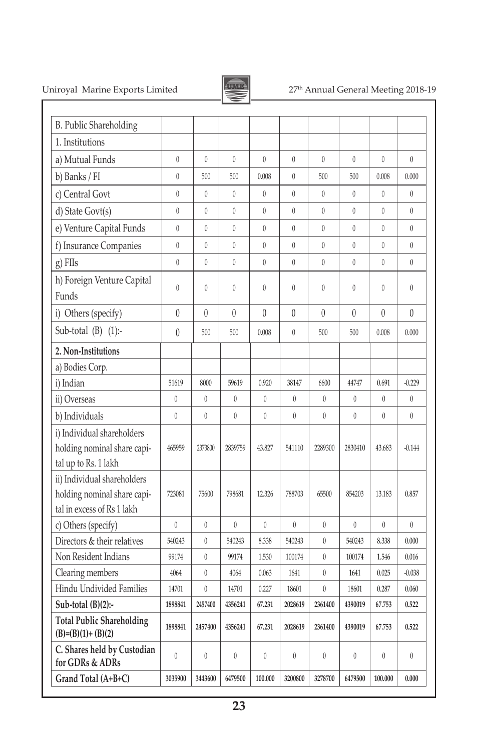

| 1. Institutions<br>a) Mutual Funds<br>$\overline{0}$<br>$\mathbf{0}$<br>$\mathbf{0}$<br>$\mathbf{0}$<br>$\mathbf{0}$<br>$\mathbf{0}$<br>$\theta$<br>$\mathbf{0}$<br>$\mathbf{0}$<br>$\overline{0}$<br>500<br>500<br>0.008<br>$\mathbf{0}$<br>500<br>500<br>0.008<br>0.000<br>c) Central Govt<br>$\boldsymbol{0}$<br>$\boldsymbol{0}$<br>$\boldsymbol{0}$<br>$\overline{0}$<br>$\mathbf{0}$<br>$\theta$<br>$\boldsymbol{0}$<br>$\mathbf{0}$<br>$\bf{0}$<br>$\overline{0}$<br>$\overline{0}$<br>$\theta$<br>$\overline{0}$<br>$\overline{0}$<br>$\theta$<br>$\overline{0}$<br>$\theta$<br>$\mathbf{0}$<br>$\overline{0}$<br>$\overline{0}$<br>$\mathbf{0}$<br>$\theta$<br>$\theta$<br>$\theta$<br>$\theta$<br>$\theta$<br>$\theta$<br>f) Insurance Companies<br>$\overline{0}$<br>$\overline{0}$<br>$\mathbf{0}$<br>$\mathbf{0}$<br>$\mathbf{0}$<br>$\theta$<br>$\theta$<br>$\theta$<br>$\theta$<br>$\overline{0}$<br>$\overline{0}$<br>$\mathbf{0}$<br>$\mathbf{0}$<br>$\mathbf{0}$<br>$\overline{0}$<br>$\mathbf{0}$<br>$\mathbf{0}$<br>$\mathbf{0}$<br>$\overline{0}$<br>$\theta$<br>$\theta$<br>$\mathbf{0}$<br>$\theta$<br>$\theta$<br>$\theta$<br>$\theta$<br>$\theta$<br>Funds<br>$\theta$<br>$\theta$<br>$\theta$<br>$\theta$<br>$\theta$<br>$\theta$<br>$\theta$<br>$\theta$<br>$\theta$<br>$\theta$<br>0.008<br>$\mathbf{0}$<br>500<br>500<br>0.008<br>0.000<br>500<br>500<br>51619<br>8000<br>59619<br>0.920<br>38147<br>6600<br>44747<br>0.691<br>$-0.229$<br>$\mathbf{0}$<br>ii) Overseas<br>$\mathbf{0}$<br>$\mathbf{0}$<br>$\theta$<br>$\mathbf{0}$<br>$\theta$<br>$\mathbf{0}$<br>$\theta$<br>$\theta$<br>$\mathbf{0}$<br>$\mathbf{0}$<br>$\mathbf{0}$<br>$\theta$<br>$\mathbf{0}$<br>$\mathbf{0}$<br>$\overline{0}$<br>$\mathbf{0}$<br>$\mathbf{0}$<br>holding nominal share capi-<br>465959<br>2373800<br>2839759<br>43.827<br>541110<br>2289300<br>2830410<br>43.683<br>$-0.144$<br>tal up to Rs. 1 lakh<br>holding nominal share capi-<br>723081<br>788703<br>854203<br>75600<br>798681<br>12.326<br>65500<br>13.183<br>0.857<br>tal in excess of Rs 1 lakh<br>$\overline{0}$<br>$\theta$<br>$\overline{0}$<br>$\theta$<br>$\theta$<br>$\theta$<br>$\theta$<br>$\overline{0}$<br>$\theta$<br>Directors & their relatives<br>540243<br>540243<br>8.338<br>540243<br>$\theta$<br>540243<br>8.338<br>$\theta$<br>0.000<br>Non Resident Indians<br>99174<br>$\mathbf{0}$<br>99174<br>100174<br>$\mathbf{0}$<br>100174<br>1.546<br>0.016<br>1.530<br>Clearing members<br>$\overline{0}$<br>4064<br>4064<br>0.063<br>1641<br>$\mathbf{0}$<br>1641<br>0.025<br>$-0.038$<br>$\overline{0}$<br>$\overline{0}$<br>14701<br>14701<br>0.227<br>18601<br>18601<br>0.287<br>0.060<br>Sub-total $(B)(2)$ :-<br>1898841<br>2361400<br>4390019<br>2457400<br>4356241<br>67.231<br>2028619<br>67.753<br>0.522<br><b>Total Public Shareholding</b><br>1898841<br>2457400<br>4356241<br>67.231<br>2028619<br>2361400<br>4390019<br>67.753<br>0.522<br>$(B)=(B)(1)+(B)(2)$<br>C. Shares held by Custodian<br>$\overline{0}$<br>$\mathbf{0}$<br>$\theta$<br>$\theta$<br>$\theta$<br>$\theta$<br>$\theta$<br>$\theta$<br>$\theta$<br>for GDRs & ADRs<br>Grand Total (A+B+C)<br>6479500<br>3035900<br>3443600<br>6479500<br>100.000<br>3200800<br>3278700<br>100.000<br>0.000 | <b>B.</b> Public Shareholding |  |  |  |  |  |
|-------------------------------------------------------------------------------------------------------------------------------------------------------------------------------------------------------------------------------------------------------------------------------------------------------------------------------------------------------------------------------------------------------------------------------------------------------------------------------------------------------------------------------------------------------------------------------------------------------------------------------------------------------------------------------------------------------------------------------------------------------------------------------------------------------------------------------------------------------------------------------------------------------------------------------------------------------------------------------------------------------------------------------------------------------------------------------------------------------------------------------------------------------------------------------------------------------------------------------------------------------------------------------------------------------------------------------------------------------------------------------------------------------------------------------------------------------------------------------------------------------------------------------------------------------------------------------------------------------------------------------------------------------------------------------------------------------------------------------------------------------------------------------------------------------------------------------------------------------------------------------------------------------------------------------------------------------------------------------------------------------------------------------------------------------------------------------------------------------------------------------------------------------------------------------------------------------------------------------------------------------------------------------------------------------------------------------------------------------------------------------------------------------------------------------------------------------------------------------------------------------------------------------------------------------------------------------------------------------------------------------------------------------------------------------------------------------------------------------------------------------------------------------------------------------------------------------------------------------------------------------------------------------------------------------------------------------------------------------------------------------------------------------------------------------------------------------------------------------------------------------------------------------------------------------------------------------------------------------------------------------------------------|-------------------------------|--|--|--|--|--|
|                                                                                                                                                                                                                                                                                                                                                                                                                                                                                                                                                                                                                                                                                                                                                                                                                                                                                                                                                                                                                                                                                                                                                                                                                                                                                                                                                                                                                                                                                                                                                                                                                                                                                                                                                                                                                                                                                                                                                                                                                                                                                                                                                                                                                                                                                                                                                                                                                                                                                                                                                                                                                                                                                                                                                                                                                                                                                                                                                                                                                                                                                                                                                                                                                                                                         |                               |  |  |  |  |  |
|                                                                                                                                                                                                                                                                                                                                                                                                                                                                                                                                                                                                                                                                                                                                                                                                                                                                                                                                                                                                                                                                                                                                                                                                                                                                                                                                                                                                                                                                                                                                                                                                                                                                                                                                                                                                                                                                                                                                                                                                                                                                                                                                                                                                                                                                                                                                                                                                                                                                                                                                                                                                                                                                                                                                                                                                                                                                                                                                                                                                                                                                                                                                                                                                                                                                         |                               |  |  |  |  |  |
|                                                                                                                                                                                                                                                                                                                                                                                                                                                                                                                                                                                                                                                                                                                                                                                                                                                                                                                                                                                                                                                                                                                                                                                                                                                                                                                                                                                                                                                                                                                                                                                                                                                                                                                                                                                                                                                                                                                                                                                                                                                                                                                                                                                                                                                                                                                                                                                                                                                                                                                                                                                                                                                                                                                                                                                                                                                                                                                                                                                                                                                                                                                                                                                                                                                                         | b) Banks / FI                 |  |  |  |  |  |
|                                                                                                                                                                                                                                                                                                                                                                                                                                                                                                                                                                                                                                                                                                                                                                                                                                                                                                                                                                                                                                                                                                                                                                                                                                                                                                                                                                                                                                                                                                                                                                                                                                                                                                                                                                                                                                                                                                                                                                                                                                                                                                                                                                                                                                                                                                                                                                                                                                                                                                                                                                                                                                                                                                                                                                                                                                                                                                                                                                                                                                                                                                                                                                                                                                                                         |                               |  |  |  |  |  |
|                                                                                                                                                                                                                                                                                                                                                                                                                                                                                                                                                                                                                                                                                                                                                                                                                                                                                                                                                                                                                                                                                                                                                                                                                                                                                                                                                                                                                                                                                                                                                                                                                                                                                                                                                                                                                                                                                                                                                                                                                                                                                                                                                                                                                                                                                                                                                                                                                                                                                                                                                                                                                                                                                                                                                                                                                                                                                                                                                                                                                                                                                                                                                                                                                                                                         | d) State Govt(s)              |  |  |  |  |  |
|                                                                                                                                                                                                                                                                                                                                                                                                                                                                                                                                                                                                                                                                                                                                                                                                                                                                                                                                                                                                                                                                                                                                                                                                                                                                                                                                                                                                                                                                                                                                                                                                                                                                                                                                                                                                                                                                                                                                                                                                                                                                                                                                                                                                                                                                                                                                                                                                                                                                                                                                                                                                                                                                                                                                                                                                                                                                                                                                                                                                                                                                                                                                                                                                                                                                         | e) Venture Capital Funds      |  |  |  |  |  |
|                                                                                                                                                                                                                                                                                                                                                                                                                                                                                                                                                                                                                                                                                                                                                                                                                                                                                                                                                                                                                                                                                                                                                                                                                                                                                                                                                                                                                                                                                                                                                                                                                                                                                                                                                                                                                                                                                                                                                                                                                                                                                                                                                                                                                                                                                                                                                                                                                                                                                                                                                                                                                                                                                                                                                                                                                                                                                                                                                                                                                                                                                                                                                                                                                                                                         |                               |  |  |  |  |  |
|                                                                                                                                                                                                                                                                                                                                                                                                                                                                                                                                                                                                                                                                                                                                                                                                                                                                                                                                                                                                                                                                                                                                                                                                                                                                                                                                                                                                                                                                                                                                                                                                                                                                                                                                                                                                                                                                                                                                                                                                                                                                                                                                                                                                                                                                                                                                                                                                                                                                                                                                                                                                                                                                                                                                                                                                                                                                                                                                                                                                                                                                                                                                                                                                                                                                         | g) FIIs                       |  |  |  |  |  |
|                                                                                                                                                                                                                                                                                                                                                                                                                                                                                                                                                                                                                                                                                                                                                                                                                                                                                                                                                                                                                                                                                                                                                                                                                                                                                                                                                                                                                                                                                                                                                                                                                                                                                                                                                                                                                                                                                                                                                                                                                                                                                                                                                                                                                                                                                                                                                                                                                                                                                                                                                                                                                                                                                                                                                                                                                                                                                                                                                                                                                                                                                                                                                                                                                                                                         | h) Foreign Venture Capital    |  |  |  |  |  |
|                                                                                                                                                                                                                                                                                                                                                                                                                                                                                                                                                                                                                                                                                                                                                                                                                                                                                                                                                                                                                                                                                                                                                                                                                                                                                                                                                                                                                                                                                                                                                                                                                                                                                                                                                                                                                                                                                                                                                                                                                                                                                                                                                                                                                                                                                                                                                                                                                                                                                                                                                                                                                                                                                                                                                                                                                                                                                                                                                                                                                                                                                                                                                                                                                                                                         | i) Others (specify)           |  |  |  |  |  |
|                                                                                                                                                                                                                                                                                                                                                                                                                                                                                                                                                                                                                                                                                                                                                                                                                                                                                                                                                                                                                                                                                                                                                                                                                                                                                                                                                                                                                                                                                                                                                                                                                                                                                                                                                                                                                                                                                                                                                                                                                                                                                                                                                                                                                                                                                                                                                                                                                                                                                                                                                                                                                                                                                                                                                                                                                                                                                                                                                                                                                                                                                                                                                                                                                                                                         | Sub-total $(B)$ $(1)$ :-      |  |  |  |  |  |
|                                                                                                                                                                                                                                                                                                                                                                                                                                                                                                                                                                                                                                                                                                                                                                                                                                                                                                                                                                                                                                                                                                                                                                                                                                                                                                                                                                                                                                                                                                                                                                                                                                                                                                                                                                                                                                                                                                                                                                                                                                                                                                                                                                                                                                                                                                                                                                                                                                                                                                                                                                                                                                                                                                                                                                                                                                                                                                                                                                                                                                                                                                                                                                                                                                                                         | 2. Non-Institutions           |  |  |  |  |  |
|                                                                                                                                                                                                                                                                                                                                                                                                                                                                                                                                                                                                                                                                                                                                                                                                                                                                                                                                                                                                                                                                                                                                                                                                                                                                                                                                                                                                                                                                                                                                                                                                                                                                                                                                                                                                                                                                                                                                                                                                                                                                                                                                                                                                                                                                                                                                                                                                                                                                                                                                                                                                                                                                                                                                                                                                                                                                                                                                                                                                                                                                                                                                                                                                                                                                         | a) Bodies Corp.               |  |  |  |  |  |
|                                                                                                                                                                                                                                                                                                                                                                                                                                                                                                                                                                                                                                                                                                                                                                                                                                                                                                                                                                                                                                                                                                                                                                                                                                                                                                                                                                                                                                                                                                                                                                                                                                                                                                                                                                                                                                                                                                                                                                                                                                                                                                                                                                                                                                                                                                                                                                                                                                                                                                                                                                                                                                                                                                                                                                                                                                                                                                                                                                                                                                                                                                                                                                                                                                                                         | i) Indian                     |  |  |  |  |  |
|                                                                                                                                                                                                                                                                                                                                                                                                                                                                                                                                                                                                                                                                                                                                                                                                                                                                                                                                                                                                                                                                                                                                                                                                                                                                                                                                                                                                                                                                                                                                                                                                                                                                                                                                                                                                                                                                                                                                                                                                                                                                                                                                                                                                                                                                                                                                                                                                                                                                                                                                                                                                                                                                                                                                                                                                                                                                                                                                                                                                                                                                                                                                                                                                                                                                         |                               |  |  |  |  |  |
|                                                                                                                                                                                                                                                                                                                                                                                                                                                                                                                                                                                                                                                                                                                                                                                                                                                                                                                                                                                                                                                                                                                                                                                                                                                                                                                                                                                                                                                                                                                                                                                                                                                                                                                                                                                                                                                                                                                                                                                                                                                                                                                                                                                                                                                                                                                                                                                                                                                                                                                                                                                                                                                                                                                                                                                                                                                                                                                                                                                                                                                                                                                                                                                                                                                                         | b) Individuals                |  |  |  |  |  |
|                                                                                                                                                                                                                                                                                                                                                                                                                                                                                                                                                                                                                                                                                                                                                                                                                                                                                                                                                                                                                                                                                                                                                                                                                                                                                                                                                                                                                                                                                                                                                                                                                                                                                                                                                                                                                                                                                                                                                                                                                                                                                                                                                                                                                                                                                                                                                                                                                                                                                                                                                                                                                                                                                                                                                                                                                                                                                                                                                                                                                                                                                                                                                                                                                                                                         | i) Individual shareholders    |  |  |  |  |  |
|                                                                                                                                                                                                                                                                                                                                                                                                                                                                                                                                                                                                                                                                                                                                                                                                                                                                                                                                                                                                                                                                                                                                                                                                                                                                                                                                                                                                                                                                                                                                                                                                                                                                                                                                                                                                                                                                                                                                                                                                                                                                                                                                                                                                                                                                                                                                                                                                                                                                                                                                                                                                                                                                                                                                                                                                                                                                                                                                                                                                                                                                                                                                                                                                                                                                         | ii) Individual shareholders   |  |  |  |  |  |
|                                                                                                                                                                                                                                                                                                                                                                                                                                                                                                                                                                                                                                                                                                                                                                                                                                                                                                                                                                                                                                                                                                                                                                                                                                                                                                                                                                                                                                                                                                                                                                                                                                                                                                                                                                                                                                                                                                                                                                                                                                                                                                                                                                                                                                                                                                                                                                                                                                                                                                                                                                                                                                                                                                                                                                                                                                                                                                                                                                                                                                                                                                                                                                                                                                                                         | c) Others (specify)           |  |  |  |  |  |
|                                                                                                                                                                                                                                                                                                                                                                                                                                                                                                                                                                                                                                                                                                                                                                                                                                                                                                                                                                                                                                                                                                                                                                                                                                                                                                                                                                                                                                                                                                                                                                                                                                                                                                                                                                                                                                                                                                                                                                                                                                                                                                                                                                                                                                                                                                                                                                                                                                                                                                                                                                                                                                                                                                                                                                                                                                                                                                                                                                                                                                                                                                                                                                                                                                                                         |                               |  |  |  |  |  |
|                                                                                                                                                                                                                                                                                                                                                                                                                                                                                                                                                                                                                                                                                                                                                                                                                                                                                                                                                                                                                                                                                                                                                                                                                                                                                                                                                                                                                                                                                                                                                                                                                                                                                                                                                                                                                                                                                                                                                                                                                                                                                                                                                                                                                                                                                                                                                                                                                                                                                                                                                                                                                                                                                                                                                                                                                                                                                                                                                                                                                                                                                                                                                                                                                                                                         |                               |  |  |  |  |  |
|                                                                                                                                                                                                                                                                                                                                                                                                                                                                                                                                                                                                                                                                                                                                                                                                                                                                                                                                                                                                                                                                                                                                                                                                                                                                                                                                                                                                                                                                                                                                                                                                                                                                                                                                                                                                                                                                                                                                                                                                                                                                                                                                                                                                                                                                                                                                                                                                                                                                                                                                                                                                                                                                                                                                                                                                                                                                                                                                                                                                                                                                                                                                                                                                                                                                         |                               |  |  |  |  |  |
|                                                                                                                                                                                                                                                                                                                                                                                                                                                                                                                                                                                                                                                                                                                                                                                                                                                                                                                                                                                                                                                                                                                                                                                                                                                                                                                                                                                                                                                                                                                                                                                                                                                                                                                                                                                                                                                                                                                                                                                                                                                                                                                                                                                                                                                                                                                                                                                                                                                                                                                                                                                                                                                                                                                                                                                                                                                                                                                                                                                                                                                                                                                                                                                                                                                                         | Hindu Undivided Families      |  |  |  |  |  |
|                                                                                                                                                                                                                                                                                                                                                                                                                                                                                                                                                                                                                                                                                                                                                                                                                                                                                                                                                                                                                                                                                                                                                                                                                                                                                                                                                                                                                                                                                                                                                                                                                                                                                                                                                                                                                                                                                                                                                                                                                                                                                                                                                                                                                                                                                                                                                                                                                                                                                                                                                                                                                                                                                                                                                                                                                                                                                                                                                                                                                                                                                                                                                                                                                                                                         |                               |  |  |  |  |  |
|                                                                                                                                                                                                                                                                                                                                                                                                                                                                                                                                                                                                                                                                                                                                                                                                                                                                                                                                                                                                                                                                                                                                                                                                                                                                                                                                                                                                                                                                                                                                                                                                                                                                                                                                                                                                                                                                                                                                                                                                                                                                                                                                                                                                                                                                                                                                                                                                                                                                                                                                                                                                                                                                                                                                                                                                                                                                                                                                                                                                                                                                                                                                                                                                                                                                         |                               |  |  |  |  |  |
|                                                                                                                                                                                                                                                                                                                                                                                                                                                                                                                                                                                                                                                                                                                                                                                                                                                                                                                                                                                                                                                                                                                                                                                                                                                                                                                                                                                                                                                                                                                                                                                                                                                                                                                                                                                                                                                                                                                                                                                                                                                                                                                                                                                                                                                                                                                                                                                                                                                                                                                                                                                                                                                                                                                                                                                                                                                                                                                                                                                                                                                                                                                                                                                                                                                                         |                               |  |  |  |  |  |
|                                                                                                                                                                                                                                                                                                                                                                                                                                                                                                                                                                                                                                                                                                                                                                                                                                                                                                                                                                                                                                                                                                                                                                                                                                                                                                                                                                                                                                                                                                                                                                                                                                                                                                                                                                                                                                                                                                                                                                                                                                                                                                                                                                                                                                                                                                                                                                                                                                                                                                                                                                                                                                                                                                                                                                                                                                                                                                                                                                                                                                                                                                                                                                                                                                                                         |                               |  |  |  |  |  |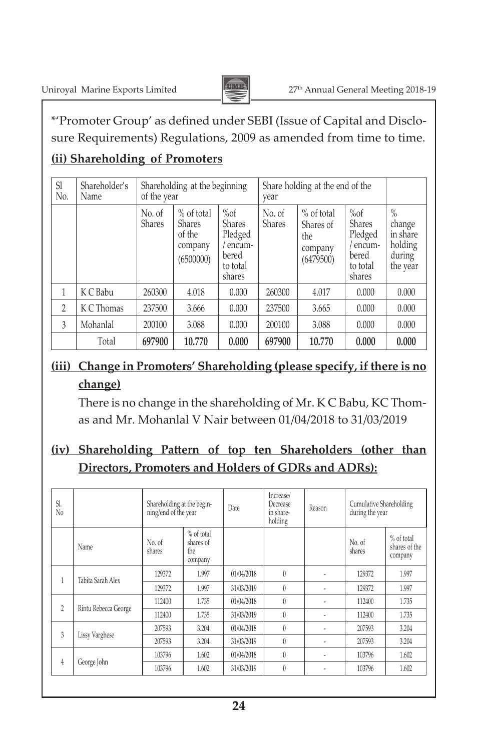

\*'Promoter Group' as defined under SEBI (Issue of Capital and Disclosure Requirements) Regulations, 2009 as amended from time to time.

## **(ii) Shareholding of Promoters**

| S1<br>N <sub>o</sub> | Shareholder's<br>Name |                         | Shareholding at the beginning<br>of the year                  |                                                                             |                         | Share holding at the end of the<br>year                |                                                                          |                                                                      |
|----------------------|-----------------------|-------------------------|---------------------------------------------------------------|-----------------------------------------------------------------------------|-------------------------|--------------------------------------------------------|--------------------------------------------------------------------------|----------------------------------------------------------------------|
|                      |                       | No. of<br><b>Shares</b> | % of total<br><b>Shares</b><br>of the<br>company<br>(6500000) | $\%of$<br><b>Shares</b><br>Pledged<br>encum-<br>bered<br>to total<br>shares | No. of<br><b>Shares</b> | % of total<br>Shares of<br>the<br>company<br>(6479500) | %of<br><b>Shares</b><br>Pledged<br>encum-<br>bered<br>to total<br>shares | $\frac{0}{0}$<br>change<br>in share<br>holding<br>during<br>the year |
| 1                    | K C Babu              | 260300                  | 4.018                                                         | 0.000                                                                       | 260300                  | 4.017                                                  | 0.000                                                                    | 0.000                                                                |
| $\overline{2}$       | K C Thomas            | 237500                  | 3.666                                                         | 0.000                                                                       | 237500                  | 3.665                                                  | 0.000                                                                    | 0.000                                                                |
| 3                    | Mohanlal              | 200100                  | 3.088                                                         | 0.000                                                                       | 200100                  | 3.088                                                  | 0.000                                                                    | 0.000                                                                |
|                      | Total                 | 697900                  | 10.770                                                        | 0.000                                                                       | 697900                  | 10.770                                                 | 0.000                                                                    | 0.000                                                                |

## **(iii) Change in Promoters' Shareholding (please specify, if there is no change)**

 There is no change in the shareholding of Mr. K C Babu, KC Thomas and Mr. Mohanlal V Nair between 01/04/2018 to 31/03/2019

## **(iv) Shareholding Pattern of top ten Shareholders (other than Directors, Promoters and Holders of GDRs and ADRs):**

| Sl.<br>N <sub>0</sub> |                      | Shareholding at the begin-<br>ning/end of the year |                                           | Date       | Increase/<br>Decrease<br>in share-<br>holding | Reason | Cumulative Shareholding<br>during the year |                                        |
|-----------------------|----------------------|----------------------------------------------------|-------------------------------------------|------------|-----------------------------------------------|--------|--------------------------------------------|----------------------------------------|
|                       | Name                 | No. of<br>shares                                   | % of total<br>shares of<br>the<br>company |            |                                               |        | No. of<br>shares                           | % of total<br>shares of the<br>company |
| 1                     | Tabita Sarah Alex    | 129372                                             | 1.997                                     | 01/04/2018 | $\theta$                                      |        | 129372                                     | 1.997                                  |
|                       |                      | 129372                                             | 1.997                                     | 31/03/2019 | $\theta$                                      | ٠      | 129372                                     | 1.997                                  |
| $\overline{2}$        | Rintu Rebecca George | 112400                                             | 1.735                                     | 01/04/2018 | $\theta$                                      | ٠      | 112400                                     | 1.735                                  |
|                       |                      | 112400                                             | 1.735                                     | 31/03/2019 | $\theta$                                      | ٠      | 112400                                     | 1.735                                  |
| 3                     | Lissy Varghese       | 207593                                             | 3.204                                     | 01/04/2018 | $\theta$                                      | ٠      | 207593                                     | 3.204                                  |
|                       |                      | 207593                                             | 3.204                                     | 31/03/2019 | $\theta$                                      | ٠      | 207593                                     | 3.204                                  |
|                       | George John          | 103796                                             | 1.602                                     | 01/04/2018 | $\theta$                                      | ٠      | 103796                                     | 1.602                                  |
| 4                     |                      | 103796                                             | 1.602                                     | 31/03/2019 | $\theta$                                      | ٠      | 103796                                     | 1.602                                  |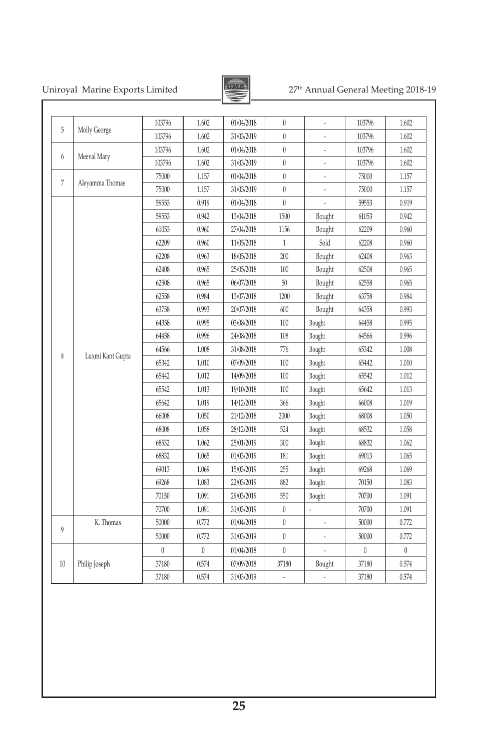

|    |                  | 103796   | 1.602    | 01/04/2018 | 0                |        | 103796       | 1.602    |
|----|------------------|----------|----------|------------|------------------|--------|--------------|----------|
| 5  | Molly George     | 103796   | 1.602    | 31/03/2019 | $\theta$         |        | 103796       | 1.602    |
|    |                  | 103796   | 1.602    | 01/04/2018 | $\mathbf{0}$     | l,     | 103796       | 1.602    |
| 6  | Meeval Mary      | 103796   | 1.602    | 31/03/2019 | $\boldsymbol{0}$ | ÷,     | 103796       | 1.602    |
| 7  | Aleyamma Thomas  | 75000    | 1.157    | 01/04/2018 | $\mathbf{0}$     | ä,     | 75000        | 1.157    |
|    |                  | 75000    | 1.157    | 31/03/2019 | $\bf{0}$         | ä,     | 75000        | 1.157    |
|    |                  | 59553    | 0.919    | 01/04/2018 | $\mathbf{0}$     |        | 59553        | 0.919    |
|    |                  | 59553    | 0.942    | 13/04/2018 | 1500             | Bought | 61053        | 0.942    |
|    |                  | 61053    | 0.960    | 27/04/2018 | 1156             | Bought | 62209        | 0.960    |
|    |                  | 62209    | 0.960    | 11/05/2018 | 1                | Sold   | 62208        | 0.960    |
|    |                  | 62208    | 0.963    | 18/05/2018 | 200              | Bought | 62408        | 0.963    |
|    |                  | 62408    | 0.965    | 25/05/2018 | 100              | Bought | 62508        | 0.965    |
|    |                  | 62508    | 0.965    | 06/07/2018 | $50\,$           | Bought | 62558        | 0.965    |
|    |                  | 62558    | 0.984    | 13/07/2018 | 1200             | Bought | 63758        | 0.984    |
|    |                  | 63758    | 0.993    | 20/07/2018 | 600              | Bought | 64358        | 0.993    |
|    | Luxmi Kant Gupta | 64358    | 0.995    | 03/08/2018 | 100              | Bought | 64458        | 0.995    |
|    |                  | 64458    | 0.996    | 24/08/2018 | 108              | Bought | 64566        | 0.996    |
|    |                  | 64566    | 1.008    | 31/08/2018 | 776              | Bought | 65342        | 1.008    |
| 8  |                  | 65342    | 1.010    | 07/09/2018 | 100              | Bought | 65442        | 1.010    |
|    |                  | 65442    | 1.012    | 14/09/2018 | 100              | Bought | 65542        | 1.012    |
|    |                  | 65542    | 1.013    | 19/10/2018 | 100              | Bought | 65642        | 1.013    |
|    |                  | 65642    | 1.019    | 14/12/2018 | 366              | Bought | 66008        | 1.019    |
|    |                  | 66008    | 1.050    | 21/12/2018 | 2000             | Bought | 68008        | 1.050    |
|    |                  | 68008    | 1.058    | 28/12/2018 | 524              | Bought | 68532        | 1.058    |
|    |                  | 68532    | 1.062    | 25/01/2019 | 300              | Bought | 68832        | 1.062    |
|    |                  | 68832    | 1.065    | 01/03/2019 | 181              | Bought | 69013        | 1.065    |
|    |                  | 69013    | 1.069    | 15/03/2019 | 255              | Bought | 69268        | 1.069    |
|    |                  | 69268    | 1.083    | 22/03/2019 | 882              | Bought | 70150        | 1.083    |
|    |                  | 70150    | 1.091    | 29/03/2019 | 550              | Bought | 70700        | 1.091    |
|    |                  | 70700    | 1.091    | 31/03/2019 | $\mathbf{0}$     |        | 70700        | 1.091    |
|    | K. Thomas        | 50000    | 0.772    | 01/04/2018 | $\bf{0}$         |        | 50000        | 0.772    |
| 9  |                  | 50000    | 0.772    | 31/03/2019 | $\boldsymbol{0}$ |        | 50000        | 0.772    |
|    |                  | $\theta$ | $\theta$ | 01/04/2018 | $\mathbf{0}$     | L      | $\mathbf{0}$ | $\theta$ |
| 10 | Philip Joseph    | 37180    | 0.574    | 07/09/2018 | 37180            | Bought | 37180        | 0.574    |
|    |                  | 37180    | 0.574    | 31/03/2019 | $\overline{a}$   |        | 37180        | 0.574    |
|    |                  |          |          |            |                  |        |              |          |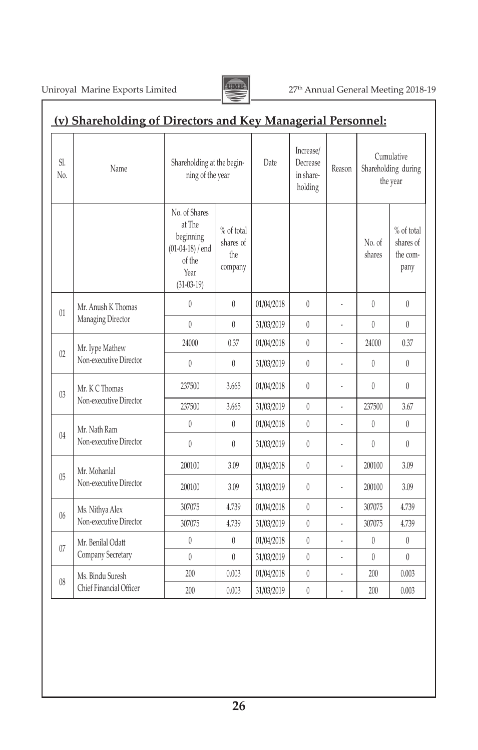

#### Sl. SI.<br>
No. Name Shareholding at the begin-<br>
ning of the year Date Increase/ Decrease in shareholding Reason Cumulative Shareholding during the year No. of Shares at The beginning (01-04-18) / end of the Year (31-03-19) % of total shares of the company No. of shares % of total shares of the company  $\begin{array}{c|c} \hline 01 \end{array}$  Mr. Anush K Thomas Managing Director  $0 \qquad 0 \qquad 01/04/2018 \qquad 0 \qquad - \qquad 0 \qquad 0$ 0 0 31/03/2019 0 - 0 0 0  $02 \int Mr.$  Iype Mathew Non-executive Director 24000 | 0.37 | 01/04/2018 | 0 | - | 24000 | 0.37  $0 \qquad 0 \qquad 31/03/2019 \qquad 0 \qquad - \qquad 0 \qquad 0$ 03 | Mr. K C Thomas<br>Non-executive Director  $237500$   $3.665$  01/04/2018 0 - 0 237500 3.665 31/03/2019 0 - 237500 3.67 <sup>04</sup> Mr. Nath Ram Non-executive Director  $0 \qquad 0 \qquad 0 \qquad 01/04/2018 \qquad 0 \qquad - \qquad 0 \qquad 0$  $0 \qquad 0 \qquad 31/03/2019 \qquad 0 \qquad - \qquad 0 \qquad 0$ <sup>05</sup> Mr. Mohanlal Non-executive Director 200100 3.09 01/04/2018 0 - 200100 3.09 200100 3.09 31/03/2019 0 - 200100 3.09 <sup>06</sup> Ms. Nithya Alex Non-executive Director 307075 4.739 01/04/2018 0 - 307075 4.739 307075 4.739 31/03/2019 0 - 307075 4.739 07 Mr. Benilal Odatt<br>Company Secretary  $0 \qquad 0 \qquad 01/04/2018 \qquad 0 \qquad - \qquad 0 \qquad 0$  $0 \qquad 0 \qquad 31/03/2019 \qquad 0 \qquad - \qquad 0 \qquad 0$ <sup>08</sup> Ms. Bindu Suresh Chief Financial Officer 200 0.003 01/04/2018 0 - 200 0.003

200 0.003 31/03/2019 0 - 200 0.003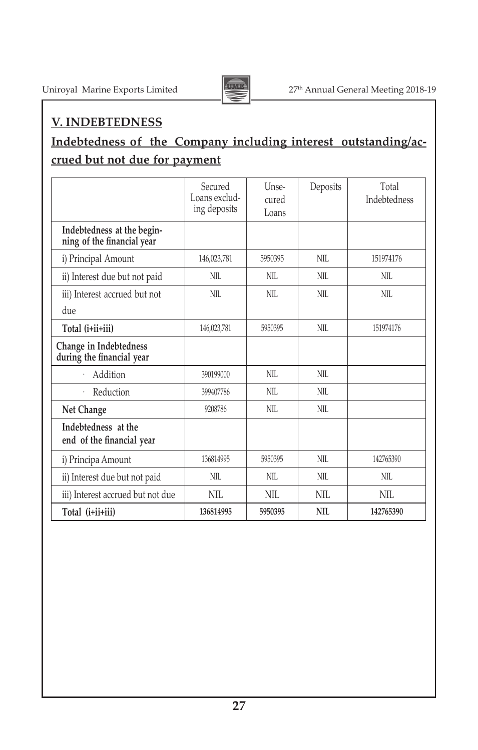

## **V. INDEBTEDNESS**

## **Indebtedness of the Company including interest outstanding/accrued but not due for payment**

|                                                          | Secured<br>Loans exclud-<br>ing deposits | Unse-<br>cured<br>Loans | Deposits | Total<br><b>Indebtedness</b> |
|----------------------------------------------------------|------------------------------------------|-------------------------|----------|------------------------------|
| Indebtedness at the begin-<br>ning of the financial year |                                          |                         |          |                              |
| i) Principal Amount                                      | 146,023,781                              | 5950395                 | NII.     | 151974176                    |
| ii) Interest due but not paid                            | NII.                                     | NII.                    | NII.     | NII.                         |
| iii) Interest accrued but not                            | NII.                                     | NII.                    | NII.     | NII.                         |
| due                                                      |                                          |                         |          |                              |
| Total (i+ii+iii)                                         | 146,023,781                              | 5950395                 | NII.     | 151974176                    |
| Change in Indebtedness<br>during the financial year      |                                          |                         |          |                              |
| Addition                                                 | 390199000                                | NII.                    | NII.     |                              |
| Reduction                                                | 399407786                                | NII.                    | NII.     |                              |
| Net Change                                               | 9208786                                  | NII.                    | NII.     |                              |
| Indebtedness at the<br>end of the financial year         |                                          |                         |          |                              |
| i) Principa Amount                                       | 136814995                                | 5950395                 | NII.     | 142765390                    |
| ii) Interest due but not paid                            | NII.                                     | NII.                    | NII.     | NII.                         |
| iii) Interest accrued but not due                        | NIL.                                     | NIL.                    | NIL.     | NIL.                         |
| Total (i+ii+iii)                                         | 136814995                                | 5950395                 | NII.     | 142765390                    |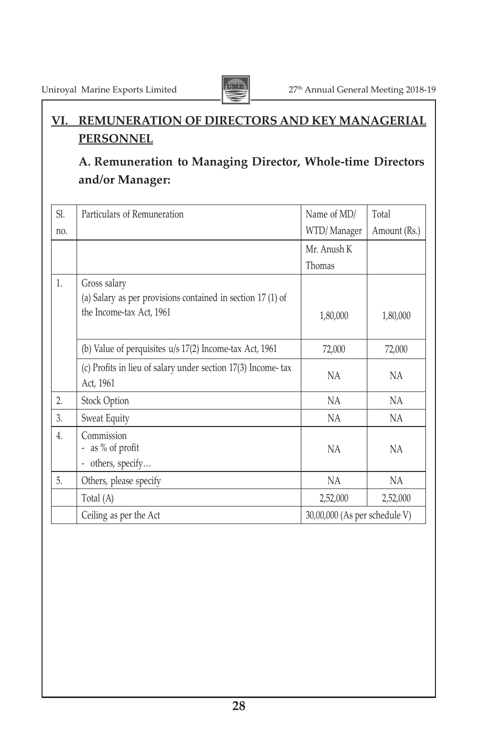

## **VI. REMUNERATION OF DIRECTORS AND KEY MANAGERIAL PERSONNEL**

## **A. Remuneration to Managing Director, Whole-time Directors and/or Manager:**

| Sl. | Particulars of Remuneration                                                                             | Name of MD/                   | Total        |
|-----|---------------------------------------------------------------------------------------------------------|-------------------------------|--------------|
| no. |                                                                                                         | WTD/Manager                   | Amount (Rs.) |
|     |                                                                                                         | Mr. Anush K                   |              |
|     |                                                                                                         | Thomas                        |              |
| 1.  | Gross salary<br>(a) Salary as per provisions contained in section 17 (1) of<br>the Income-tax Act, 1961 | 1,80,000                      | 1,80,000     |
|     | (b) Value of perquisites $u/s$ 17(2) Income-tax Act, 1961                                               | 72,000                        | 72,000       |
|     | (c) Profits in lieu of salary under section 17(3) Income-tax<br>Act, 1961                               | NA                            | NA           |
| 2.  | Stock Option                                                                                            | NA                            | NA           |
| 3.  | Sweat Equity                                                                                            | <b>NA</b>                     | NA           |
| 4.  | Commission<br>- as % of profit<br>- others, specify                                                     | <b>NA</b>                     | NA           |
| 5.  | Others, please specify                                                                                  | NА                            | NA           |
|     | Total (A)                                                                                               | 2,52,000                      | 2,52,000     |
|     | Ceiling as per the Act                                                                                  | 30,00,000 (As per schedule V) |              |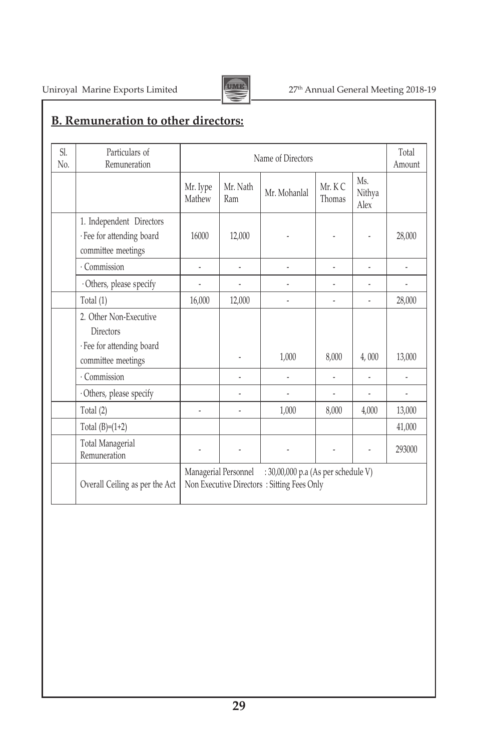

## **B. Remuneration to other directors:**

| SI.<br>No. | Particulars of<br>Remuneration                                                         |                                                                                                           | Name of Directors |              |                  | Total<br>Amount       |        |
|------------|----------------------------------------------------------------------------------------|-----------------------------------------------------------------------------------------------------------|-------------------|--------------|------------------|-----------------------|--------|
|            |                                                                                        | Mr. Iype<br>Mathew                                                                                        | Mr. Nath<br>Ram   | Mr. Mohanlal | Mr. KC<br>Thomas | Ms.<br>Nithya<br>Alex |        |
|            | 1. Independent Directors<br>· Fee for attending board<br>committee meetings            | 16000                                                                                                     | 12,000            |              |                  |                       | 28,000 |
|            | · Commission                                                                           |                                                                                                           |                   |              |                  |                       |        |
|            | ·Others, please specify                                                                |                                                                                                           | L,                |              |                  | ÷,                    |        |
|            | Total $(1)$                                                                            | 16,000                                                                                                    | 12,000            |              |                  | L.                    | 28,000 |
|            | 2. Other Non-Executive<br>Directors<br>· Fee for attending board<br>committee meetings |                                                                                                           |                   | 1,000        | 8.000            | 4,000                 | 13,000 |
|            | Commission                                                                             |                                                                                                           |                   |              |                  |                       |        |
|            | Others, please specify                                                                 |                                                                                                           |                   |              |                  |                       |        |
|            | Total (2)                                                                              | ÷,                                                                                                        | ÷,                | 1,000        | 8,000            | 4,000                 | 13,000 |
|            | Total $(B)=(1+2)$                                                                      |                                                                                                           |                   |              |                  |                       | 41,000 |
|            | <b>Total Managerial</b><br>Remuneration                                                |                                                                                                           |                   |              |                  |                       | 293000 |
|            | Overall Ceiling as per the Act                                                         | Managerial Personnel<br>: 30,00,000 p.a (As per schedule V)<br>Non Executive Directors: Sitting Fees Only |                   |              |                  |                       |        |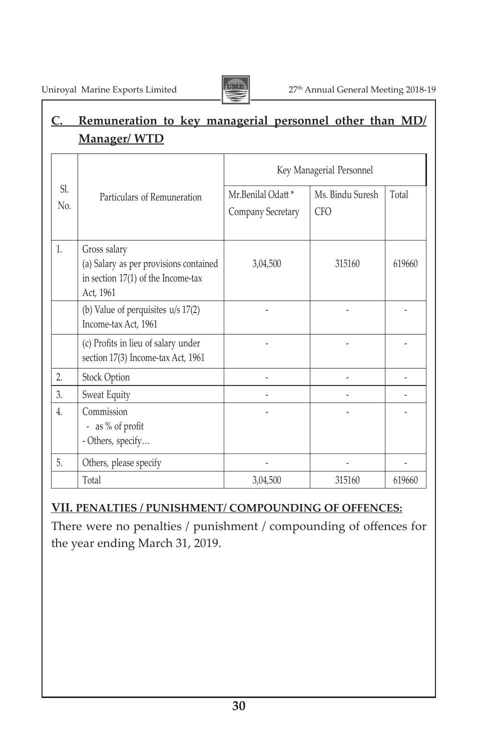

## **C. Remuneration to key managerial personnel other than MD/ Manager/ WTD**

|            |                                                                                                             | Key Managerial Personnel               |                                |        |  |  |
|------------|-------------------------------------------------------------------------------------------------------------|----------------------------------------|--------------------------------|--------|--|--|
| SI.<br>No. | Particulars of Remuneration                                                                                 | Mr.Benilal Odatt*<br>Company Secretary | Ms. Bindu Suresh<br><b>CFO</b> | Total  |  |  |
| 1.         | Gross salary<br>(a) Salary as per provisions contained<br>in section $17(1)$ of the Income-tax<br>Act, 1961 | 3,04,500                               | 315160                         | 619660 |  |  |
|            | (b) Value of perquisites u/s 17(2)<br>Income-tax Act, 1961                                                  |                                        |                                |        |  |  |
|            | (c) Profits in lieu of salary under<br>section 17(3) Income-tax Act, 1961                                   |                                        |                                |        |  |  |
| 2.         | <b>Stock Option</b>                                                                                         |                                        |                                |        |  |  |
| 3.         | Sweat Equity                                                                                                |                                        |                                |        |  |  |
| 4.         | Commission<br>- as % of profit<br>- Others, specify                                                         |                                        |                                |        |  |  |
| 5.         | Others, please specify                                                                                      |                                        |                                |        |  |  |
|            | Total                                                                                                       | 3,04,500                               | 315160                         | 619660 |  |  |

#### **VII. PENALTIES / PUNISHMENT/ COMPOUNDING OF OFFENCES:**

There were no penalties / punishment / compounding of offences for the year ending March 31, 2019.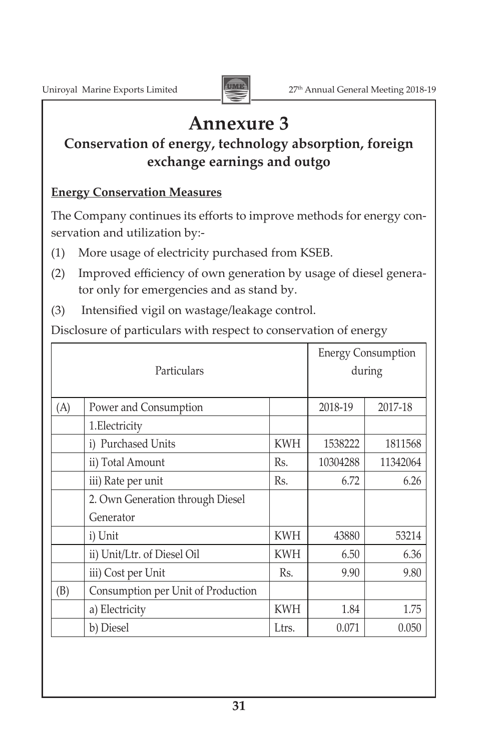

## **Annexure 3**

## **Conservation of energy, technology absorption, foreign exchange earnings and outgo**

## **Energy Conservation Measures**

The Company continues its efforts to improve methods for energy conservation and utilization by:-

- (1) More usage of electricity purchased from KSEB.
- (2) Improved efficiency of own generation by usage of diesel generator only for emergencies and as stand by.
- (3) Intensified vigil on wastage/leakage control.

Disclosure of particulars with respect to conservation of energy

| Particulars |                                    |            | <b>Energy Consumption</b><br>during |          |
|-------------|------------------------------------|------------|-------------------------------------|----------|
| (A)         | Power and Consumption              |            | 2018-19                             | 2017-18  |
|             | 1. Electricity                     |            |                                     |          |
|             | i) Purchased Units                 | <b>KWH</b> | 1538222                             | 1811568  |
|             | ii) Total Amount                   | Rs.        | 10304288                            | 11342064 |
|             | iii) Rate per unit                 | Rs.        | 6.72                                | 6.26     |
|             | 2. Own Generation through Diesel   |            |                                     |          |
|             | Generator                          |            |                                     |          |
|             | i) Unit                            | <b>KWH</b> | 43880                               | 53214    |
|             | ii) Unit/Ltr. of Diesel Oil        | <b>KWH</b> | 6.50                                | 6.36     |
|             | iii) Cost per Unit                 | Rs.        | 9.90                                | 9.80     |
| (B)         | Consumption per Unit of Production |            |                                     |          |
|             | a) Electricity                     | <b>KWH</b> | 1.84                                | 1.75     |
|             | b) Diesel                          | Ltrs.      | 0.071                               | 0.050    |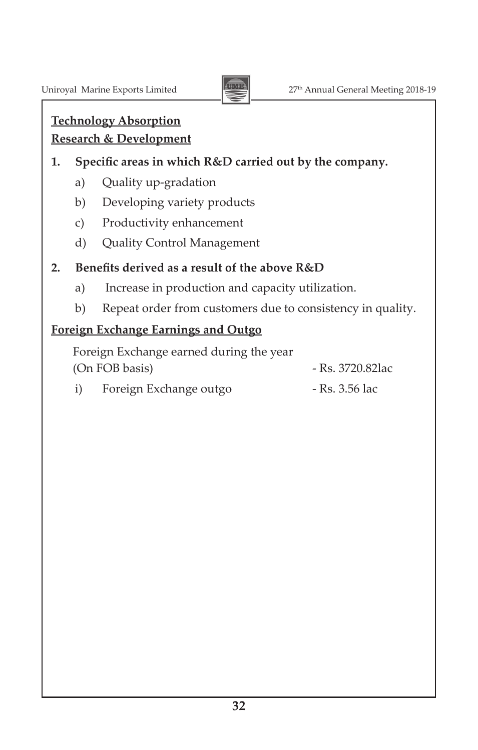

## **Technology Absorption Research & Development**

## **1. Specific areas in which R&D carried out by the company.**

- a) Ouality up-gradation
- b) Developing variety products
- c) Productivity enhancement
- d) Quality Control Management

### **2. Benefits derived as a result of the above R&D**

- a) Increase in production and capacity utilization.
- b) Repeat order from customers due to consistency in quality.

### **Foreign Exchange Earnings and Outgo**

Foreign Exchange earned during the year (On FOB basis) - Rs. 3720.82lac

i) Foreign Exchange outgo - Rs. 3.56 lac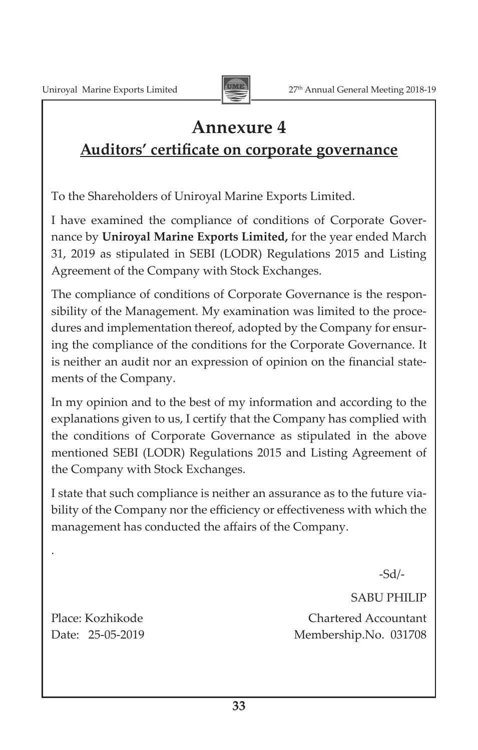

## **Annexure 4**

## **Auditors' certificate on corporate governance**

To the Shareholders of Uniroyal Marine Exports Limited. 

I have examined the compliance of conditions of Corporate Governance by **Uniroyal Marine Exports Limited,** for the year ended March 31, 2019 as stipulated in SEBI (LODR) Regulations 2015 and Listing Agreement of the Company with Stock Exchanges.

The compliance of conditions of Corporate Governance is the responsibility of the Management. My examination was limited to the procedures and implementation thereof, adopted by the Company for ensuring the compliance of the conditions for the Corporate Governance. It is neither an audit nor an expression of opinion on the financial statements of the Company.

In my opinion and to the best of my information and according to the explanations given to us, I certify that the Company has complied with the conditions of Corporate Governance as stipulated in the above mentioned SEBI (LODR) Regulations 2015 and Listing Agreement of the Company with Stock Exchanges.

I state that such compliance is neither an assurance as to the future viability of the Company nor the efficiency or effectiveness with which the management has conducted the affairs of the Company.

-Sd/-

SABU PHILIP Place: Kozhikode Chartered Accountant Date: 25-05-2019 Membership.No. 031708

.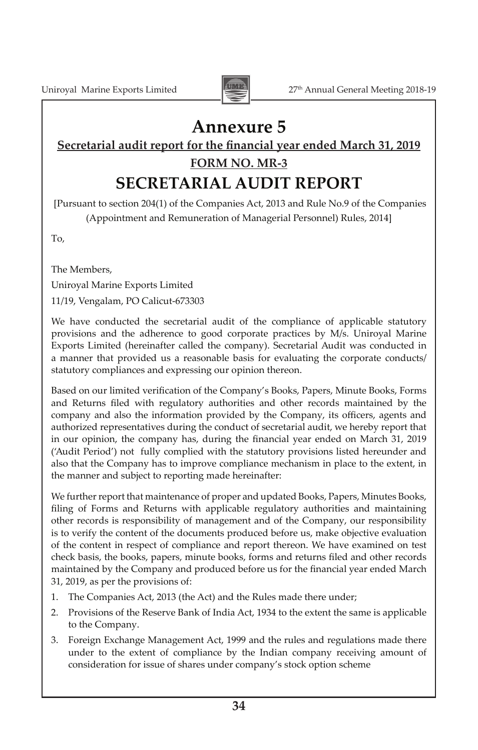

## **Annexure 5**

## **Secretarial audit report for the financial year ended March 31, 2019 FORM NO. MR-3 SECRETARIAL AUDIT REPORT**

[Pursuant to section 204(1) of the Companies Act, 2013 and Rule No.9 of the Companies (Appointment and Remuneration of Managerial Personnel) Rules, 2014]

To,

The Members,

Uniroyal Marine Exports Limited 11/19, Vengalam, PO Calicut-673303

We have conducted the secretarial audit of the compliance of applicable statutory provisions and the adherence to good corporate practices by M/s. Uniroyal Marine Exports Limited (hereinafter called the company). Secretarial Audit was conducted in a manner that provided us a reasonable basis for evaluating the corporate conducts/ statutory compliances and expressing our opinion thereon.

Based on our limited verification of the Company's Books, Papers, Minute Books, Forms and Returns filed with regulatory authorities and other records maintained by the company and also the information provided by the Company, its officers, agents and authorized representatives during the conduct of secretarial audit, we hereby report that in our opinion, the company has, during the financial year ended on March 31, 2019 ('Audit Period') not fully complied with the statutory provisions listed hereunder and also that the Company has to improve compliance mechanism in place to the extent, in the manner and subject to reporting made hereinafter:

We further report that maintenance of proper and updated Books, Papers, Minutes Books, filing of Forms and Returns with applicable regulatory authorities and maintaining other records is responsibility of management and of the Company, our responsibility is to verify the content of the documents produced before us, make objective evaluation of the content in respect of compliance and report thereon. We have examined on test check basis, the books, papers, minute books, forms and returns filed and other records maintained by the Company and produced before us for the financial year ended March 31, 2019, as per the provisions of:

- 1. The Companies Act, 2013 (the Act) and the Rules made there under;
- 2. Provisions of the Reserve Bank of India Act, 1934 to the extent the same is applicable to the Company.
- 3. Foreign Exchange Management Act, 1999 and the rules and regulations made there under to the extent of compliance by the Indian company receiving amount of consideration for issue of shares under company's stock option scheme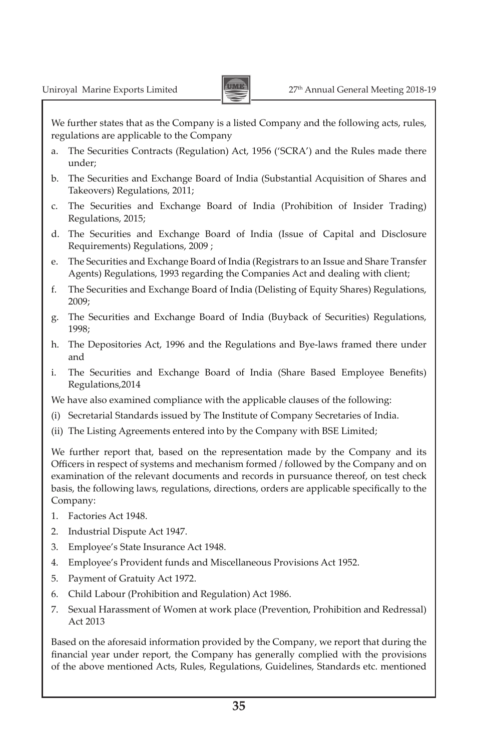

We further states that as the Company is a listed Company and the following acts, rules, regulations are applicable to the Company

- a. The Securities Contracts (Regulation) Act, 1956 ('SCRA') and the Rules made there under;
- b. The Securities and Exchange Board of India (Substantial Acquisition of Shares and Takeovers) Regulations, 2011;
- c. The Securities and Exchange Board of India (Prohibition of Insider Trading) Regulations, 2015;
- d. The Securities and Exchange Board of India (Issue of Capital and Disclosure Requirements) Regulations, 2009 ;
- e. The Securities and Exchange Board of India (Registrars to an Issue and Share Transfer Agents) Regulations, 1993 regarding the Companies Act and dealing with client;
- f. The Securities and Exchange Board of India (Delisting of Equity Shares) Regulations, 2009;
- g. The Securities and Exchange Board of India (Buyback of Securities) Regulations, 1998;
- h. The Depositories Act, 1996 and the Regulations and Bye-laws framed there under and
- i. The Securities and Exchange Board of India (Share Based Employee Benefits) Regulations,2014

We have also examined compliance with the applicable clauses of the following:

- (i) Secretarial Standards issued by The Institute of Company Secretaries of India.
- (ii) The Listing Agreements entered into by the Company with BSE Limited;

We further report that, based on the representation made by the Company and its Officers in respect of systems and mechanism formed / followed by the Company and on examination of the relevant documents and records in pursuance thereof, on test check basis, the following laws, regulations, directions, orders are applicable specifically to the Company:

- 1. Factories Act 1948.
- 2. Industrial Dispute Act 1947.
- 3. Employee's State Insurance Act 1948.
- 4. Employee's Provident funds and Miscellaneous Provisions Act 1952.
- 5. Payment of Gratuity Act 1972.
- 6. Child Labour (Prohibition and Regulation) Act 1986.
- 7. Sexual Harassment of Women at work place (Prevention, Prohibition and Redressal) Act 2013

Based on the aforesaid information provided by the Company, we report that during the financial year under report, the Company has generally complied with the provisions of the above mentioned Acts, Rules, Regulations, Guidelines, Standards etc. mentioned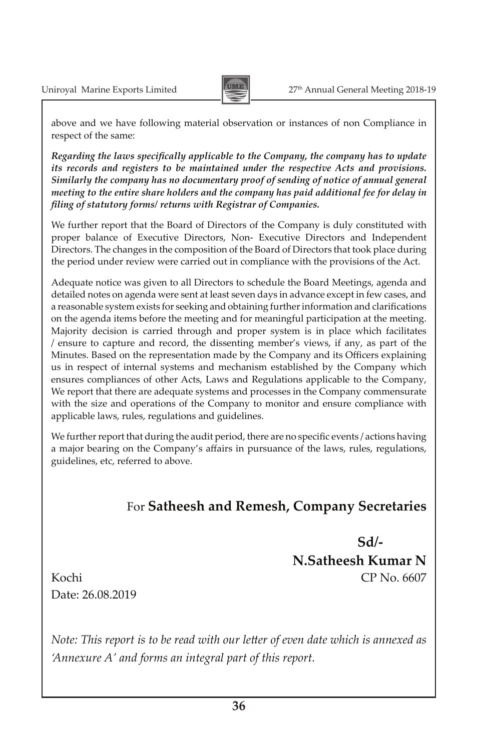

above and we have following material observation or instances of non Compliance in respect of the same:

*Regarding the laws specifically applicable to the Company, the company has to update its records and registers to be maintained under the respective Acts and provisions. Similarly the company has no documentary proof of sending of notice of annual general meeting to the entire share holders and the company has paid additional fee for delay in filing of statutory forms/ returns with Registrar of Companies.*

We further report that the Board of Directors of the Company is duly constituted with proper balance of Executive Directors, Non- Executive Directors and Independent Directors. The changes in the composition of the Board of Directors that took place during the period under review were carried out in compliance with the provisions of the Act.

Adequate notice was given to all Directors to schedule the Board Meetings, agenda and detailed notes on agenda were sent at least seven days in advance except in few cases, and a reasonable system exists for seeking and obtaining further information and clarifications on the agenda items before the meeting and for meaningful participation at the meeting. Majority decision is carried through and proper system is in place which facilitates / ensure to capture and record, the dissenting member's views, if any, as part of the Minutes. Based on the representation made by the Company and its Officers explaining us in respect of internal systems and mechanism established by the Company which ensures compliances of other Acts, Laws and Regulations applicable to the Company, We report that there are adequate systems and processes in the Company commensurate with the size and operations of the Company to monitor and ensure compliance with applicable laws, rules, regulations and guidelines.

We further report that during the audit period, there are no specific events  $/$  actions having a major bearing on the Company's affairs in pursuance of the laws, rules, regulations, guidelines, etc, referred to above.

## For **Satheesh and Remesh, Company Secretaries**

**Sd/- N.Satheesh Kumar N** Kochi CP No. 6607

Date: 26.08.2019

*Note: This report is to be read with our letter of even date which is annexed as 'Annexure A' and forms an integral part of this report.*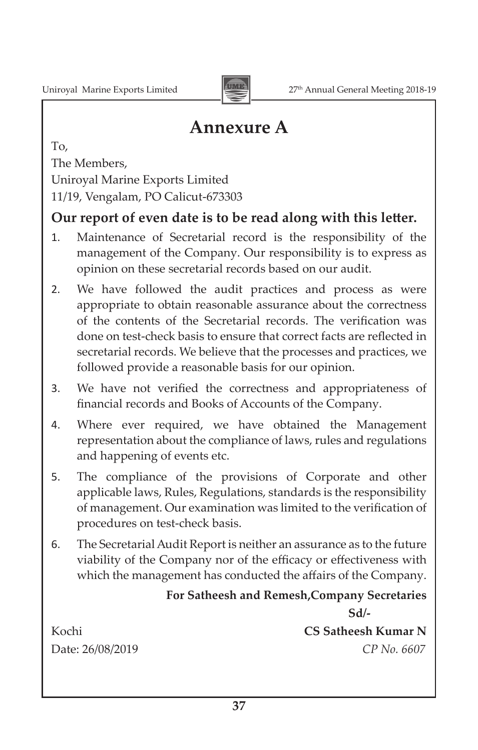

# **Annexure A**

To, The Members, Uniroyal Marine Exports Limited 11/19, Vengalam, PO Calicut-673303

# **Our report of even date is to be read along with this letter.**

- 1. Maintenance of Secretarial record is the responsibility of the management of the Company. Our responsibility is to express as opinion on these secretarial records based on our audit.
- 2. We have followed the audit practices and process as were appropriate to obtain reasonable assurance about the correctness of the contents of the Secretarial records. The verification was done on test-check basis to ensure that correct facts are reflected in secretarial records. We believe that the processes and practices, we followed provide a reasonable basis for our opinion.
- 3. We have not verified the correctness and appropriateness of financial records and Books of Accounts of the Company.
- 4. Where ever required, we have obtained the Management representation about the compliance of laws, rules and regulations and happening of events etc.
- 5. The compliance of the provisions of Corporate and other applicable laws, Rules, Regulations, standards is the responsibility of management. Our examination was limited to the verification of procedures on test-check basis.
- 6. The SecretarialAudit Report is neither an assurance as to the future viability of the Company nor of the efficacy or effectiveness with which the management has conducted the affairs of the Company.

# **For Satheesh and Remesh,Company Secretaries**

**CS** Satheesh Kumar N Date: 26/08/2019 *CP No. 6607*

**Sd/-**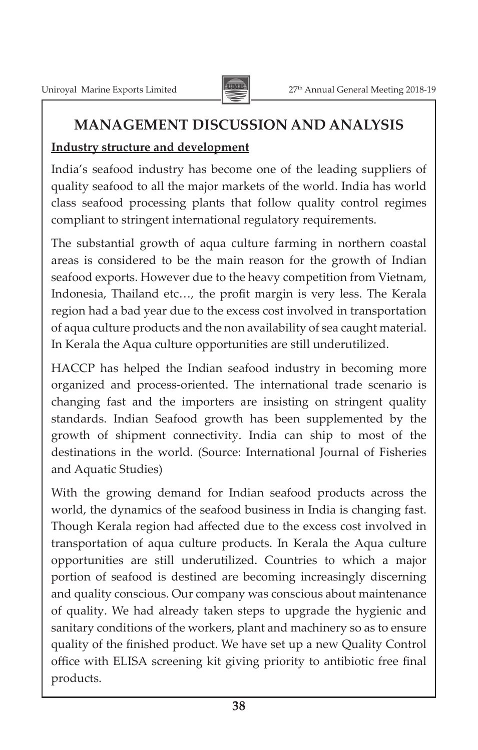

## **MANAGEMENT DISCUSSION AND ANALYSIS**

## **Industry structure and development**

India's seafood industry has become one of the leading suppliers of quality seafood to all the major markets of the world. India has world class seafood processing plants that follow quality control regimes compliant to stringent international regulatory requirements.

The substantial growth of aqua culture farming in northern coastal areas is considered to be the main reason for the growth of Indian seafood exports. However due to the heavy competition from Vietnam, Indonesia, Thailand etc…, the profit margin is very less. The Kerala region had a bad year due to the excess cost involved in transportation of aqua culture products and the non availability of sea caught material. In Kerala the Aqua culture opportunities are still underutilized.

HACCP has helped the Indian seafood industry in becoming more organized and process-oriented. The international trade scenario is changing fast and the importers are insisting on stringent quality standards. Indian Seafood growth has been supplemented by the growth of shipment connectivity. India can ship to most of the destinations in the world. (Source: International Journal of Fisheries and Aquatic Studies)

With the growing demand for Indian seafood products across the world, the dynamics of the seafood business in India is changing fast. Though Kerala region had affected due to the excess cost involved in transportation of aqua culture products. In Kerala the Aqua culture opportunities are still underutilized. Countries to which a major portion of seafood is destined are becoming increasingly discerning and quality conscious. Our company was conscious about maintenance of quality. We had already taken steps to upgrade the hygienic and sanitary conditions of the workers, plant and machinery so as to ensure quality of the finished product. We have set up a new Quality Control office with ELISA screening kit giving priority to antibiotic free final products.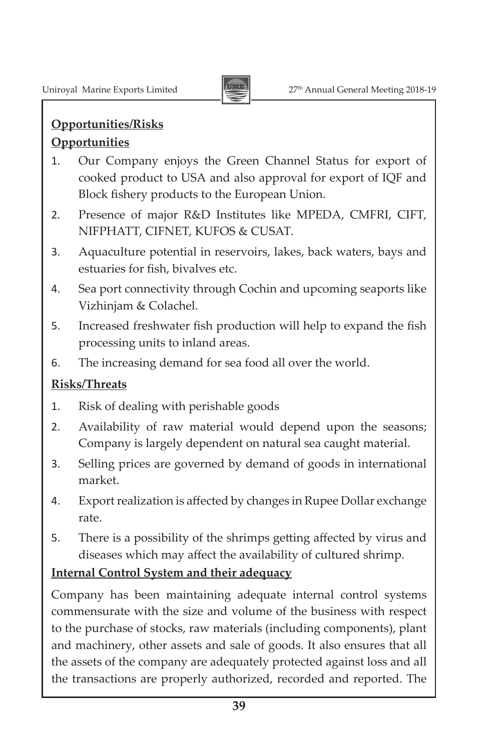

# **Opportunities/Risks Opportunities**

- 1. Our Company enjoys the Green Channel Status for export of cooked product to USA and also approval for export of IQF and Block fishery products to the European Union.
- 2. Presence of major R&D Institutes like MPEDA, CMFRI, CIFT, NIFPHATT, CIFNET, KUFOS & CUSAT.
- 3. Aquaculture potential in reservoirs, lakes, back waters, bays and estuaries for fish, bivalves etc.
- 4. Sea port connectivity through Cochin and upcoming seaports like Vizhinjam & Colachel.
- 5. Increased freshwater fish production will help to expand the fish processing units to inland areas.
- 6. The increasing demand for sea food all over the world.

## **Risks/Threats**

- 1. Risk of dealing with perishable goods
- 2. Availability of raw material would depend upon the seasons; Company is largely dependent on natural sea caught material.
- 3. Selling prices are governed by demand of goods in international market.
- 4. Export realization is affected by changes in Rupee Dollar exchange rate.
- 5. There is a possibility of the shrimps getting affected by virus and diseases which may affect the availability of cultured shrimp.

## **Internal Control System and their adequacy**

Company has been maintaining adequate internal control systems commensurate with the size and volume of the business with respect to the purchase of stocks, raw materials (including components), plant and machinery, other assets and sale of goods. It also ensures that all the assets of the company are adequately protected against loss and all the transactions are properly authorized, recorded and reported. The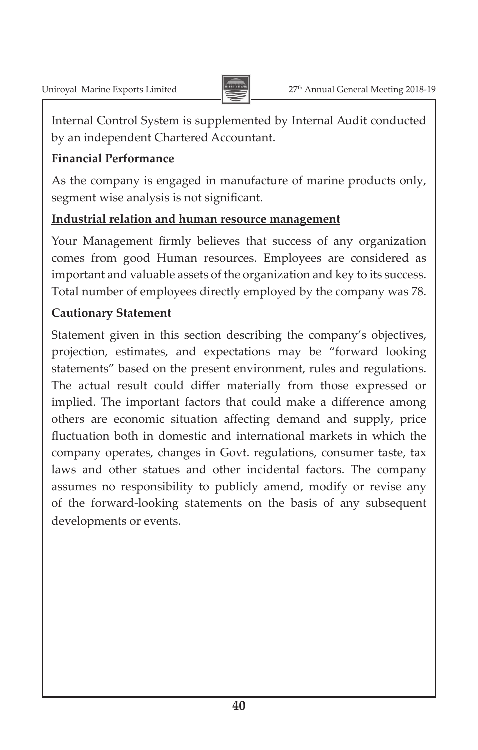

Internal Control System is supplemented by Internal Audit conducted by an independent Chartered Accountant.

#### **Financial Performance**

As the company is engaged in manufacture of marine products only, segment wise analysis is not significant.

#### **Industrial relation and human resource management**

Your Management firmly believes that success of any organization comes from good Human resources. Employees are considered as important and valuable assets of the organization and key to its success. Total number of employees directly employed by the company was 78.

#### **Cautionary Statement**

Statement given in this section describing the company's objectives, projection, estimates, and expectations may be "forward looking statements" based on the present environment, rules and regulations. The actual result could differ materially from those expressed or implied. The important factors that could make a difference among others are economic situation affecting demand and supply, price fluctuation both in domestic and international markets in which the company operates, changes in Govt. regulations, consumer taste, tax laws and other statues and other incidental factors. The company assumes no responsibility to publicly amend, modify or revise any of the forward-looking statements on the basis of any subsequent developments or events.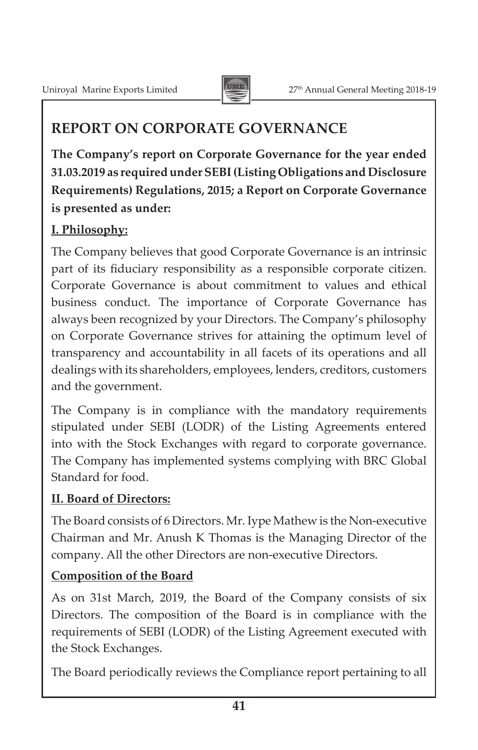

# **REPORT ON CORPORATE GOVERNANCE**

**The Company's report on Corporate Governance for the year ended 31.03.2019 as requiredunderSEBI(Listing Obligations and Disclosure Requirements) Regulations, 2015; a Report on Corporate Governance is presented as under:**

## **I. Philosophy:**

The Company believes that good Corporate Governance is an intrinsic part of its fiduciary responsibility as a responsible corporate citizen. Corporate Governance is about commitment to values and ethical business conduct. The importance of Corporate Governance has always been recognized by your Directors. The Company's philosophy on Corporate Governance strives for attaining the optimum level of transparency and accountability in all facets of its operations and all dealings with its shareholders, employees, lenders, creditors, customers and the government.

The Company is in compliance with the mandatory requirements stipulated under SEBI (LODR) of the Listing Agreements entered into with the Stock Exchanges with regard to corporate governance. The Company has implemented systems complying with BRC Global Standard for food.

## **II. Board of Directors:**

The Board consists of 6 Directors. Mr. Iype Mathew is the Non-executive Chairman and Mr. Anush K Thomas is the Managing Director of the company. All the other Directors are non-executive Directors.

## **Composition of the Board**

As on 31st March, 2019, the Board of the Company consists of six Directors. The composition of the Board is in compliance with the requirements of SEBI (LODR) of the Listing Agreement executed with the Stock Exchanges.

The Board periodically reviews the Compliance report pertaining to all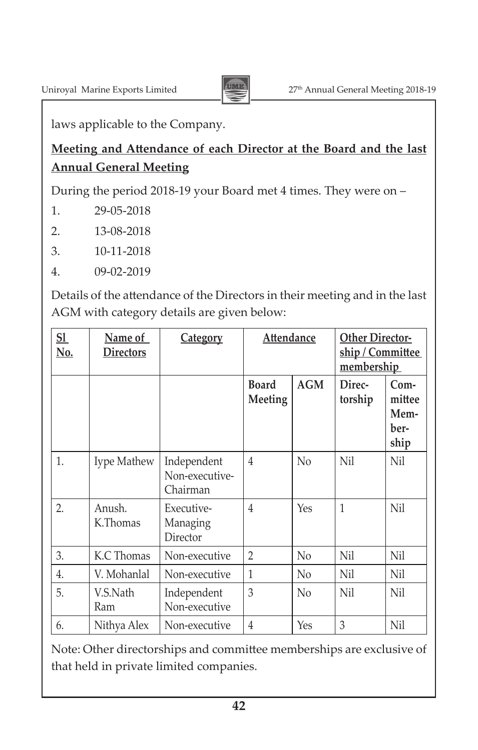

laws applicable to the Company.

# **Meeting and Attendance of each Director at the Board and the last Annual General Meeting**

During the period 2018-19 your Board met 4 times. They were on –

- 1. 29-05-2018
- 2. 13-08-2018
- 3. 10-11-2018
- 4. 09-02-2019

Details of the attendance of the Directors in their meeting and in the last AGM with category details are given below:

| S1<br>No. | <u>Name of</u><br><b>Directors</b> | <b>Category</b>                           | <u>Attendance</u>       |                | <b>Other Director-</b><br>ship / Committee<br>membership |                                        |
|-----------|------------------------------------|-------------------------------------------|-------------------------|----------------|----------------------------------------------------------|----------------------------------------|
|           |                                    |                                           | <b>Board</b><br>Meeting | <b>AGM</b>     | Direc-<br>torship                                        | Com-<br>mittee<br>Mem-<br>ber-<br>ship |
| 1.        | Iype Mathew                        | Independent<br>Non-executive-<br>Chairman | 4                       | N <sub>0</sub> | Nil                                                      | Nil                                    |
| 2.        | Anush.<br>K.Thomas                 | Executive-<br>Managing<br>Director        | $\overline{4}$          | Yes            | $\mathbf{1}$                                             | Nil                                    |
| 3.        | K.C Thomas                         | Non-executive                             | $\mathfrak{D}$          | N <sub>0</sub> | Nil                                                      | Nil                                    |
| 4.        | V. Mohanlal                        | Non-executive                             | $\mathbf{1}$            | N <sub>0</sub> | Nil                                                      | Nil                                    |
| 5.        | V.S.Nath<br>Ram                    | Independent<br>Non-executive              | 3                       | N <sub>0</sub> | Nil                                                      | Nil                                    |
| 6.        | Nithya Alex                        | Non-executive                             | 4                       | Yes            | 3                                                        | Nil                                    |

Note: Other directorships and committee memberships are exclusive of that held in private limited companies.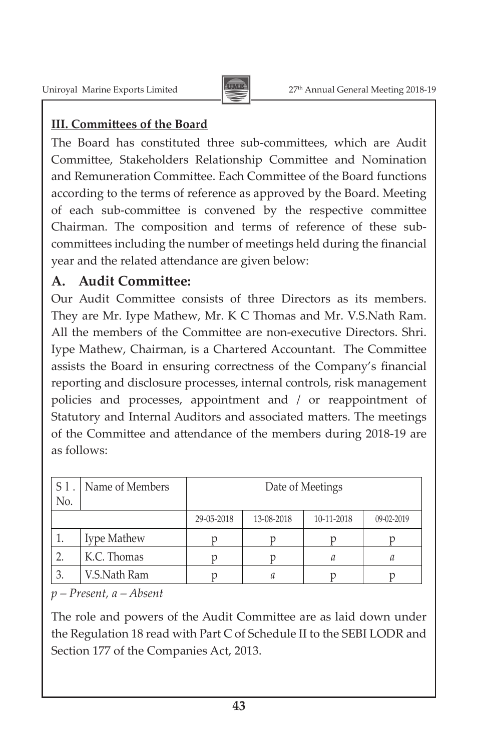

## **III. Committees of the Board**

The Board has constituted three sub-committees, which are Audit Committee, Stakeholders Relationship Committee and Nomination and Remuneration Committee. Each Committee of the Board functions according to the terms of reference as approved by the Board. Meeting of each sub-committee is convened by the respective committee Chairman. The composition and terms of reference of these subcommittees including the number of meetings held during the financial year and the related attendance are given below:

## **A. Audit Committee:**

Our Audit Committee consists of three Directors as its members. They are Mr. Iype Mathew, Mr. K C Thomas and Mr. V.S.Nath Ram. All the members of the Committee are non-executive Directors. Shri. Iype Mathew, Chairman, is a Chartered Accountant. The Committee assists the Board in ensuring correctness of the Company's financial reporting and disclosure processes, internal controls, risk management policies and processes, appointment and / or reappointment of Statutory and Internal Auditors and associated matters. The meetings of the Committee and attendance of the members during 2018-19 are as follows:

| $S1$ .<br>No. | Name of Members | Date of Meetings |            |               |            |  |
|---------------|-----------------|------------------|------------|---------------|------------|--|
|               |                 | 29-05-2018       | 13-08-2018 | 10-11-2018    | 09-02-2019 |  |
| Ι.            | Iype Mathew     |                  |            |               |            |  |
|               | K.C. Thomas     |                  |            | $\mathfrak a$ | а          |  |
| 3.            | V.S.Nath Ram    |                  | а          |               |            |  |

*p – Present, a – Absent*

The role and powers of the Audit Committee are as laid down under the Regulation 18 read with Part C of Schedule II to the SEBI LODR and Section 177 of the Companies Act, 2013.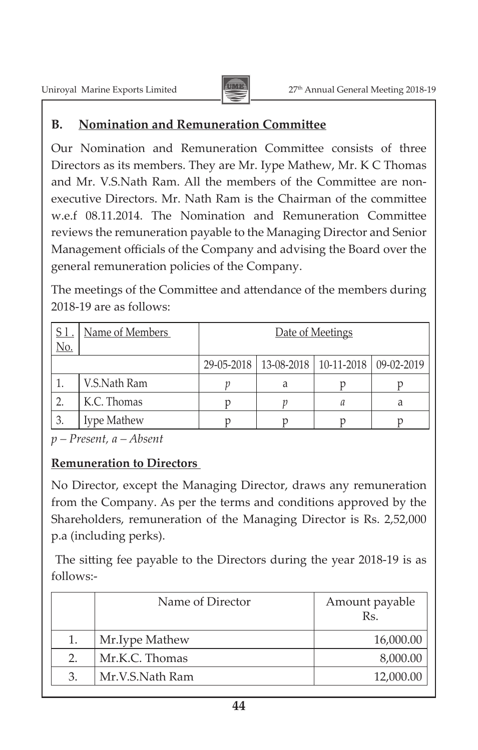

## **B. Nomination and Remuneration Committee**

Our Nomination and Remuneration Committee consists of three Directors as its members. They are Mr. Iype Mathew, Mr. K C Thomas and Mr. V.S.Nath Ram. All the members of the Committee are nonexecutive Directors. Mr. Nath Ram is the Chairman of the committee w.e.f 08.11.2014. The Nomination and Remuneration Committee reviews the remuneration payable to the Managing Director and Senior Management officials of the Company and advising the Board over the general remuneration policies of the Company.

The meetings of the Committee and attendance of the members during 2018-19 are as follows:

| No. | Name of Members | Date of Meetings |                                                   |  |  |
|-----|-----------------|------------------|---------------------------------------------------|--|--|
|     |                 |                  | 29-05-2018   13-08-2018   10-11-2018   09-02-2019 |  |  |
|     | V.S.Nath Ram    |                  | а                                                 |  |  |
|     | K.C. Thomas     |                  |                                                   |  |  |
| 3.  | Iype Mathew     |                  |                                                   |  |  |

*p – Present, a – Absent*

#### **Remuneration to Directors**

No Director, except the Managing Director, draws any remuneration from the Company. As per the terms and conditions approved by the Shareholders, remuneration of the Managing Director is Rs. 2,52,000 p.a (including perks).

The sitting fee payable to the Directors during the year 2018-19 is as follows:-

|    | Name of Director | Amount payable<br>Rs. |
|----|------------------|-----------------------|
| 1. | Mr. Iype Mathew  | 16,000.00             |
| 2. | Mr.K.C. Thomas   | 8,000.00              |
| 3. | Mr.V.S.Nath Ram  | 12,000.00             |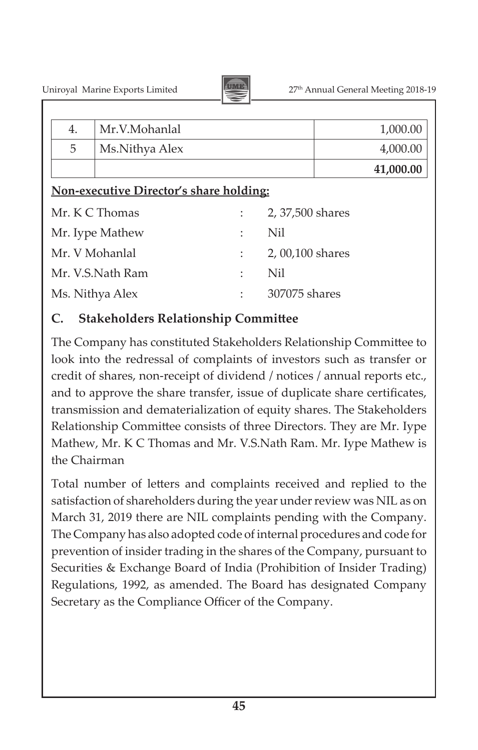

| 4.                                             | Mr.V.Mohanlal                     |                  |  | 1,000.00  |
|------------------------------------------------|-----------------------------------|------------------|--|-----------|
| 5                                              | Ms.Nithya Alex                    |                  |  | 4,000.00  |
|                                                |                                   |                  |  | 41,000.00 |
| <b>Non-executive Director's share holding:</b> |                                   |                  |  |           |
| Mr. K C Thomas                                 |                                   | 2, 37,500 shares |  |           |
| Nil<br>Mr. Iype Mathew                         |                                   |                  |  |           |
|                                                | Mr. V Mohanlal<br>2,00,100 shares |                  |  |           |
|                                                | Mr. V.S.Nath Ram<br>Nil           |                  |  |           |
| 307075 shares<br>Ms. Nithya Alex               |                                   |                  |  |           |

## **C. Stakeholders Relationship Committee**

The Company has constituted Stakeholders Relationship Committee to look into the redressal of complaints of investors such as transfer or credit of shares, non-receipt of dividend / notices / annual reports etc., and to approve the share transfer, issue of duplicate share certificates, transmission and dematerialization of equity shares. The Stakeholders Relationship Committee consists of three Directors. They are Mr. Iype Mathew, Mr. K C Thomas and Mr. V.S.Nath Ram. Mr. Iype Mathew is the Chairman

Total number of letters and complaints received and replied to the satisfaction of shareholders during the year under review was NIL as on March 31, 2019 there are NIL complaints pending with the Company. The Company has also adopted code of internal procedures and code for prevention of insider trading in the shares of the Company, pursuant to Securities & Exchange Board of India (Prohibition of Insider Trading) Regulations, 1992, as amended. The Board has designated Company Secretary as the Compliance Officer of the Company.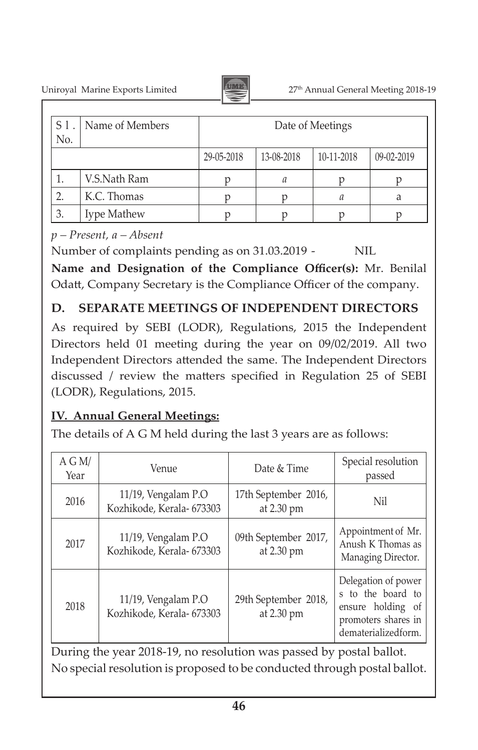

| S 1<br>No. | Name of Members | Date of Meetings |            |            |            |
|------------|-----------------|------------------|------------|------------|------------|
|            |                 | 29-05-2018       | 13-08-2018 | 10-11-2018 | 09-02-2019 |
|            | V.S.Nath Ram    |                  | а          |            |            |
|            | K.C. Thomas     |                  |            | а          | a          |
| 3.         | Iype Mathew     |                  |            |            |            |

#### *p – Present, a – Absent*

Number of complaints pending as on 31.03.2019 - NIL

**Name and Designation of the Compliance Officer(s):** Mr. Benilal Odatt, Company Secretary is the Compliance Officer of the company.

#### **D. SEPARATE MEETINGS OF INDEPENDENT DIRECTORS**

As required by SEBI (LODR), Regulations, 2015 the Independent Directors held 01 meeting during the year on 09/02/2019. All two Independent Directors attended the same. The Independent Directors discussed / review the matters specified in Regulation 25 of SEBI (LODR), Regulations, 2015.

#### **IV. Annual General Meetings:**

The details of A G M held during the last 3 years are as follows:

| A G M/<br>Year | Venue                                            | Date & Time                        | Special resolution<br>passed                                                                                |
|----------------|--------------------------------------------------|------------------------------------|-------------------------------------------------------------------------------------------------------------|
| 2016           | 11/19, Vengalam P.O<br>Kozhikode, Kerala- 673303 | 17th September 2016,<br>at 2.30 pm | Nil                                                                                                         |
| 2017           | 11/19, Vengalam P.O<br>Kozhikode, Kerala- 673303 | 09th September 2017,<br>at 2.30 pm | Appointment of Mr.<br>Anush K Thomas as<br>Managing Director.                                               |
| 2018           | 11/19, Vengalam P.O<br>Kozhikode, Kerala- 673303 | 29th September 2018,<br>at 2.30 pm | Delegation of power<br>s to the board to<br>ensure holding of<br>promoters shares in<br>dematerializedform. |

During the year 2018-19, no resolution was passed by postal ballot. No special resolution is proposed to be conducted through postal ballot.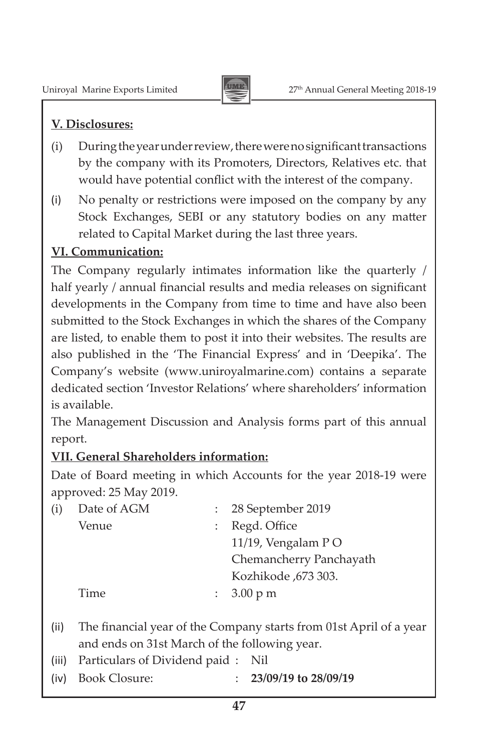

#### **V. Disclosures:**

- (i) During the year under review, there were no significant transactions by the company with its Promoters, Directors, Relatives etc. that would have potential conflict with the interest of the company.
- (i) No penalty or restrictions were imposed on the company by any Stock Exchanges, SEBI or any statutory bodies on any matter related to Capital Market during the last three years.

## **VI. Communication:**

The Company regularly intimates information like the quarterly / half yearly / annual financial results and media releases on significant developments in the Company from time to time and have also been submitted to the Stock Exchanges in which the shares of the Company are listed, to enable them to post it into their websites. The results are also published in the 'The Financial Express' and in 'Deepika'. The Company's website (www.uniroyalmarine.com) contains a separate dedicated section 'Investor Relations' where shareholders' information is available.

The Management Discussion and Analysis forms part of this annual report.

## **VII. General Shareholders information:**

Date of Board meeting in which Accounts for the year 2018-19 were approved: 25 May 2019.

| (i) | Date of AGM | : 28 September 2019     |
|-----|-------------|-------------------------|
|     | Venue       | Regd. Office            |
|     |             | 11/19, Vengalam PO      |
|     |             | Chemancherry Panchayath |
|     |             | Kozhikode ,673 303.     |
|     | Time        | : 3.00 p m              |
|     |             |                         |

- (ii) The financial year of the Company starts from 01st April of a year and ends on 31st March of the following year.
- (iii) Particulars of Dividend paid : Nil
- (iv) Book Closure: : **23/09/19 to 28/09/19**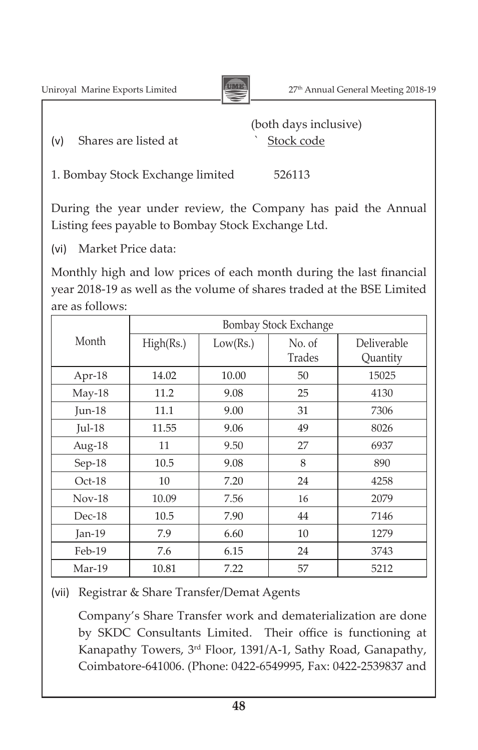

(v) Shares are listed at <br>
Stock code

 (both days inclusive)

1. Bombay Stock Exchange limited 526113

During the year under review, the Company has paid the Annual Listing fees payable to Bombay Stock Exchange Ltd.

(vi) Market Price data:

Monthly high and low prices of each month during the last financial year 2018-19 as well as the volume of shares traded at the BSE Limited are as follows:

|          | Bombay Stock Exchange |          |                  |                         |  |
|----------|-----------------------|----------|------------------|-------------------------|--|
| Month    | High(Rs.)             | Low(Rs.) | No. of<br>Trades | Deliverable<br>Quantity |  |
|          |                       |          |                  |                         |  |
| Apr-18   | 14.02                 | 10.00    | 50               | 15025                   |  |
| May-18   | 11.2                  | 9.08     | 25               | 4130                    |  |
| $Jun-18$ | 11.1                  | 9.00     | 31               | 7306                    |  |
| $Jul-18$ | 11.55                 | 9.06     | 49               | 8026                    |  |
| Aug-18   | 11                    | 9.50     | 27               | 6937                    |  |
| Sep-18   | 10.5                  | 9.08     | 8                | 890                     |  |
| $Oct-18$ | 10                    | 7.20     | 24               | 4258                    |  |
| $Nov-18$ | 10.09                 | 7.56     | 16               | 2079                    |  |
| $Dec-18$ | 10.5                  | 7.90     | 44               | 7146                    |  |
| $Jan-19$ | 7.9                   | 6.60     | 10               | 1279                    |  |
| Feb-19   | 7.6                   | 6.15     | 24               | 3743                    |  |
| Mar-19   | 10.81                 | 7.22     | 57               | 5212                    |  |

(vii) Registrar & Share Transfer/Demat Agents

 Company's Share Transfer work and dematerialization are done by SKDC Consultants Limited. Their office is functioning at Kanapathy Towers, 3rd Floor, 1391/A-1, Sathy Road, Ganapathy, Coimbatore-641006. (Phone: 0422-6549995, Fax: 0422-2539837 and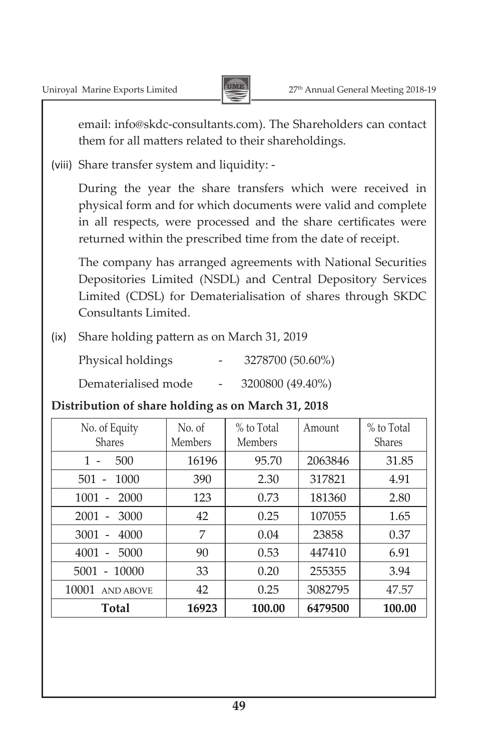

email: info@skdc-consultants.com). The Shareholders can contact them for all matters related to their shareholdings.

(viii) Share transfer system and liquidity: -

 During the year the share transfers which were received in physical form and for which documents were valid and complete in all respects, were processed and the share certificates were returned within the prescribed time from the date of receipt.

 The company has arranged agreements with National Securities Depositories Limited (NSDL) and Central Depository Services Limited (CDSL) for Dematerialisation of shares through SKDC Consultants Limited.

#### (ix) Share holding pattern as on March 31, 2019

| Physical holdings   | $\overline{\phantom{0}}$ | 3278700 (50.60%) |
|---------------------|--------------------------|------------------|
| Dematerialised mode | $\overline{\phantom{0}}$ | 3200800 (49.40%) |

#### **Distribution of share holding as on March 31, 2018**

| No. of Equity<br><b>Shares</b>           | No. of<br><b>Members</b> | % to Total<br><b>Members</b> | Amount  | % to Total<br><b>Shares</b> |
|------------------------------------------|--------------------------|------------------------------|---------|-----------------------------|
| 500<br>$1 -$                             | 16196                    | 95.70                        | 2063846 | 31.85                       |
| 1000<br>501<br>$\overline{\phantom{a}}$  | 390                      | 2.30                         | 317821  | 4.91                        |
| 1001<br>$-2000$                          | 123                      | 0.73                         | 181360  | 2.80                        |
| 2001<br>3000<br>$\frac{1}{2}$            | 42                       | 0.25                         | 107055  | 1.65                        |
| 3001<br>4000<br>$\overline{\phantom{a}}$ | 7                        | 0.04                         | 23858   | 0.37                        |
| 4001<br>5000<br>$\overline{\phantom{a}}$ | 90                       | 0.53                         | 447410  | 6.91                        |
| $5001 - 10000$                           | 33                       | 0.20                         | 255355  | 3.94                        |
| 10001<br><b>AND ABOVE</b>                | 42                       | 0.25                         | 3082795 | 47.57                       |
| Total                                    | 16923                    | 100.00                       | 6479500 | 100.00                      |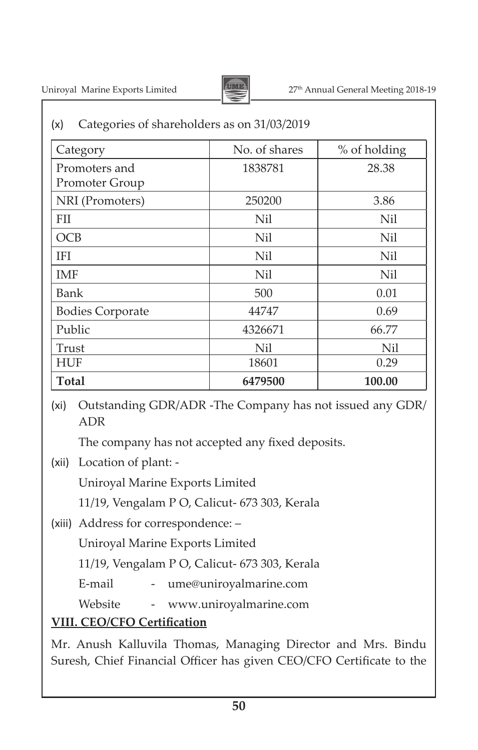

| (x) |  |  | Categories of shareholders as on 31/03/2019 |
|-----|--|--|---------------------------------------------|
|-----|--|--|---------------------------------------------|

| Category                | No. of shares | % of holding |
|-------------------------|---------------|--------------|
| Promoters and           | 1838781       | 28.38        |
| Promoter Group          |               |              |
| NRI (Promoters)         | 250200        | 3.86         |
| <b>FII</b>              | Nil           | Nil          |
| <b>OCB</b>              | Nil           | Nil          |
| <b>IFI</b>              | Nil           | Nil          |
| <b>IMF</b>              | Nil           | Nil          |
| Bank                    | 500           | 0.01         |
| <b>Bodies Corporate</b> | 44747         | 0.69         |
| Public                  | 4326671       | 66.77        |
| Trust                   | Nil           | Nil          |
| <b>HUF</b>              | 18601         | 0.29         |
| <b>Total</b>            | 6479500       | 100.00       |

(xi) Outstanding GDR/ADR -The Company has not issued any GDR/ ADR

 The company has not accepted any fixed deposits.

(xii) Location of plant: -

 Uniroyal Marine Exports Limited

 11/19, Vengalam P O, Calicut- 673 303, Kerala

(xiii) Address for correspondence: –

 Uniroyal Marine Exports Limited

 11/19, Vengalam P O, Calicut- 673 303, Kerala

E-mail - ume@uniroyalmarine.com

Website - www.uniroyalmarine.com

## **VIII. CEO/CFO Certification**

Mr. Anush Kalluvila Thomas, Managing Director and Mrs. Bindu Suresh, Chief Financial Officer has given CEO/CFO Certificate to the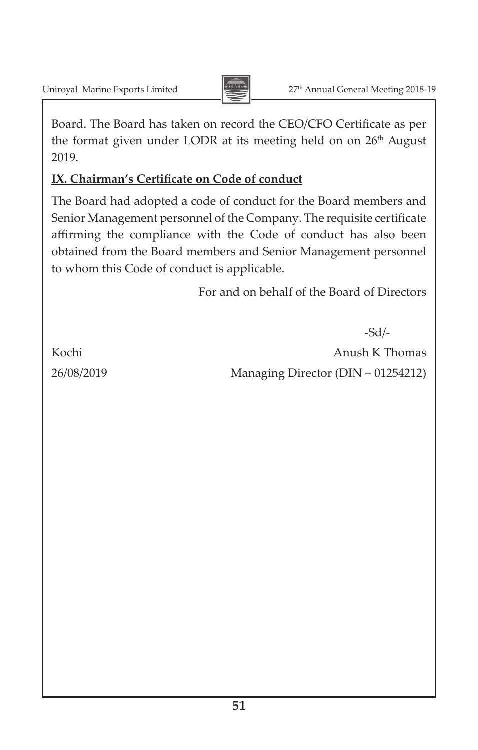

Board. The Board has taken on record the CEO/CFO Certificate as per the format given under LODR at its meeting held on on 26<sup>th</sup> August 2019.

## **IX. Chairman's Certificate on Code of conduct**

The Board had adopted a code of conduct for the Board members and Senior Management personnel of the Company. The requisite certificate affirming the compliance with the Code of conduct has also been obtained from the Board members and Senior Management personnel to whom this Code of conduct is applicable.

For and on behalf of the Board of Directors

-Sd/-

Kochi **Anush K Thomas** 26/08/2019 Managing Director (DIN – 01254212)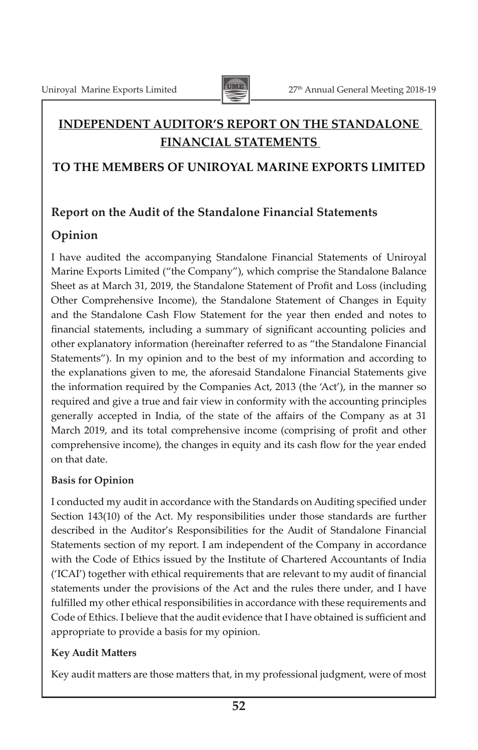

# **INDEPENDENT AUDITOR'S REPORT ON THE STANDALONE FINANCIAL STATEMENTS**

#### **TO THE MEMBERS OF UNIROYAL MARINE EXPORTS LIMITED**

#### **Report on the Audit of the Standalone Financial Statements**

## **Opinion**

I have audited the accompanying Standalone Financial Statements of Uniroyal Marine Exports Limited ("the Company"), which comprise the Standalone Balance Sheet as at March 31, 2019, the Standalone Statement of Profit and Loss (including Other Comprehensive Income), the Standalone Statement of Changes in Equity and the Standalone Cash Flow Statement for the year then ended and notes to financial statements, including a summary of significant accounting policies and other explanatory information (hereinafter referred to as "the Standalone Financial Statements"). In my opinion and to the best of my information and according to the explanations given to me, the aforesaid Standalone Financial Statements give the information required by the Companies Act, 2013 (the 'Act'), in the manner so required and give a true and fair view in conformity with the accounting principles generally accepted in India, of the state of the affairs of the Company as at 31 March 2019, and its total comprehensive income (comprising of profit and other comprehensive income), the changes in equity and its cash flow for the year ended on that date.

#### **Basis for Opinion**

I conducted my audit in accordance with the Standards on Auditing specified under Section 143(10) of the Act. My responsibilities under those standards are further described in the Auditor's Responsibilities for the Audit of Standalone Financial Statements section of my report. I am independent of the Company in accordance with the Code of Ethics issued by the Institute of Chartered Accountants of India ('ICAI') together with ethical requirements that are relevant to my audit of financial statements under the provisions of the Act and the rules there under, and I have fulfilled my other ethical responsibilities in accordance with these requirements and Code of Ethics. I believe that the audit evidence that I have obtained is sufficient and appropriate to provide a basis for my opinion.

#### **Key Audit Matters**

Key audit matters are those matters that, in my professional judgment, were of most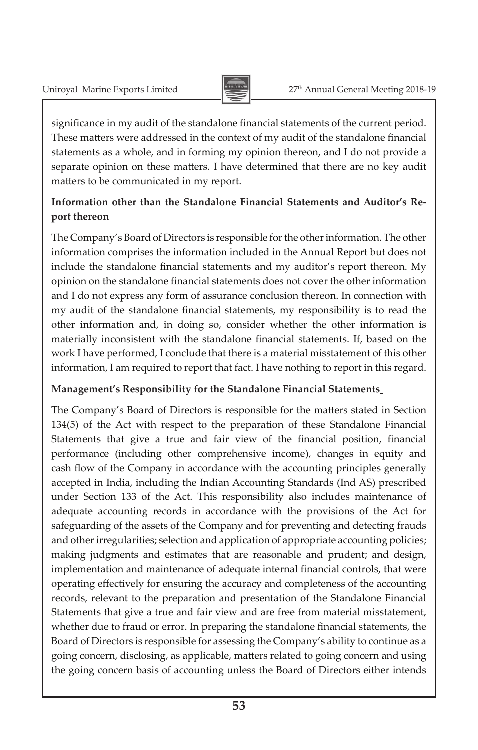

significance in my audit of the standalone financial statements of the current period. These matters were addressed in the context of my audit of the standalone financial statements as a whole, and in forming my opinion thereon, and I do not provide a separate opinion on these matters. I have determined that there are no key audit matters to be communicated in my report.

#### **Information other than the Standalone Financial Statements and Auditor's Report thereon**

The Company's Board of Directors is responsible for the other information. The other information comprises the information included in the Annual Report but does not include the standalone financial statements and my auditor's report thereon. My opinion on the standalone financial statements does not cover the other information and I do not express any form of assurance conclusion thereon. In connection with my audit of the standalone financial statements, my responsibility is to read the other information and, in doing so, consider whether the other information is materially inconsistent with the standalone financial statements. If, based on the work I have performed, I conclude that there is a material misstatement of this other information, I am required to report that fact. I have nothing to report in this regard.

#### **Management's Responsibility for the Standalone Financial Statements**

The Company's Board of Directors is responsible for the matters stated in Section 134(5) of the Act with respect to the preparation of these Standalone Financial Statements that give a true and fair view of the financial position, financial performance (including other comprehensive income), changes in equity and cash flow of the Company in accordance with the accounting principles generally accepted in India, including the Indian Accounting Standards (Ind AS) prescribed under Section 133 of the Act. This responsibility also includes maintenance of adequate accounting records in accordance with the provisions of the Act for safeguarding of the assets of the Company and for preventing and detecting frauds and other irregularities; selection and application of appropriate accounting policies; making judgments and estimates that are reasonable and prudent; and design, implementation and maintenance of adequate internal financial controls, that were operating effectively for ensuring the accuracy and completeness of the accounting records, relevant to the preparation and presentation of the Standalone Financial Statements that give a true and fair view and are free from material misstatement, whether due to fraud or error. In preparing the standalone financial statements, the Board of Directors is responsible for assessing the Company's ability to continue as a going concern, disclosing, as applicable, matters related to going concern and using the going concern basis of accounting unless the Board of Directors either intends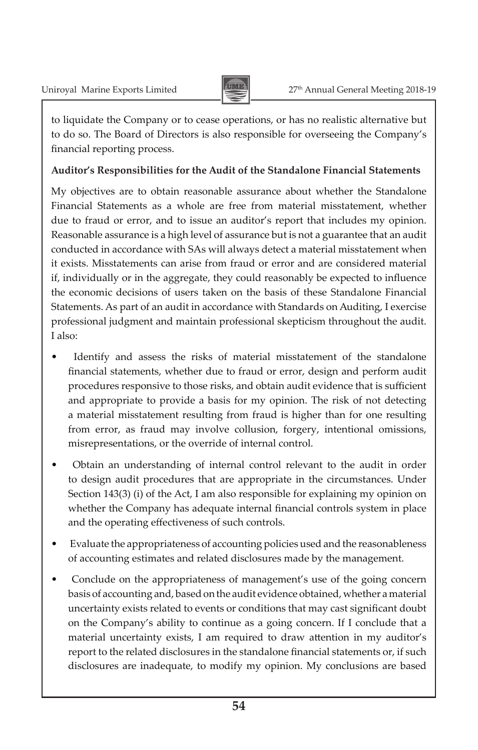

to liquidate the Company or to cease operations, or has no realistic alternative but to do so. The Board of Directors is also responsible for overseeing the Company's financial reporting process.

#### **Auditor's Responsibilities for the Audit of the Standalone Financial Statements**

My objectives are to obtain reasonable assurance about whether the Standalone Financial Statements as a whole are free from material misstatement, whether due to fraud or error, and to issue an auditor's report that includes my opinion. Reasonable assurance is a high level of assurance but is not a guarantee that an audit conducted in accordance with SAs will always detect a material misstatement when it exists. Misstatements can arise from fraud or error and are considered material if, individually or in the aggregate, they could reasonably be expected to influence the economic decisions of users taken on the basis of these Standalone Financial Statements. As part of an audit in accordance with Standards on Auditing, I exercise professional judgment and maintain professional skepticism throughout the audit. I also:

- Identify and assess the risks of material misstatement of the standalone financial statements, whether due to fraud or error, design and perform audit procedures responsive to those risks, and obtain audit evidence that is sufficient and appropriate to provide a basis for my opinion. The risk of not detecting a material misstatement resulting from fraud is higher than for one resulting from error, as fraud may involve collusion, forgery, intentional omissions, misrepresentations, or the override of internal control.
- Obtain an understanding of internal control relevant to the audit in order to design audit procedures that are appropriate in the circumstances. Under Section 143(3) (i) of the Act, I am also responsible for explaining my opinion on whether the Company has adequate internal financial controls system in place and the operating effectiveness of such controls.
- Evaluate the appropriateness of accounting policies used and the reasonableness of accounting estimates and related disclosures made by the management.
- Conclude on the appropriateness of management's use of the going concern basis of accounting and, basedon the audit evidence obtained, whether a material uncertainty exists related to events or conditions that may cast significant doubt on the Company's ability to continue as a going concern. If I conclude that a material uncertainty exists, I am required to draw attention in my auditor's report to the related disclosures in the standalone financial statements or, if such disclosures are inadequate, to modify my opinion. My conclusions are based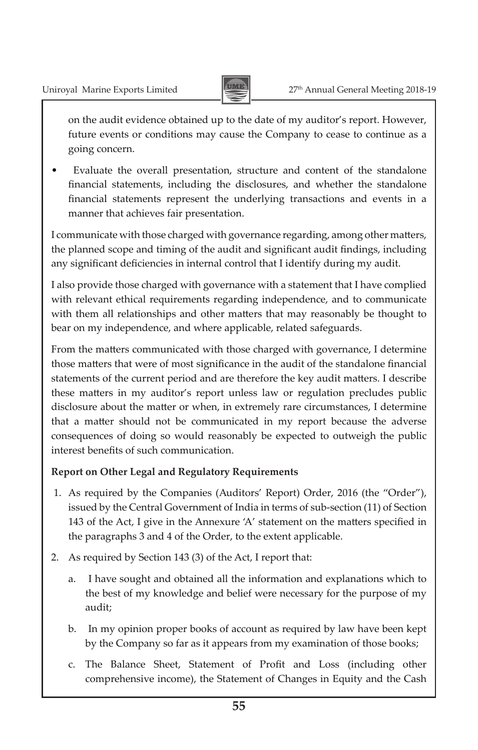

on the audit evidence obtained up to the date of my auditor's report. However, future events or conditions may cause the Company to cease to continue as a going concern.

Evaluate the overall presentation, structure and content of the standalone financial statements, including the disclosures, and whether the standalone financial statements represent the underlying transactions and events in a manner that achieves fair presentation.

I communicate with those charged with governance regarding, among other matters, the planned scope and timing of the audit and significant audit findings, including any significant deficiencies in internal control that I identify during my audit.

I also provide those charged with governance with a statement that I have complied with relevant ethical requirements regarding independence, and to communicate with them all relationships and other matters that may reasonably be thought to bear on my independence, and where applicable, related safeguards.

From the matters communicated with those charged with governance, I determine those matters that were of most significance in the audit of the standalone financial statements of the current period and are therefore the key audit matters. I describe these matters in my auditor's report unless law or regulation precludes public disclosure about the matter or when, in extremely rare circumstances, I determine that a matter should not be communicated in my report because the adverse consequences of doing so would reasonably be expected to outweigh the public interest benefits of such communication.

#### **Report on Other Legal and Regulatory Requirements**

- 1. As required by the Companies (Auditors' Report) Order, 2016 (the "Order"), issued by the Central Government of India in terms of sub-section (11) of Section 143 of the Act, I give in the Annexure 'A' statement on the matters specified in the paragraphs 3 and 4 of the Order, to the extent applicable.
- 2. As required by Section 143 (3) of the Act, I report that:
	- a. I have sought and obtained all the information and explanations which to the best of my knowledge and belief were necessary for the purpose of my audit;
	- b. In my opinion proper books of account as required by law have been kept by the Company so far as it appears from my examination of those books;
	- c. The Balance Sheet, Statement of Profit and Loss (including other comprehensive income), the Statement of Changes in Equity and the Cash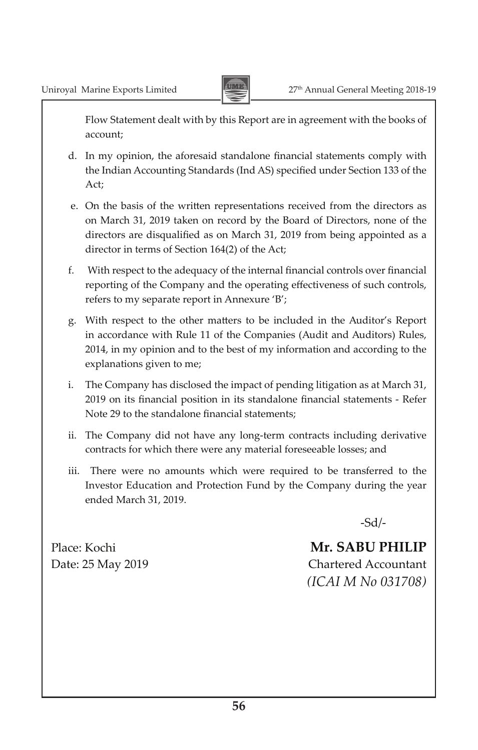

Flow Statement dealt with by this Report are in agreement with the books of account;

- d. In my opinion, the aforesaid standalone financial statements comply with the Indian Accounting Standards (Ind AS) specified under Section 133 of the Act;
- e. On the basis of the written representations received from the directors as on March 31, 2019 taken on record by the Board of Directors, none of the directors are disqualified as on March 31, 2019 from being appointed as a director in terms of Section 164(2) of the Act;
- f. With respect to the adequacy of the internal financial controls over financial reporting of the Company and the operating effectiveness of such controls, refers to my separate report in Annexure 'B';
- g. With respect to the other matters to be included in the Auditor's Report in accordance with Rule 11 of the Companies (Audit and Auditors) Rules, 2014, in my opinion and to the best of my information and according to the explanations given to me;
- i. The Company has disclosed the impact of pending litigation as at March 31, 2019 on its financial position in its standalone financial statements - Refer Note 29 to the standalone financial statements;
- ii. The Company did not have any long-term contracts including derivative contracts for which there were any material foreseeable losses; and
- iii. There were no amounts which were required to be transferred to the Investor Education and Protection Fund by the Company during the year ended March 31, 2019.

 -Sd/-

Place: Kochi **Mr. SABU PHILIP** Date: 25 May 2019 Chartered Accountant *(ICAI M No 031708)*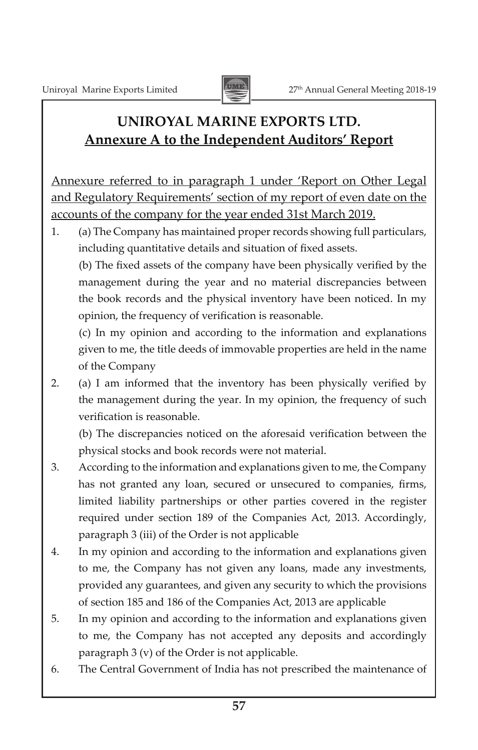

# **UNIROYAL MARINE EXPORTS LTD. Annexure A to the Independent Auditors' Report**

Annexure referred to in paragraph 1 under 'Report on Other Legal and Regulatory Requirements' section of my report of even date on the accounts of the company for the year ended 31st March 2019.

1. (a) The Company has maintained proper records showing full particulars, including quantitative details and situation of fixed assets. (b) The fixed assets of the company have been physically verified by the

management during the year and no material discrepancies between the book records and the physical inventory have been noticed. In my opinion, the frequency of verification is reasonable.

 (c) In my opinion and according to the information and explanations given to me, the title deeds of immovable properties are held in the name of the Company

2. (a) I am informed that the inventory has been physically verified by the management during the year. In my opinion, the frequency of such verification is reasonable.

 (b) The discrepancies noticed on the aforesaid verification between the physical stocks and book records were not material.

- 3. According to the information and explanations given to me, the Company has not granted any loan, secured or unsecured to companies, firms, limited liability partnerships or other parties covered in the register required under section 189 of the Companies Act, 2013. Accordingly, paragraph 3 (iii) of the Order is not applicable
- 4. In my opinion and according to the information and explanations given to me, the Company has not given any loans, made any investments, provided any guarantees, and given any security to which the provisions of section 185 and 186 of the Companies Act, 2013 are applicable
- 5. In my opinion and according to the information and explanations given to me, the Company has not accepted any deposits and accordingly paragraph 3 (v) of the Order is not applicable.
- 6. The Central Government of India has not prescribed the maintenance of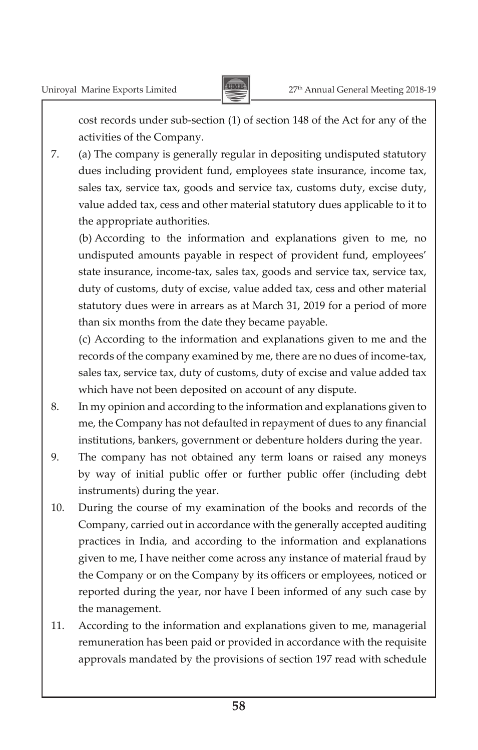

cost records under sub-section (1) of section 148 of the Act for any of the activities of the Company.

7. (a) The company is generally regular in depositing undisputed statutory dues including provident fund, employees state insurance, income tax, sales tax, service tax, goods and service tax, customs duty, excise duty, value added tax, cess and other material statutory dues applicable to it to the appropriate authorities.

(b) According to the information and explanations given to me, no undisputed amounts payable in respect of provident fund, employees' state insurance, income-tax, sales tax, goods and service tax, service tax, duty of customs, duty of excise, value added tax, cess and other material statutory dues were in arrears as at March 31, 2019 for a period of more than six months from the date they became payable.

 (c) According to the information and explanations given to me and the records of the company examined by me, there are no dues of income-tax, sales tax, service tax, duty of customs, duty of excise and value added tax which have not been deposited on account of any dispute.

- 8. In my opinion and according to the information and explanations given to me, the Company has not defaulted in repayment of dues to any financial institutions, bankers, government or debenture holders during the year.
- 9. The company has not obtained any term loans or raised any moneys by way of initial public offer or further public offer (including debt instruments) during the year.
- 10. During the course of my examination of the books and records of the Company, carried out in accordance with the generally accepted auditing practices in India, and according to the information and explanations given to me, I have neither come across any instance of material fraud by the Company or on the Company by its officers or employees, noticed or reported during the year, nor have I been informed of any such case by the management.
- 11. According to the information and explanations given to me, managerial remuneration has been paid or provided in accordance with the requisite approvals mandated by the provisions of section 197 read with schedule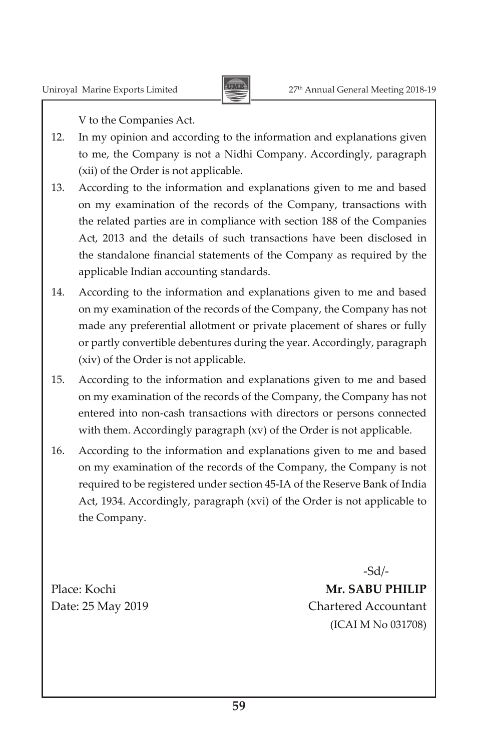

V to the Companies Act.

- 12. In my opinion and according to the information and explanations given to me, the Company is not a Nidhi Company. Accordingly, paragraph (xii) of the Order is not applicable.
- 13. According to the information and explanations given to me and based on my examination of the records of the Company, transactions with the related parties are in compliance with section 188 of the Companies Act, 2013 and the details of such transactions have been disclosed in the standalone financial statements of the Company as required by the applicable Indian accounting standards.
- 14. According to the information and explanations given to me and based on my examination of the records of the Company, the Company has not made any preferential allotment or private placement of shares or fully or partly convertible debentures during the year. Accordingly, paragraph (xiv) of the Order is not applicable.
- 15. According to the information and explanations given to me and based on my examination of the records of the Company, the Company has not entered into non-cash transactions with directors or persons connected with them. Accordingly paragraph (xv) of the Order is not applicable.
- 16. According to the information and explanations given to me and based on my examination of the records of the Company, the Company is not required to be registered under section 45-IA of the Reserve Bank of India Act, 1934. Accordingly, paragraph (xvi) of the Order is not applicable to the Company.

 -Sd/- Place: Kochi **Mr. SABU PHILIP** Date: 25 May 2019 **Chartered Accountant** (ICAI M No 031708)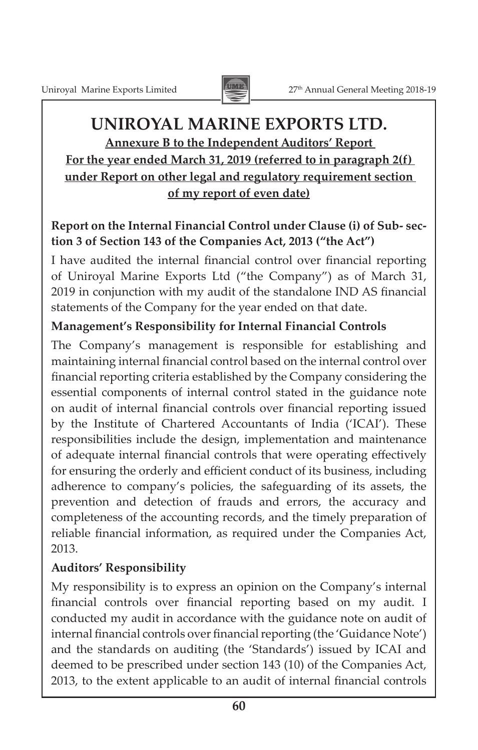

# **UNIROYAL MARINE EXPORTS LTD. Annexure B to the Independent Auditors' Report For the year ended March 31, 2019 (referred to in paragraph 2(f) under Report on other legal and regulatory requirement section of my report of even date)**

## **Report on the Internal Financial Control under Clause (i) of Sub- section 3 of Section 143 of the Companies Act, 2013 ("the Act")**

I have audited the internal financial control over financial reporting of Uniroyal Marine Exports Ltd ("the Company") as of March 31, 2019 in conjunction with my audit of the standalone IND AS financial statements of the Company for the year ended on that date.

## **Management's Responsibility for Internal Financial Controls**

The Company's management is responsible for establishing and maintaining internal financial control based on the internal control over financial reporting criteria established by the Company considering the essential components of internal control stated in the guidance note on audit of internal financial controls over financial reporting issued by the Institute of Chartered Accountants of India ('ICAI'). These responsibilities include the design, implementation and maintenance of adequate internal financial controls that were operating effectively for ensuring the orderly and efficient conduct of its business, including adherence to company's policies, the safeguarding of its assets, the prevention and detection of frauds and errors, the accuracy and completeness of the accounting records, and the timely preparation of reliable financial information, as required under the Companies Act, 2013.

## **Auditors' Responsibility**

My responsibility is to express an opinion on the Company's internal financial controls over financial reporting based on my audit. I conducted my audit in accordance with the guidance note on audit of internal financial controls over financial reporting (the 'Guidance Note') and the standards on auditing (the 'Standards') issued by ICAI and deemed to be prescribed under section 143 (10) of the Companies Act, 2013, to the extent applicable to an audit of internal financial controls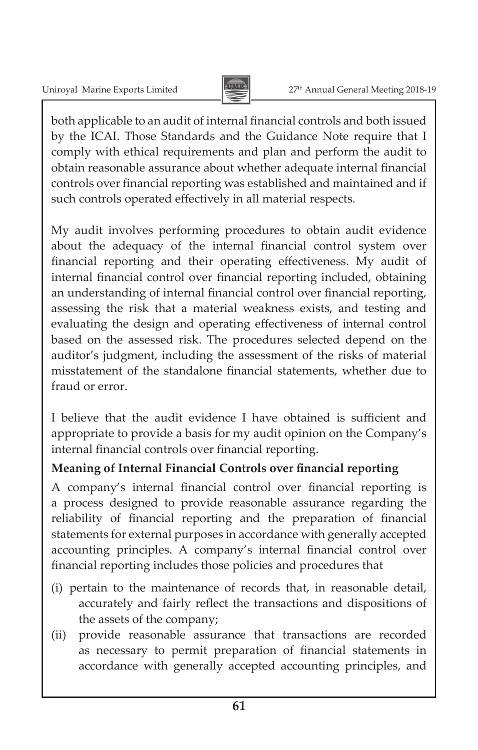

both applicable to an audit of internal financial controls and both issued by the ICAI. Those Standards and the Guidance Note require that I comply with ethical requirements and plan and perform the audit to obtain reasonable assurance about whether adequate internal financial controls over financial reporting was established and maintained and if such controls operated effectively in all material respects.

My audit involves performing procedures to obtain audit evidence about the adequacy of the internal financial control system over financial reporting and their operating effectiveness. My audit of internal financial control over financial reporting included, obtaining an understanding of internal financial control over financial reporting, assessing the risk that a material weakness exists, and testing and evaluating the design and operating effectiveness of internal control based on the assessed risk. The procedures selected depend on the auditor's judgment, including the assessment of the risks of material misstatement of the standalone financial statements, whether due to fraud or error.

I believe that the audit evidence I have obtained is sufficient and appropriate to provide a basis for my audit opinion on the Company's internal financial controls over financial reporting.

#### **Meaning of Internal Financial Controls over financial reporting**

A company's internal financial control over financial reporting is a process designed to provide reasonable assurance regarding the reliability of financial reporting and the preparation of financial statements for external purposes in accordance with generally accepted accounting principles. A company's internal financial control over financial reporting includes those policies and procedures that

- (i) pertain to the maintenance of records that, in reasonable detail, accurately and fairly reflect the transactions and dispositions of the assets of the company;
- (ii) provide reasonable assurance that transactions are recorded as necessary to permit preparation of financial statements in accordance with generally accepted accounting principles, and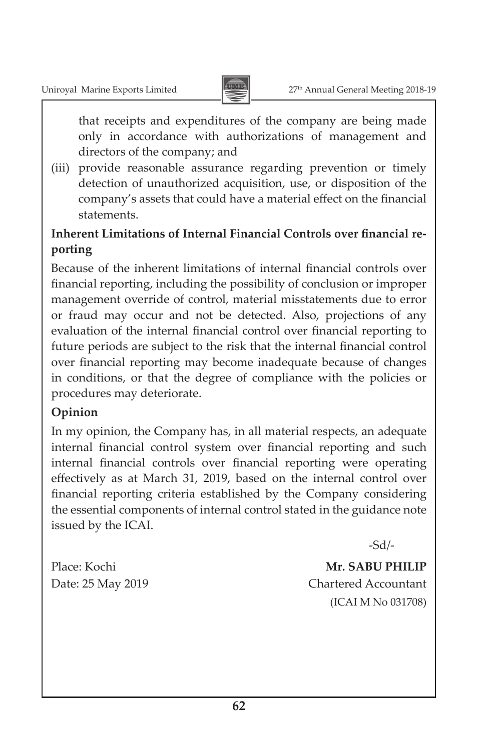

that receipts and expenditures of the company are being made only in accordance with authorizations of management and directors of the company; and

(iii) provide reasonable assurance regarding prevention or timely detection of unauthorized acquisition, use, or disposition of the company's assets that could have a material effect on the financial statements.

## **Inherent Limitations of Internal Financial Controls over financial reporting**

Because of the inherent limitations of internal financial controls over financial reporting, including the possibility of conclusion or improper management override of control, material misstatements due to error or fraud may occur and not be detected. Also, projections of any evaluation of the internal financial control over financial reporting to future periods are subject to the risk that the internal financial control over financial reporting may become inadequate because of changes in conditions, or that the degree of compliance with the policies or procedures may deteriorate.

## **Opinion**

In my opinion, the Company has, in all material respects, an adequate internal financial control system over financial reporting and such internal financial controls over financial reporting were operating effectively as at March 31, 2019, based on the internal control over financial reporting criteria established by the Company considering the essential components of internal control stated in the guidance note issued by the ICAI.

-Sd/-

Place: Kochi **Mr. SABU PHILIP** Date: 25 May 2019 Chartered Accountant (ICAI M No 031708)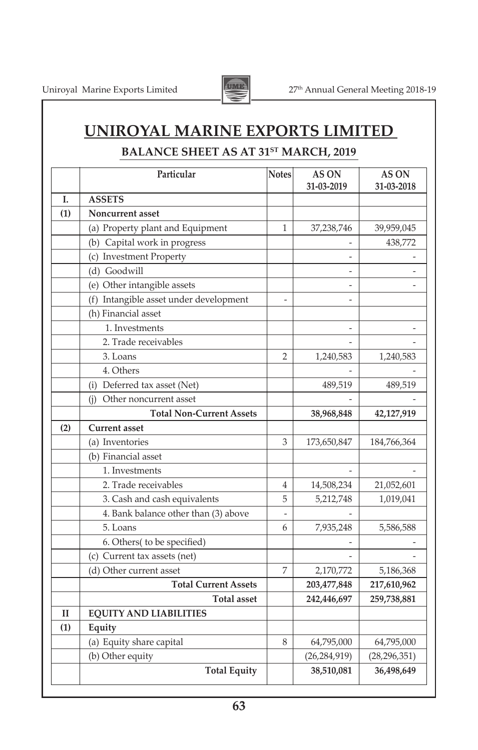

# **UNIROYAL MARINE EXPORTS LIMITED BALANCE SHEET AS AT 31ST MARCH, 2019**

|             | Particular                             | <b>Notes</b>   | AS ON<br>31-03-2019      | AS ON<br>31-03-2018 |
|-------------|----------------------------------------|----------------|--------------------------|---------------------|
| I.          | <b>ASSETS</b>                          |                |                          |                     |
| (1)         | <b>Noncurrent</b> asset                |                |                          |                     |
|             | (a) Property plant and Equipment       | 1              | 37,238,746               | 39,959,045          |
|             | (b) Capital work in progress           |                |                          | 438,772             |
|             | (c) Investment Property                |                | ٠                        |                     |
|             | (d) Goodwill                           |                |                          |                     |
|             | (e) Other intangible assets            |                | $\overline{\phantom{a}}$ |                     |
|             | (f) Intangible asset under development | -              | $\overline{\phantom{a}}$ |                     |
|             | (h) Financial asset                    |                |                          |                     |
|             | 1. Investments                         |                | ÷                        |                     |
|             | 2. Trade receivables                   |                |                          |                     |
|             | 3. Loans                               | $\overline{2}$ | 1,240,583                | 1,240,583           |
|             | 4. Others                              |                |                          |                     |
|             | (i) Deferred tax asset (Net)           |                | 489,519                  | 489,519             |
|             | (i) Other noncurrent asset             |                |                          |                     |
|             | <b>Total Non-Current Assets</b>        |                | 38,968,848               | 42,127,919          |
| (2)         | <b>Current</b> asset                   |                |                          |                     |
|             | (a) Inventories                        | 3              | 173,650,847              | 184,766,364         |
|             | (b) Financial asset                    |                |                          |                     |
|             | 1. Investments                         |                |                          |                     |
|             | 2. Trade receivables                   | 4              | 14,508,234               | 21,052,601          |
|             | 3. Cash and cash equivalents           | 5              | 5,212,748                | 1,019,041           |
|             | 4. Bank balance other than (3) above   |                |                          |                     |
|             | 5. Loans                               | 6              | 7,935,248                | 5,586,588           |
|             | 6. Others( to be specified)            |                |                          |                     |
|             | (c) Current tax assets (net)           |                |                          |                     |
|             | (d) Other current asset                | 7              | 2,170,772                | 5,186,368           |
|             | <b>Total Current Assets</b>            |                | 203,477,848              | 217,610,962         |
|             | <b>Total asset</b>                     |                | 242,446,697              | 259,738,881         |
| $_{\rm II}$ | <b>EQUITY AND LIABILITIES</b>          |                |                          |                     |
| (1)         | Equity                                 |                |                          |                     |
|             | (a) Equity share capital               | 8              | 64,795,000               | 64,795,000          |
|             | (b) Other equity                       |                | (26, 284, 919)           | (28, 296, 351)      |
|             | <b>Total Equity</b>                    |                | 38,510,081               | 36,498,649          |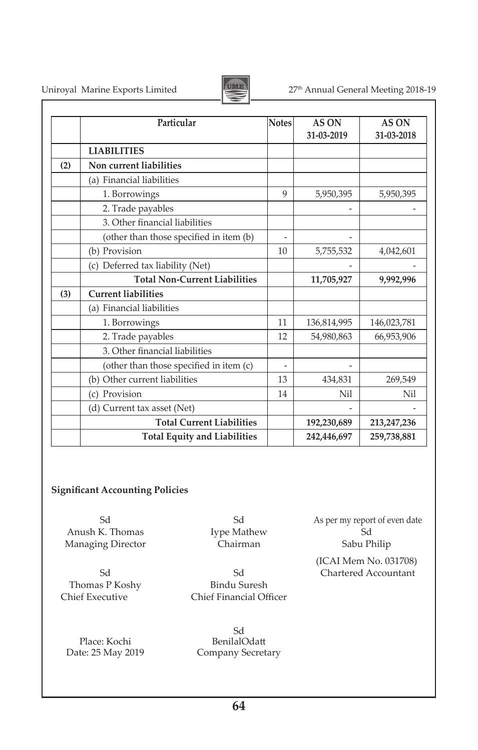

|     | Particular                              | <b>Notes</b> | AS ON<br>31-03-2019 | AS ON<br>31-03-2018 |
|-----|-----------------------------------------|--------------|---------------------|---------------------|
|     | <b>LIABILITIES</b>                      |              |                     |                     |
| (2) | Non current liabilities                 |              |                     |                     |
|     | (a) Financial liabilities               |              |                     |                     |
|     | 1. Borrowings                           | 9            | 5,950,395           | 5,950,395           |
|     | 2. Trade payables                       |              |                     |                     |
|     | 3. Other financial liabilities          |              |                     |                     |
|     | (other than those specified in item (b) | ٠            |                     |                     |
|     | (b) Provision                           | 10           | 5,755,532           | 4,042,601           |
|     | (c) Deferred tax liability (Net)        |              |                     |                     |
|     | <b>Total Non-Current Liabilities</b>    |              | 11,705,927          | 9,992,996           |
| (3) | <b>Current liabilities</b>              |              |                     |                     |
|     | (a) Financial liabilities               |              |                     |                     |
|     | 1. Borrowings                           | 11           | 136,814,995         | 146,023,781         |
|     | 2. Trade payables                       | 12           | 54,980,863          | 66,953,906          |
|     | 3. Other financial liabilities          |              |                     |                     |
|     | (other than those specified in item (c) |              |                     |                     |
|     | (b) Other current liabilities           | 13           | 434,831             | 269,549             |
|     | Provision<br>(c)                        | 14           | Nil                 | Nil                 |
|     | (d) Current tax asset (Net)             |              |                     |                     |
|     | <b>Total Current Liabilities</b>        |              | 192,230,689         | 213,247,236         |
|     | <b>Total Equity and Liabilities</b>     |              | 242,446,697         | 259,738,881         |

#### **Significant Accounting Policies**

Anush K. Thomas Mathew Sd (Separation of School of School of School of School of Sabu Philip Sabu Philip Sabu Philip Sabu Philip Sabu Philip Sabu Philip Sabu Philip Sabu Philip Sabu Philip Sabu Philip Sabu Philip Sabu Phil Managing Director

Thomas P Koshy<br>Chief Executive

Sd Sd Chartered Accountant<br>
Is P Koshy Bindu Suresh Chartered Accountant Chief Financial Officer

Place: Kochi BenilalOdatt<br>
Date: 25 May 2019 Company Secret

<u>Sdeed and the Sdeed and Sdeed and Sdeed and Sdeed and Sdeed and Sdeed and Sdeed and Sdeed and Sdeed and Sdeed </u> Company Secretary

Sd Sd As per my report of even date

(ICAI Mem No. 031708)<br>Sd Chartered Accountant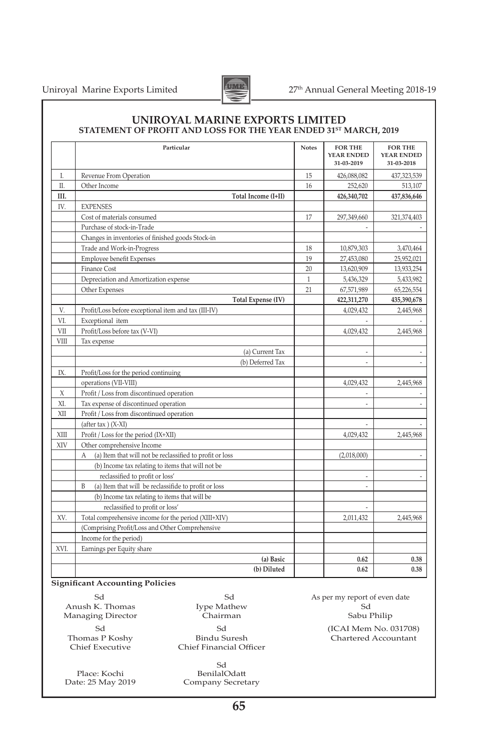

#### **UNIROYAL MARINE EXPORTS LIMITED STATEMENT OF PROFIT AND LOSS FOR THE YEAR ENDED 31ST MARCH, 2019**

|      | Particular                                                    | <b>Notes</b> | <b>FOR THE</b><br>YEAR ENDED<br>31-03-2019 | <b>FOR THE</b><br>YEAR ENDED<br>31-03-2018 |
|------|---------------------------------------------------------------|--------------|--------------------------------------------|--------------------------------------------|
| I.   | Revenue From Operation                                        | 15           | 426,088,082                                | 437,323,539                                |
| П.   | Other Income                                                  | 16           | 252,620                                    | 513,107                                    |
| III. | Total Income (I+II)                                           |              | 426,340,702                                | 437,836,646                                |
| IV.  | <b>EXPENSES</b>                                               |              |                                            |                                            |
|      | Cost of materials consumed                                    | 17           | 297,349,660                                | 321,374,403                                |
|      | Purchase of stock-in-Trade                                    |              |                                            |                                            |
|      | Changes in inventories of finished goods Stock-in             |              |                                            |                                            |
|      | Trade and Work-in-Progress                                    | 18           | 10,879,303                                 | 3,470,464                                  |
|      | Employee benefit Expenses                                     | 19           | 27,453,080                                 | 25,952,021                                 |
|      | Finance Cost                                                  | 20           | 13,620,909                                 | 13,933,254                                 |
|      | Depreciation and Amortization expense                         | $\mathbf{1}$ | 5,436,329                                  | 5,433,982                                  |
|      | Other Expenses                                                | 21           | 67,571,989                                 | 65,226,554                                 |
|      | Total Expense (IV)                                            |              | 422,311,270                                | 435,390,678                                |
| V.   | Profit/Loss before exceptional item and tax (III-IV)          |              | 4,029,432                                  | 2,445,968                                  |
| VI.  | Exceptional item                                              |              |                                            |                                            |
| VII  | Profit/Loss before tax (V-VI)                                 |              | 4,029,432                                  | 2,445,968                                  |
| VIII | Tax expense                                                   |              |                                            |                                            |
|      | (a) Current Tax                                               |              | l,                                         |                                            |
|      | (b) Deferred Tax                                              |              | L,                                         |                                            |
| IX.  | Profit/Loss for the period continuing                         |              |                                            |                                            |
|      | operations (VII-VIII)                                         |              | 4.029.432                                  | 2,445,968                                  |
| X    | Profit / Loss from discontinued operation                     |              | L,                                         |                                            |
| XI.  | Tax expense of discontinued operation                         |              | L,                                         |                                            |
| XII  | Profit / Loss from discontinued operation                     |              |                                            |                                            |
|      | (after tax) $(X-XI)$                                          |              |                                            |                                            |
| XIII | Profit / Loss for the period (IX+XII)                         |              | 4,029,432                                  | 2,445,968                                  |
| XIV  | Other comprehensive Income                                    |              |                                            |                                            |
|      | (a) Item that will not be reclassified to profit or loss<br>А |              | (2,018,000)                                |                                            |
|      | (b) Income tax relating to items that will not be             |              |                                            |                                            |
|      | reclassified to profit or loss'                               |              | Ĭ.                                         | ٠                                          |
|      | (a) Item that will be reclassifide to profit or loss<br>B     |              |                                            |                                            |
|      | (b) Income tax relating to items that will be                 |              |                                            |                                            |
|      | reclassified to profit or loss'                               |              |                                            |                                            |
| XV.  | Total comprehensive income for the period (XIII+XIV)          |              | 2,011,432                                  | 2,445,968                                  |
|      | (Comprising Profit/Loss and Other Comprehensive               |              |                                            |                                            |
|      | Income for the period)                                        |              |                                            |                                            |
| XVI. | Earnings per Equity share                                     |              |                                            |                                            |
|      | (a) Basic                                                     |              | 0.62                                       | 0.38                                       |
|      | (b) Diluted                                                   |              | 0.62                                       | 0.38                                       |

#### **Significant Accounting Policies**

 Anush K. Thomas Iype Mathew Sd Managing Director Chairman Sabu Philip Sd Sd (ICAI Mem No. 031708) Thomas P Koshy Bindu Suresh Chartered Accountant Chief Executive Chief Financial Officer 

Sd Place: Kochi BenilalOdatt Date: 25 May 2019 Company Secretary

Sd Sd As per my report of even date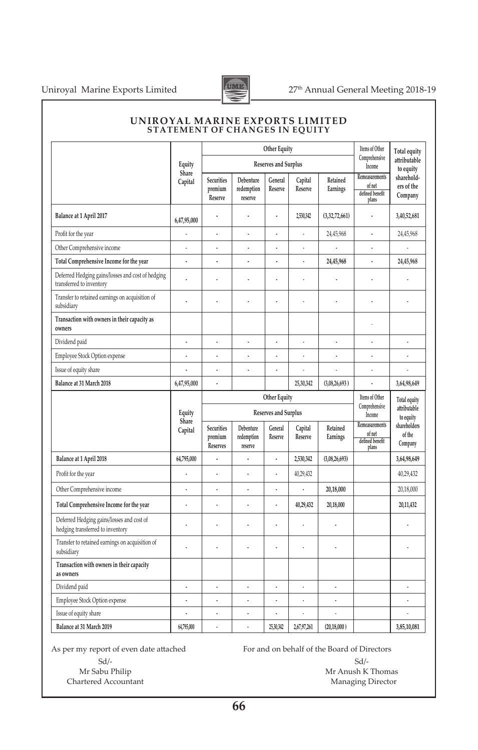

# **UNIROYAL MARINE EXPORTS LIMITED STATEMENT OF CHANGES IN EQUITY**

|                                                                               |                  |                                   |                                    | <b>Other Equity</b>  |                    |                         | Items of Other                                       | <b>Total equity</b>                 |
|-------------------------------------------------------------------------------|------------------|-----------------------------------|------------------------------------|----------------------|--------------------|-------------------------|------------------------------------------------------|-------------------------------------|
|                                                                               | Equity           |                                   |                                    | Reserves and Surplus |                    |                         | Comprehensive<br>Income                              | attributable<br>to equity           |
|                                                                               | Share<br>Capital | Securities<br>premium<br>Reserve  | Debenture<br>redemption<br>reserve | General<br>Reserve   | Capital<br>Reserve | Retained<br>Earnings    | Remeasurements<br>of net<br>defined benefit<br>plans | sharehold-<br>ers of the<br>Company |
| Balance at 1 April 2017                                                       | 6,47,95,000      |                                   | ż                                  |                      | 2,530,342          | (3,32,72,661)           |                                                      | 3,40,52,681                         |
| Profit for the year                                                           | J.               | $\ddot{\phantom{0}}$              | J.                                 | ä,                   | ï                  | 24,45,968               | J.                                                   | 24,45,968                           |
| Other Comprehensive income                                                    | L                | $\overline{a}$                    | l,                                 | l,                   |                    |                         |                                                      |                                     |
| Total Comprehensive Income for the year                                       |                  | ï                                 | l,                                 | ï                    |                    | 24,45,968               |                                                      | 24,45,968                           |
| Deferred Hedging gains/losses and cost of hedging<br>transferred to inventory |                  | ï                                 | J                                  | l                    | ï                  | J                       | J                                                    |                                     |
| Transfer to retained earnings on acquisition of<br>subsidiary                 | l,               | l,                                | í.                                 | ä,                   | ł.                 | í.                      | ż                                                    | í,                                  |
| Transaction with owners in their capacity as<br>owners                        |                  |                                   |                                    |                      |                    |                         |                                                      |                                     |
| Dividend paid                                                                 | ï                | $\ddot{\phantom{0}}$              | J                                  | ï                    | ï                  | í                       | J                                                    | J                                   |
| Employee Stock Option expense                                                 | ï                | ï                                 | l,                                 | Ĭ.                   | ł.                 | í.                      | ż                                                    | ż                                   |
| Issue of equity share                                                         |                  | l,                                | ż                                  | l,                   |                    |                         | Ì,                                                   |                                     |
| Balance at 31 March 2018                                                      | 6,47,95,000      |                                   |                                    |                      | 25,30,342          | (3,08,26,693)           |                                                      | 3,64,98,649                         |
|                                                                               |                  |                                   |                                    | <b>Other Equity</b>  |                    |                         | Items of Other                                       | Total equity                        |
|                                                                               | Equity           |                                   | Reserves and Surplus               |                      |                    | Comprehensive<br>Income | attributable<br>to equity                            |                                     |
|                                                                               | Share<br>Capital | Securities<br>premium<br>Reserves | Debenture<br>redemption<br>reserve | General<br>Reserve   | Capital<br>Reserve | Retained<br>Earnings    | Remeasurements<br>of net<br>defined benefit<br>plans | shareholders<br>of the<br>Company   |
| Balance at 1 April 2018                                                       | 64,795,000       | ï                                 |                                    | ä,                   | 2,530,342          | (3,08,26,693)           |                                                      | 3,64,98,649                         |
| Profit for the year                                                           | ï                | ï                                 | í,                                 | l,                   | 40,29,432          |                         |                                                      | 40,29,432                           |
| Other Comprehensive income                                                    | l                | ï                                 |                                    | ï                    |                    | 20,18,000               |                                                      | 20,18,000                           |
| Total Comprehensive Income for the year                                       | í.               | í.                                | í.                                 | J.                   | 40,29,432          | 20,18,000               |                                                      | 20,11,432                           |
| Deferred Hedging gains/losses and cost of<br>hedging transferred to inventory | ï                | ï                                 | ä,                                 | ä,                   | ł.                 |                         |                                                      | ż                                   |
| Transfer to retained earnings on acquisition of<br>subsidiary                 | l                | l,                                |                                    | ä,                   | ï                  | í                       |                                                      | í,                                  |
| Transaction with owners in their capacity<br>as owners                        |                  |                                   |                                    |                      |                    |                         |                                                      |                                     |
| Dividend paid                                                                 |                  | $\ddot{\phantom{0}}$              | l,                                 | ÷,                   | ï                  | $\ddot{\phantom{0}}$    |                                                      | l,                                  |
| Employee Stock Option expense                                                 | ï                | ï                                 | í,                                 | í,                   | ä,                 | ï                       |                                                      | ä,                                  |
| Issue of equity share                                                         | í.               | í.                                | ä,                                 | ä,                   |                    |                         |                                                      |                                     |
| Balance at 31 March 2019                                                      | 64,795,000       | ï                                 | l,                                 | 25,30,342            | 2,67,97,261        | (20, 18, 000)           |                                                      | 3,85,10,081                         |

As per my report of even date attached For and on behalf of the Board of Directors

 $Sd$ - $Sd$ - Mr Sabu Philip Mr Anush K Thomas Chartered Accountant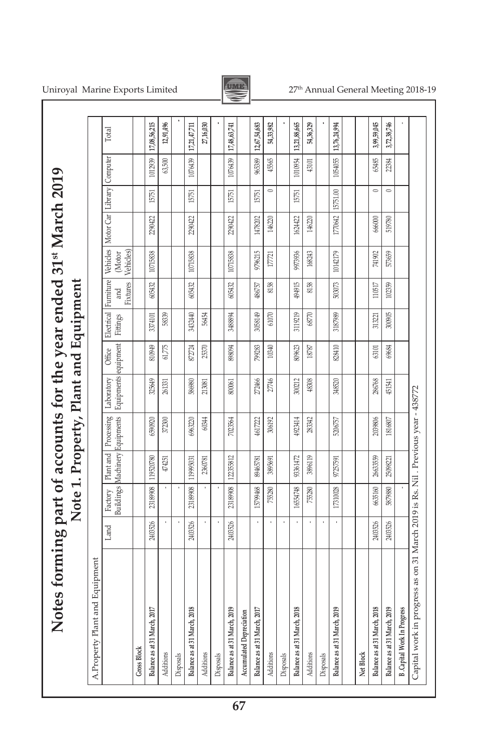| Notes forming part of accounts for the year ended 31st March 2019                |         |          |           |                                              | Note 1. Property, Plant and Equipment |        |                        |                                    |                           |                                           |                          |         |              |
|----------------------------------------------------------------------------------|---------|----------|-----------|----------------------------------------------|---------------------------------------|--------|------------------------|------------------------------------|---------------------------|-------------------------------------------|--------------------------|---------|--------------|
| A Property Plant and Equipment                                                   |         |          |           |                                              |                                       |        |                        |                                    |                           |                                           |                          |         |              |
|                                                                                  | Land    | Factory  | Plant and | Buildings Machinery Equipments<br>Processing | Equipments equipment<br>Laboratory    | Office | Electrical<br>Fittings | Furniture<br><b>Fixtures</b><br>md | Vehicles)<br><b>Motor</b> | Vehicles   Motor Car   Library   Computer |                          |         | Total        |
| <b>Gross Block</b>                                                               |         |          |           |                                              |                                       |        |                        |                                    |                           |                                           |                          |         |              |
| Balance as at 31 March, 2017                                                     | 2403526 | 23189908 | 119520780 | 5590920                                      | 325649                                | 810949 | 3374101                | 605432                             | 10715838                  | 2290422                                   | 5751                     | 1012939 | 17,08,56,215 |
| Additions                                                                        |         |          | 474251    | 372300                                       | 261331                                | 61,775 | 58339                  |                                    |                           |                                           |                          | 63,500  | 12,91,496    |
| Disposals                                                                        |         |          |           |                                              |                                       |        |                        |                                    |                           |                                           |                          |         |              |
| Balance as at 31 March, 2018                                                     | 2403526 | 23189908 | 119995031 | 6963220                                      | 586980                                | 872724 | 3432440                | 605432                             | 10715838                  | 2290422                                   | 15751                    | 1076439 | 17,21,47,711 |
| Additions                                                                        |         |          | 2360781   | 60344                                        | 213081                                | 25370  | 56454                  |                                    |                           |                                           |                          |         | 27,16,030    |
| Disposals                                                                        |         |          |           |                                              |                                       |        |                        |                                    |                           |                                           |                          |         |              |
| Balance as at 31 March, 2019                                                     | 2403526 | 23189908 | 122355812 | 7023564                                      | 800061                                | 898094 | 3488894                | 605432                             | 10715838                  | 2290422                                   | 15751                    | 1076439 | 17,48,63,741 |
| Accumulated Depreciation                                                         |         |          |           |                                              |                                       |        |                        |                                    |                           |                                           |                          |         |              |
| Balance as at 31 March, 2017                                                     |         | 15799468 | 89465781  | 4617222                                      | 272466                                | 799283 | 3058149                | 486757                             | 9796215                   | 1478202                                   | 15751                    | 965389  | 12,67,54,683 |
| Additions                                                                        |         | 755280   | 3895691   | 306192                                       | 27746                                 | 10340  | 61070                  | 8158                               | 177721                    | 146220                                    | $\overline{\phantom{0}}$ | 45565   | 54,33,982    |
| Disposals                                                                        |         |          |           |                                              |                                       |        |                        |                                    |                           |                                           |                          |         |              |
| Balance as at 31 March, 2018                                                     |         | 16554748 | 93361472  | 4923414                                      | 300212                                | 809623 | 3119219                | 494915                             | 9973936                   | 1624422                                   | 15751                    | 1010954 | 13,21,88,665 |
| Additions                                                                        |         | 755280   | 3896119   | 283342                                       | 48308                                 | 18787  | 68770                  | 8158                               | 168243                    | 146220                                    |                          | 43101   | 54,36,329    |
| Disposals                                                                        |         |          |           |                                              |                                       |        |                        |                                    |                           |                                           |                          |         |              |
| Balance as at 31 March, 2019                                                     | ł,      | 17310028 | 97257591  | 5206757                                      | 348520                                | 828410 | 3187989                | 503073                             | 10142179                  | 1770642                                   | 15751.00                 | 1054055 | 13,76,24,994 |
|                                                                                  |         |          |           |                                              |                                       |        |                        |                                    |                           |                                           |                          |         |              |
| Net Block                                                                        |         |          |           |                                              |                                       |        |                        |                                    |                           |                                           |                          |         |              |
| Balance as at 31 March, 2018                                                     | 2403526 | 6635160  | 26633559  | 2039806                                      | 286768                                | 63101  | 313221                 | 110517                             | 741902                    | 666000                                    | $\overline{\phantom{0}}$ | 65485   | 3,99,59,045  |
| Balance as at 31 March, 2019                                                     | 2403526 | 5879880  | 25098221  | 1816807                                      | 191341                                | 69684  | 300905                 | 102359                             | 573659                    | 519780                                    | $\overline{\phantom{0}}$ | 22384   | 3,72,38,746  |
| <b>B.Capital Work In Progress</b>                                                |         |          |           |                                              |                                       |        |                        |                                    |                           |                                           |                          |         |              |
| Capital work in progress as on 31 March 2019 is Rs. Nil . Previous year - 438772 |         |          |           |                                              |                                       |        |                        |                                    |                           |                                           |                          |         |              |
|                                                                                  |         |          |           |                                              |                                       |        |                        |                                    |                           |                                           |                          |         |              |

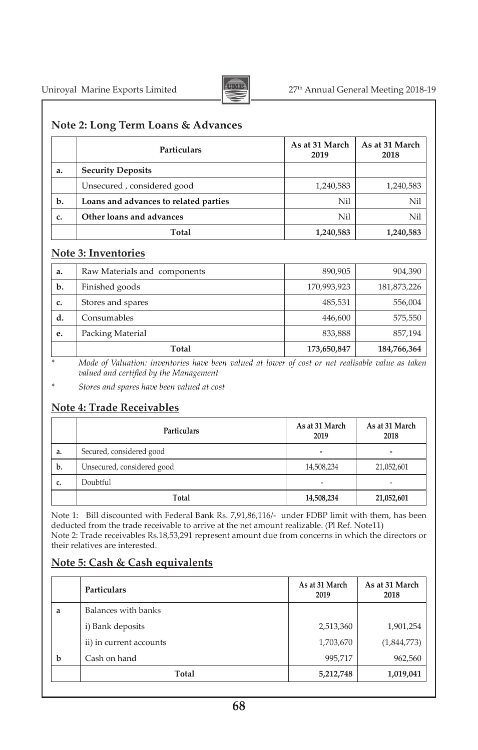

#### **Note 2: Long Term Loans & Advances**

|    | <b>Particulars</b>                    | As at 31 March<br>2019 | As at 31 March<br>2018 |
|----|---------------------------------------|------------------------|------------------------|
| a. | <b>Security Deposits</b>              |                        |                        |
|    | Unsecured, considered good            | 1,240,583              | 1,240,583              |
| b. | Loans and advances to related parties | Nil                    | Nil                    |
| c. | Other loans and advances              | Nil                    | Nil                    |
|    | Total                                 | 1,240,583              | 1,240,583              |

#### **Note 3: Inventories**

| a. | Raw Materials and components | 890,905     | 904,390     |
|----|------------------------------|-------------|-------------|
| b. | Finished goods               | 170,993,923 | 181,873,226 |
| c. | Stores and spares            | 485,531     | 556,004     |
| d. | Consumables                  | 446,600     | 575,550     |
| e. | Packing Material             | 833,888     | 857,194     |
|    | Total                        | 173,650,847 | 184,766,364 |

*\* Mode of Valuation: inventories have been valued at lower of cost or net realisable value as taken valued and certified by the Management*

*\* Stores and spares have been valued at cost*

#### **Note 4: Trade Receivables**

|    | <b>Particulars</b>         | As at 31 March<br>2019 | As at 31 March<br>2018 |
|----|----------------------------|------------------------|------------------------|
| a. | Secured, considered good   | ٠                      |                        |
| b. | Unsecured, considered good | 14,508,234             | 21,052,601             |
| c. | Doubtful                   | -                      | $\sim$                 |
|    | Total                      | 14,508,234             | 21,052,601             |

Note 1: Bill discounted with Federal Bank Rs. 7,91,86,116/- under FDBP limit with them, has been deducted from the trade receivable to arrive at the net amount realizable. (Pl Ref. Note11) Note 2: Trade receivables Rs.18,53,291 represent amount due from concerns in which the directors or their relatives are interested.

#### **Note 5: Cash & Cash equivalents**

|   | Particulars             | As at 31 March<br>2019 | As at 31 March<br>2018 |
|---|-------------------------|------------------------|------------------------|
| a | Balances with banks     |                        |                        |
|   | i) Bank deposits        | 2,513,360              | 1,901,254              |
|   | ii) in current accounts | 1,703,670              | (1,844,773)            |
| b | Cash on hand            | 995,717                | 962,560                |
|   | Total                   | 5,212,748              | 1,019,041              |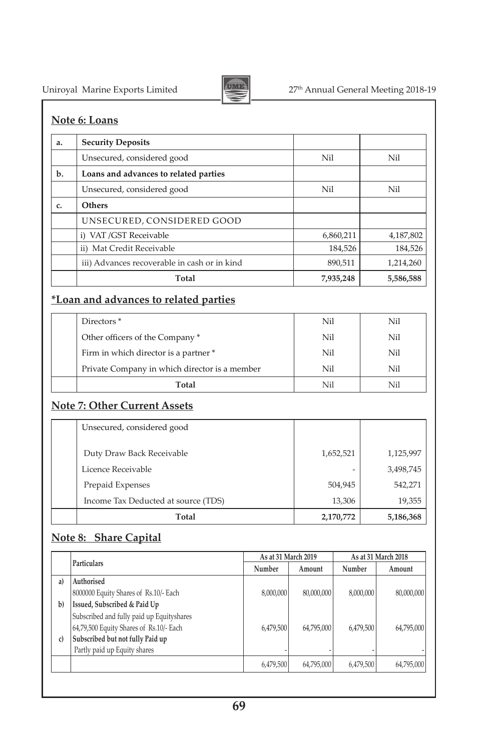

#### **Note 6: Loans**

| a.             | <b>Security Deposits</b>                     |           |           |
|----------------|----------------------------------------------|-----------|-----------|
|                | Unsecured, considered good                   | Nil       | Nil       |
| $\mathbf{b}$ . | Loans and advances to related parties        |           |           |
|                | Unsecured, considered good                   | Nil       | Nil       |
| c.             | Others                                       |           |           |
|                | UNSECURED, CONSIDERED GOOD                   |           |           |
|                | i) VAT /GST Receivable                       | 6,860,211 | 4,187,802 |
|                | ii) Mat Credit Receivable                    | 184,526   | 184,526   |
|                | iii) Advances recoverable in cash or in kind | 890,511   | 1,214,260 |
|                | Total                                        | 7,935,248 | 5,586,588 |

#### **\*Loan and advances to related parties**

| Directors <sup>*</sup>                        | Nil | Nil |
|-----------------------------------------------|-----|-----|
| Other officers of the Company *               | Nil | Nil |
| Firm in which director is a partner *         | Nil | Nil |
| Private Company in which director is a member | Nil | Nil |
| Total                                         | Nil | Nil |

#### **Note 7: Other Current Assets**

| Unsecured, considered good          |           |           |
|-------------------------------------|-----------|-----------|
| Duty Draw Back Receivable           | 1,652,521 | 1,125,997 |
| Licence Receivable                  |           | 3,498,745 |
| Prepaid Expenses                    | 504,945   | 542,271   |
| Income Tax Deducted at source (TDS) | 13,306    | 19,355    |
| Total                               | 2,170,772 | 5,186,368 |

#### **Note 8: Share Capital**

|              | <b>Particulars</b>                        | As at 31 March 2019 |            | As at 31 March 2018 |            |
|--------------|-------------------------------------------|---------------------|------------|---------------------|------------|
|              |                                           | Number              | Amount     | Number              | Amount     |
| a)           | Authorised                                |                     |            |                     |            |
|              | 8000000 Equity Shares of Rs.10/- Each     | 8,000,000           | 80,000,000 | 8,000,000           | 80,000,000 |
| $\mathbf{b}$ | Issued, Subscribed & Paid Up              |                     |            |                     |            |
|              | Subscribed and fully paid up Equityshares |                     |            |                     |            |
|              | 64,79,500 Equity Shares of Rs.10/- Each   | 6,479,500           | 64,795,000 | 6,479,500           | 64,795,000 |
| $\mathbf{c}$ | Subscribed but not fully Paid up          |                     |            |                     |            |
|              | Partly paid up Equity shares              |                     |            |                     |            |
|              |                                           | 6,479,500           | 64,795,000 | 6,479,500           | 64,795,000 |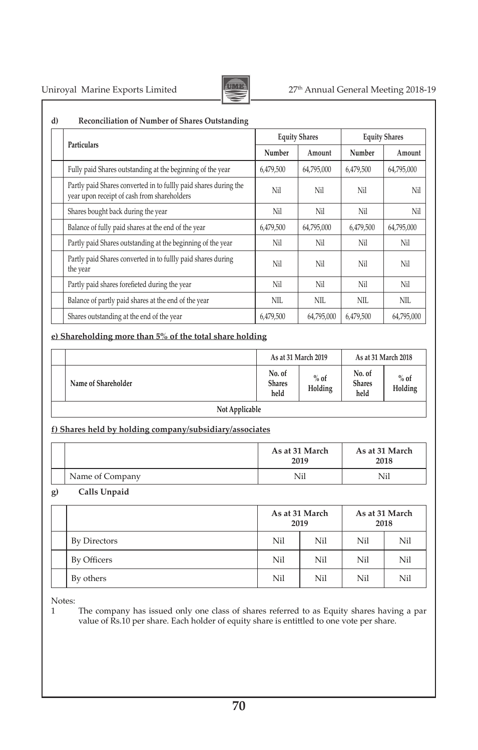

| Particulars                                                                                                     | <b>Equity Shares</b> |            | <b>Equity Shares</b> |            |
|-----------------------------------------------------------------------------------------------------------------|----------------------|------------|----------------------|------------|
|                                                                                                                 | Number               | Amount     | Number               | Amount     |
| Fully paid Shares outstanding at the beginning of the year                                                      | 6,479,500            | 64,795,000 | 6,479,500            | 64,795,000 |
| Partly paid Shares converted in to fullly paid shares during the<br>year upon receipt of cash from shareholders | Nil                  | Nil        | Nil                  | Nil        |
| Shares bought back during the year                                                                              | Nil                  | Nil        | Nil                  | Nil        |
| Balance of fully paid shares at the end of the year                                                             | 6,479,500            | 64,795,000 | 6,479,500            | 64,795,000 |
| Partly paid Shares outstanding at the beginning of the year                                                     | Nil                  | Nil        | Nil                  | Nil        |
| Partly paid Shares converted in to fullly paid shares during<br>the year                                        | Nil                  | Nil        | Nil                  | Nil        |
| Partly paid shares forefieted during the year                                                                   | Nil                  | Nil        | Nil                  | Nil        |
| Balance of partly paid shares at the end of the year                                                            | NIL                  | NIL        | NIL                  | <b>NIL</b> |
| Shares outstanding at the end of the year                                                                       | 6,479,500            | 64,795,000 | 6,479,500            | 64,795,000 |

#### **e) Shareholding more than 5% of the total share holding**

|                |                     | As at 31 March 2019             |                   | As at 31 March 2018             |                   |
|----------------|---------------------|---------------------------------|-------------------|---------------------------------|-------------------|
|                | Name of Shareholder | No. of<br><b>Shares</b><br>held | $%$ of<br>Holding | No. of<br><b>Shares</b><br>held | $%$ of<br>Holding |
| Not Applicable |                     |                                 |                   |                                 |                   |

#### **f) Shares held by holding company/subsidiary/associates**

|                 | As at 31 March<br>2019 | As at 31 March<br>2018 |  |
|-----------------|------------------------|------------------------|--|
| Name of Company | Nil                    | Nil                    |  |

#### **g) Calls Unpaid**

|              | As at 31 March<br>2019 |     | As at 31 March<br>2018 |     |
|--------------|------------------------|-----|------------------------|-----|
| By Directors | Nil                    | Nil | Nil                    | Nil |
| By Officers  | Nil                    | Nil | Nil                    | Nil |
| By others    | Nil                    | Nil | Nil                    | Nil |

Notes:

1 The company has issued only one class of shares referred to as Equity shares having a par value of Rs.10 per share. Each holder of equity share is entittled to one vote per share.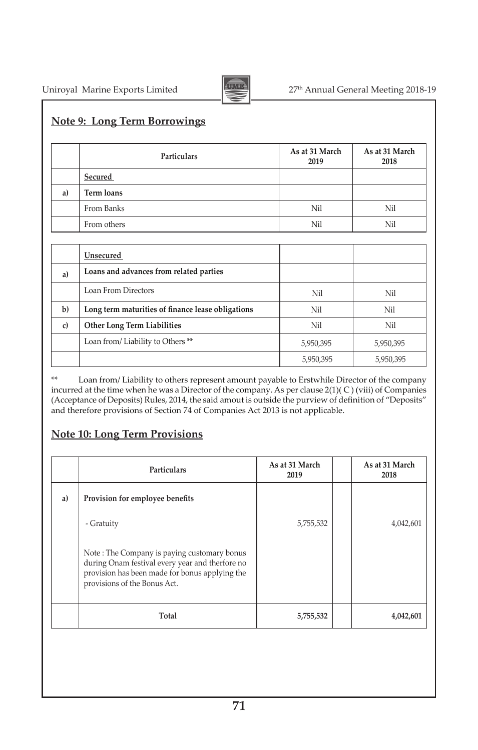

#### **Note 9: Long Term Borrowings**

|    | Particulars       | As at 31 March<br>2019 | As at 31 March<br>2018 |
|----|-------------------|------------------------|------------------------|
|    | Secured           |                        |                        |
| a) | <b>Term loans</b> |                        |                        |
|    | From Banks        | Nil                    | Nil                    |
|    | From others       | Nil                    | Nil                    |

|    | Unsecured                                         |           |           |
|----|---------------------------------------------------|-----------|-----------|
| a) | Loans and advances from related parties           |           |           |
|    | Loan From Directors                               | Nil       | Nil       |
| b) | Long term maturities of finance lease obligations | Nil       | Nil       |
| c) | Other Long Term Liabilities                       | Nil       | Nil       |
|    | Loan from/Liability to Others <sup>**</sup>       | 5,950,395 | 5,950,395 |
|    |                                                   | 5,950,395 | 5,950,395 |

\*\* Loan from/ Liability to others represent amount payable to Erstwhile Director of the company incurred at the time when he was a Director of the company. As per clause 2(1)( C ) (viii) of Companies (Acceptance of Deposits) Rules, 2014, the said amout is outside the purview of definition of "Deposits" and therefore provisions of Section 74 of Companies Act 2013 is not applicable.

#### **Note 10: Long Term Provisions**

|    | Particulars                                                                                                                                                                      | As at 31 March<br>2019 | As at 31 March<br>2018 |
|----|----------------------------------------------------------------------------------------------------------------------------------------------------------------------------------|------------------------|------------------------|
| a) | Provision for employee benefits                                                                                                                                                  |                        |                        |
|    | - Gratuity                                                                                                                                                                       | 5,755,532              | 4,042,601              |
|    | Note: The Company is paying customary bonus<br>during Onam festival every year and therfore no<br>provision has been made for bonus applying the<br>provisions of the Bonus Act. |                        |                        |
|    | Total                                                                                                                                                                            | 5,755,532              | 4,042,601              |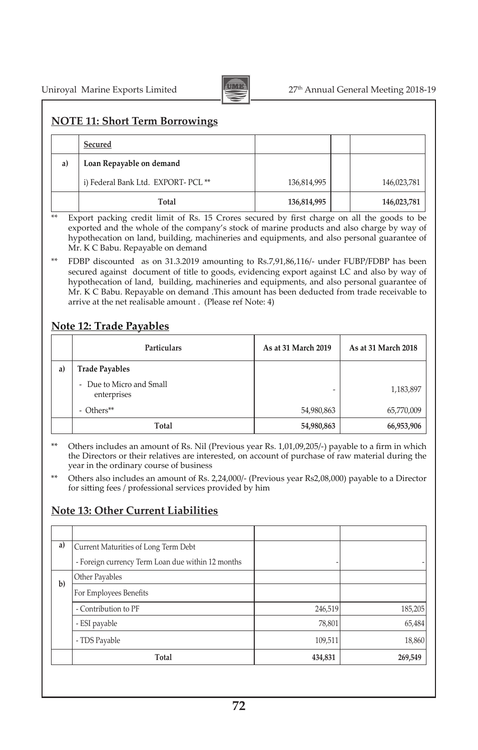Uniroyal Marine Exports Limited 2018-19 27<sup>th</sup> Annual General Meeting 2018-19



#### **NOTE 11: Short Term Borrowings**

|    | Secured                                        |             |             |
|----|------------------------------------------------|-------------|-------------|
| a) | Loan Repayable on demand                       |             |             |
|    | i) Federal Bank Ltd. EXPORT- PCL <sup>**</sup> | 136,814,995 | 146,023,781 |
|    | Total                                          | 136,814,995 | 146,023,781 |

Export packing credit limit of Rs. 15 Crores secured by first charge on all the goods to be exported and the whole of the company's stock of marine products and also charge by way of hypothecation on land, building, machineries and equipments, and also personal guarantee of Mr. K C Babu. Repayable on demand

FDBP discounted as on 31.3.2019 amounting to Rs.7,91,86,116/- under FUBP/FDBP has been secured against document of title to goods, evidencing export against LC and also by way of hypothecation of land, building, machineries and equipments, and also personal guarantee of Mr. K C Babu. Repayable on demand .This amount has been deducted from trade receivable to arrive at the net realisable amount . (Please ref Note: 4)

#### **Note 12: Trade Payables**

|    | Particulars                                             | As at 31 March 2019 | As at 31 March 2018 |
|----|---------------------------------------------------------|---------------------|---------------------|
| a) | <b>Trade Payables</b>                                   |                     |                     |
|    | Due to Micro and Small<br>$\overline{a}$<br>enterprises | -                   | 1,183,897           |
|    | - Others**                                              | 54,980,863          | 65,770,009          |
|    | Total                                                   | 54,980,863          | 66,953,906          |

\*\* Others includes an amount of Rs. Nil (Previous year Rs. 1,01,09,205/-) payable to a firm in which the Directors or their relatives are interested, on account of purchase of raw material during the year in the ordinary course of business

Others also includes an amount of Rs. 2,24,000/- (Previous year Rs2,08,000) payable to a Director for sitting fees / professional services provided by him

#### **Note 13: Other Current Liabilities**

| a)           | Current Maturities of Long Term Debt              |         |         |
|--------------|---------------------------------------------------|---------|---------|
|              | - Foreign currency Term Loan due within 12 months |         |         |
| $\mathbf{b}$ | Other Payables                                    |         |         |
|              | For Employees Benefits                            |         |         |
|              | - Contribution to PF                              | 246,519 | 185,205 |
|              | - ESI payable                                     | 78,801  | 65,484  |
|              | - TDS Payable                                     | 109,511 | 18,860  |
|              | Total                                             | 434,831 | 269,549 |
|              |                                                   |         |         |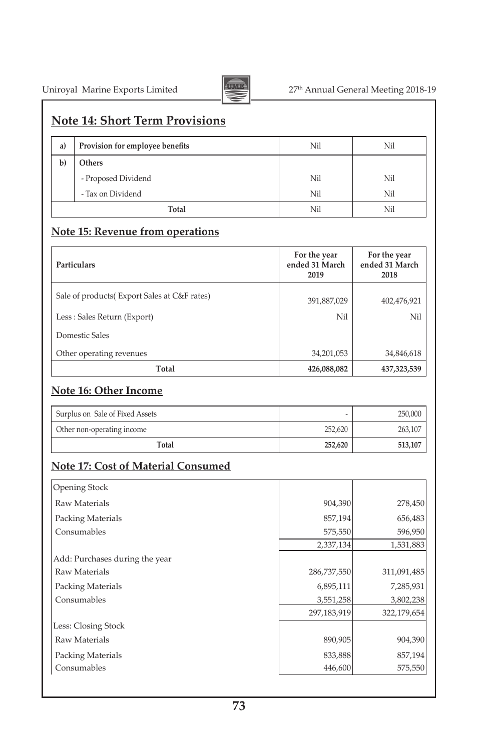

# Uniroyal Marine Exports Limited  $27<sup>th</sup>$  Annual General Meeting 2018-19

## **Note 14: Short Term Provisions**

| a) | Provision for employee benefits | Nil | Nil |
|----|---------------------------------|-----|-----|
| b) | <b>Others</b>                   |     |     |
|    | - Proposed Dividend             | Nil | Nil |
|    | - Tax on Dividend               | Nil | Nil |
|    | Total                           | Nil | Nil |

## **Note 15: Revenue from operations**

| <b>Particulars</b>                          | For the year<br>ended 31 March<br>2019 | For the year<br>ended 31 March<br>2018 |
|---------------------------------------------|----------------------------------------|----------------------------------------|
| Sale of products(Export Sales at C&F rates) | 391,887,029                            | 402,476,921                            |
| Less : Sales Return (Export)                | Nil                                    | Nil                                    |
| Domestic Sales                              |                                        |                                        |
| Other operating revenues                    | 34,201,053                             | 34,846,618                             |
| Total                                       | 426,088,082                            | 437,323,539                            |

#### **Note 16: Other Income**

| Surplus on Sale of Fixed Assets | -       | 250,000 |
|---------------------------------|---------|---------|
| Other non-operating income      | 252.620 | 263,107 |
| Total                           | 252,620 | 513,107 |

## **Note 17: Cost of Material Consumed**

| Opening Stock                  |             |             |
|--------------------------------|-------------|-------------|
| Raw Materials                  | 904,390     | 278,450     |
| Packing Materials              | 857,194     | 656,483     |
| Consumables                    | 575,550     | 596,950     |
|                                | 2,337,134   | 1,531,883   |
| Add: Purchases during the year |             |             |
| Raw Materials                  | 286,737,550 | 311,091,485 |
| Packing Materials              | 6,895,111   | 7,285,931   |
| Consumables                    | 3,551,258   | 3,802,238   |
|                                | 297,183,919 | 322,179,654 |
| Less: Closing Stock            |             |             |
| Raw Materials                  | 890,905     | 904,390     |
| <b>Packing Materials</b>       | 833,888     | 857,194     |
| Consumables                    | 446,600     | 575,550     |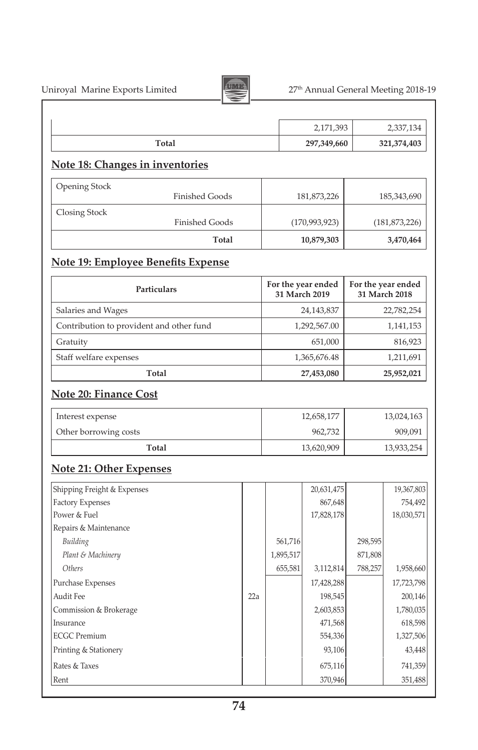| Uniroyal Marine Exports Limited |  |  | 27 <sup>th</sup> Annual General Meeting 2018-19 |
|---------------------------------|--|--|-------------------------------------------------|
|---------------------------------|--|--|-------------------------------------------------|



|       | 2,171,393   | 2,337,134   |
|-------|-------------|-------------|
| Total | 297,349,660 | 321,374,403 |

#### **Note 18: Changes in inventories**

| <b>Opening Stock</b> |                       |                 |                 |
|----------------------|-----------------------|-----------------|-----------------|
|                      | <b>Finished Goods</b> | 181,873,226     | 185,343,690     |
| Closing Stock        |                       |                 |                 |
|                      | <b>Finished Goods</b> | (170, 993, 923) | (181, 873, 226) |
|                      | Total                 | 10,879,303      | 3,470,464       |

#### **Note 19: Employee Benefits Expense**

| Particulars                              | For the year ended<br>31 March 2019 | For the year ended<br>31 March 2018 |
|------------------------------------------|-------------------------------------|-------------------------------------|
| Salaries and Wages                       | 24,143,837                          | 22,782,254                          |
| Contribution to provident and other fund | 1,292,567.00                        | 1,141,153                           |
| Gratuity                                 | 651,000                             | 816,923                             |
| Staff welfare expenses                   | 1,365,676.48                        | 1,211,691                           |
| Total                                    | 27,453,080                          | 25,952,021                          |

## **Note 20: Finance Cost**

| Interest expense      | 12,658,177 | 13,024,163 |
|-----------------------|------------|------------|
| Other borrowing costs | 962.732    | 909,091    |
| Total                 | 13,620,909 | 13,933,254 |

#### **Note 21: Other Expenses**

| Shipping Freight & Expenses |     |           | 20,631,475 |         | 19,367,803 |
|-----------------------------|-----|-----------|------------|---------|------------|
| <b>Factory Expenses</b>     |     |           | 867,648    |         | 754,492    |
| Power & Fuel                |     |           | 17,828,178 |         | 18,030,571 |
| Repairs & Maintenance       |     |           |            |         |            |
| Building                    |     | 561,716   |            | 298,595 |            |
| Plant & Machinery           |     | 1,895,517 |            | 871,808 |            |
| <b>Others</b>               |     | 655,581   | 3,112,814  | 788,257 | 1,958,660  |
| Purchase Expenses           |     |           | 17,428,288 |         | 17,723,798 |
| Audit Fee                   | 22a |           | 198,545    |         | 200,146    |
| Commission & Brokerage      |     |           | 2,603,853  |         | 1,780,035  |
| Insurance                   |     |           | 471,568    |         | 618,598    |
| <b>ECGC Premium</b>         |     |           | 554,336    |         | 1,327,506  |
| Printing & Stationery       |     |           | 93,106     |         | 43,448     |
| Rates & Taxes               |     |           | 675,116    |         | 741,359    |
| Rent                        |     |           | 370,946    |         | 351,488    |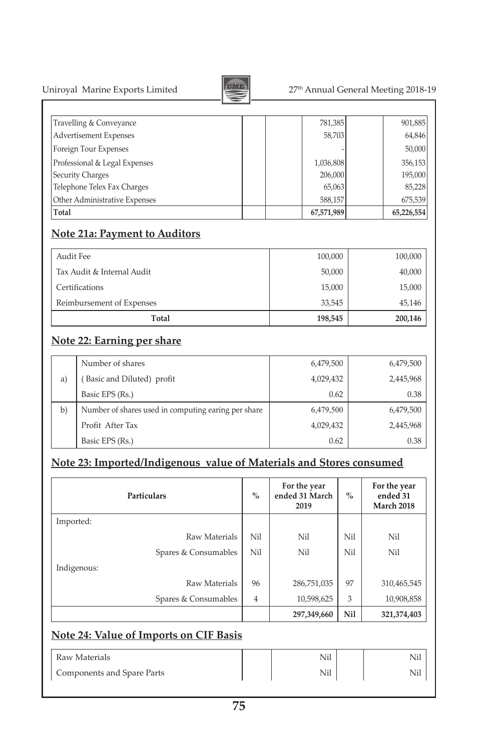27<sup>th</sup> Annual General Meeting 2018-19

| Uniroyal Marine Exports Limited |  |  |
|---------------------------------|--|--|
|                                 |  |  |

| Travelling & Conveyance       |  | 781,385    | 901,885    |
|-------------------------------|--|------------|------------|
| Advertisement Expenses        |  | 58,703     | 64,846     |
| Foreign Tour Expenses         |  |            | 50,000     |
| Professional & Legal Expenses |  | 1,036,808  | 356,153    |
| Security Charges              |  | 206,000    | 195,000    |
| Telephone Telex Fax Charges   |  | 65,063     | 85,228     |
| Other Administrative Expenses |  | 588,157    | 675,539    |
| Total                         |  | 67,571,989 | 65,226,554 |

## **Note 21a: Payment to Auditors**

| Audit Fee                  | 100,000 | 100,000 |
|----------------------------|---------|---------|
| Tax Audit & Internal Audit | 50,000  | 40,000  |
| Certifications             | 15,000  | 15,000  |
| Reimbursement of Expenses  | 33,545  | 45,146  |
| Total                      | 198,545 | 200,146 |

## **Note 22: Earning per share**

|              | Number of shares                                    | 6,479,500 | 6,479,500 |
|--------------|-----------------------------------------------------|-----------|-----------|
| a)           | Basic and Diluted) profit                           | 4,029,432 | 2,445,968 |
|              | Basic EPS (Rs.)                                     | 0.62      | 0.38      |
| $\mathbf{b}$ | Number of shares used in computing earing per share | 6,479,500 | 6,479,500 |
|              | Profit After Tax                                    | 4,029,432 | 2,445,968 |
|              | Basic EPS (Rs.)                                     | 0.62      | 0.38      |

## **Note 23: Imported/Indigenous value of Materials and Stores consumed**

| Particulars                                   | $\%$ | For the year<br>ended 31 March<br>2019 | $\frac{0}{0}$ | For the year<br>ended 31<br>March 2018 |  |  |
|-----------------------------------------------|------|----------------------------------------|---------------|----------------------------------------|--|--|
| Imported:                                     |      |                                        |               |                                        |  |  |
| Raw Materials                                 | Nil  | Nil                                    | Nil           | Nil                                    |  |  |
| Spares & Consumables                          | Nil  | Nil                                    | Nil           | Nil                                    |  |  |
| Indigenous:                                   |      |                                        |               |                                        |  |  |
| Raw Materials                                 | 96   | 286,751,035                            | 97            | 310,465,545                            |  |  |
| Spares & Consumables                          | 4    | 10,598,625                             | 3             | 10,908,858                             |  |  |
|                                               |      | 297,349,660                            | Nil           | 321,374,403                            |  |  |
| <b>Note 24: Value of Imports on CIF Basis</b> |      |                                        |               |                                        |  |  |

| Raw Materials              | Nil | T   |
|----------------------------|-----|-----|
| Components and Spare Parts | Nil | N11 |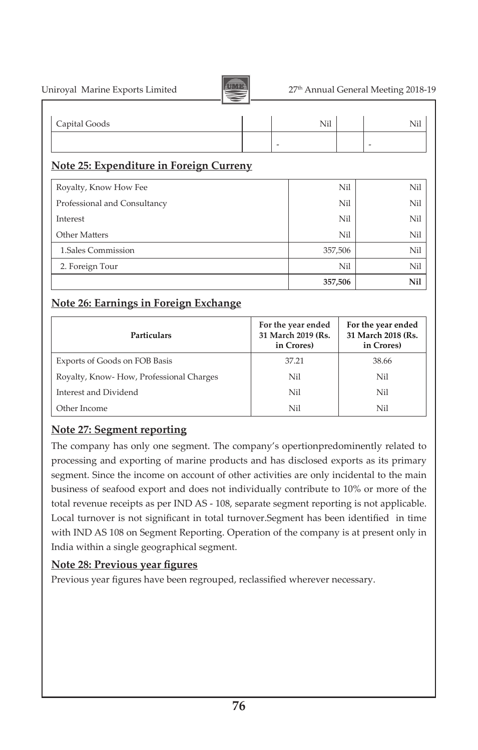| Uniroyal Marine Exports Limited         |  |     |                      | 27th Annual General Meeting 2018-19 |
|-----------------------------------------|--|-----|----------------------|-------------------------------------|
| Capital Goods                           |  | Nil |                      | Nil                                 |
|                                         |  |     |                      |                                     |
| Note 25: Expenditure in Foreign Curreny |  |     |                      |                                     |
| Royalty, Know How Fee                   |  |     | Nil                  | N <sub>i</sub>                      |
| Professional and Consultancy            |  |     | Nil                  | Nil                                 |
| Interest                                |  |     | Nil                  | Nil                                 |
| $-1$ $-1$ $-1$                          |  |     | $\sim$ $\sim$ $\sim$ | 7.711                               |

 $\sqrt{2}$ 

## Other Matters Nil Nil 1.Sales Commission 357,506 Nil 2. Foreign Tour Nil Nil **357,506 Nil**

## **Note 26: Earnings in Foreign Exchange**

| <b>Particulars</b>                      | For the year ended<br>31 March 2019 (Rs.<br>in Crores) | For the year ended<br>31 March 2018 (Rs.<br>in Crores) |
|-----------------------------------------|--------------------------------------------------------|--------------------------------------------------------|
| Exports of Goods on FOB Basis           | 37.21                                                  | 38.66                                                  |
| Royalty, Know-How, Professional Charges | Nil                                                    | Nil.                                                   |
| Interest and Dividend                   | Nil                                                    | Nil                                                    |
| Other Income                            | Nil                                                    | Nil                                                    |

#### **Note 27: Segment reporting**

The company has only one segment. The company's opertionpredominently related to processing and exporting of marine products and has disclosed exports as its primary segment. Since the income on account of other activities are only incidental to the main business of seafood export and does not individually contribute to 10% or more of the total revenue receipts as per IND AS - 108, separate segment reporting is not applicable. Local turnover is not significant in total turnover.Segment has been identified in time with IND AS 108 on Segment Reporting. Operation of the company is at present only in India within a single geographical segment.

#### **Note 28: Previous year figures**

Previous year figures have been regrouped, reclassified wherever necessary.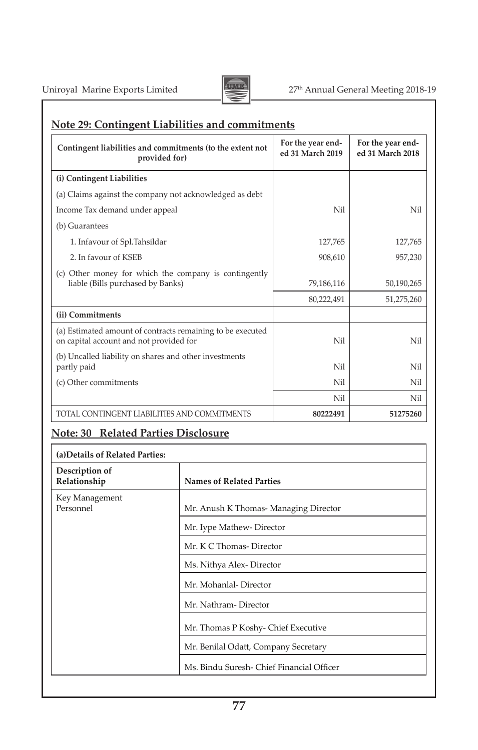

#### **Note 29: Contingent Liabilities and commitments**

| Contingent liabilities and commitments (to the extent not<br>provided for)                            | For the year end-<br>ed 31 March 2019 | For the year end-<br>ed 31 March 2018 |
|-------------------------------------------------------------------------------------------------------|---------------------------------------|---------------------------------------|
| (i) Contingent Liabilities                                                                            |                                       |                                       |
| (a) Claims against the company not acknowledged as debt                                               |                                       |                                       |
| Income Tax demand under appeal                                                                        | Nil                                   | Nil                                   |
| (b) Guarantees                                                                                        |                                       |                                       |
| 1. Infavour of Spl.Tahsildar                                                                          | 127,765                               | 127,765                               |
| 2. In favour of KSEB                                                                                  | 908,610                               | 957,230                               |
| (c) Other money for which the company is contingently<br>liable (Bills purchased by Banks)            | 79,186,116                            | 50,190,265                            |
|                                                                                                       | 80,222,491                            | 51,275,260                            |
| (ii) Commitments                                                                                      |                                       |                                       |
| (a) Estimated amount of contracts remaining to be executed<br>on capital account and not provided for | Nil                                   | Nil                                   |
| (b) Uncalled liability on shares and other investments<br>partly paid                                 | Nil                                   | Nil                                   |
| (c) Other commitments                                                                                 | Nil                                   | Nil                                   |
|                                                                                                       | Nil                                   | Nil                                   |
| TOTAL CONTINGENT LIABILITIES AND COMMITMENTS                                                          | 80222491                              | 51275260                              |

## **Note: 30 Related Parties Disclosure**

| <b>Names of Related Parties</b>           |
|-------------------------------------------|
| Mr. Anush K Thomas- Managing Director     |
| Mr. Iype Mathew-Director                  |
| Mr. K C Thomas-Director                   |
| Ms. Nithya Alex-Director                  |
| Mr. Mohanlal-Director                     |
| Mr. Nathram-Director                      |
| Mr. Thomas P Koshy- Chief Executive       |
| Mr. Benilal Odatt, Company Secretary      |
| Ms. Bindu Suresh- Chief Financial Officer |
|                                           |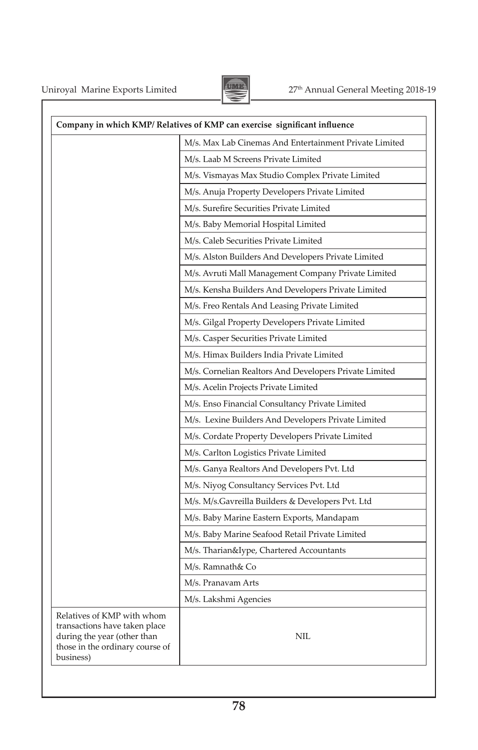

| Company in which KMP/ Relatives of KMP can exercise significant influence                                                                  |                                                        |  |
|--------------------------------------------------------------------------------------------------------------------------------------------|--------------------------------------------------------|--|
|                                                                                                                                            | M/s. Max Lab Cinemas And Entertainment Private Limited |  |
|                                                                                                                                            | M/s. Laab M Screens Private Limited                    |  |
|                                                                                                                                            | M/s. Vismayas Max Studio Complex Private Limited       |  |
|                                                                                                                                            | M/s. Anuja Property Developers Private Limited         |  |
|                                                                                                                                            | M/s. Surefire Securities Private Limited               |  |
|                                                                                                                                            | M/s. Baby Memorial Hospital Limited                    |  |
|                                                                                                                                            | M/s. Caleb Securities Private Limited                  |  |
|                                                                                                                                            | M/s. Alston Builders And Developers Private Limited    |  |
|                                                                                                                                            | M/s. Avruti Mall Management Company Private Limited    |  |
|                                                                                                                                            | M/s. Kensha Builders And Developers Private Limited    |  |
|                                                                                                                                            | M/s. Freo Rentals And Leasing Private Limited          |  |
|                                                                                                                                            | M/s. Gilgal Property Developers Private Limited        |  |
|                                                                                                                                            | M/s. Casper Securities Private Limited                 |  |
|                                                                                                                                            | M/s. Himax Builders India Private Limited              |  |
|                                                                                                                                            | M/s. Cornelian Realtors And Developers Private Limited |  |
|                                                                                                                                            | M/s. Acelin Projects Private Limited                   |  |
|                                                                                                                                            | M/s. Enso Financial Consultancy Private Limited        |  |
|                                                                                                                                            | M/s. Lexine Builders And Developers Private Limited    |  |
|                                                                                                                                            | M/s. Cordate Property Developers Private Limited       |  |
|                                                                                                                                            | M/s. Carlton Logistics Private Limited                 |  |
|                                                                                                                                            | M/s. Ganya Realtors And Developers Pvt. Ltd            |  |
|                                                                                                                                            | M/s. Niyog Consultancy Services Pvt. Ltd               |  |
|                                                                                                                                            | M/s. M/s.Gavreilla Builders & Developers Pvt. Ltd      |  |
|                                                                                                                                            | M/s. Baby Marine Eastern Exports, Mandapam             |  |
|                                                                                                                                            | M/s. Baby Marine Seafood Retail Private Limited        |  |
|                                                                                                                                            | M/s. Tharian&Iype, Chartered Accountants               |  |
|                                                                                                                                            | M/s. Ramnath& Co                                       |  |
|                                                                                                                                            | M/s. Pranavam Arts                                     |  |
|                                                                                                                                            | M/s. Lakshmi Agencies                                  |  |
| Relatives of KMP with whom<br>transactions have taken place<br>during the year (other than<br>those in the ordinary course of<br>business) | <b>NIL</b>                                             |  |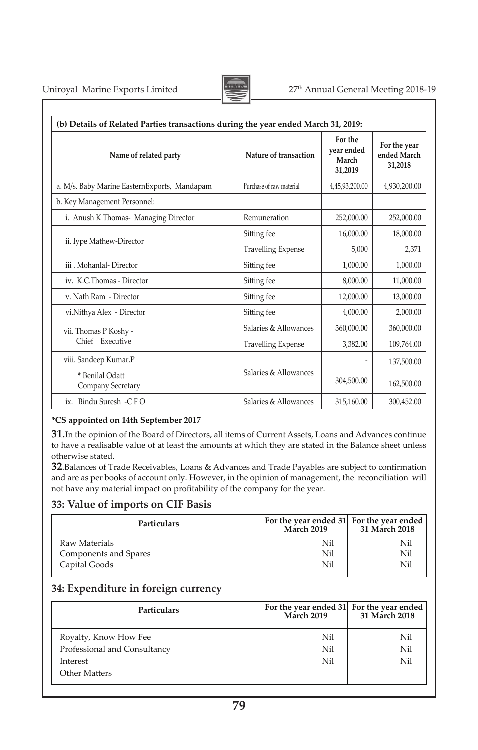

| (b) Details of Related Parties transactions during the year ended March 31, 2019: |                           |                                           |                                        |
|-----------------------------------------------------------------------------------|---------------------------|-------------------------------------------|----------------------------------------|
| Name of related party                                                             | Nature of transaction     | For the<br>vear ended<br>March<br>31,2019 | For the year<br>ended March<br>31,2018 |
| a. M/s. Baby Marine EasternExports, Mandapam                                      | Purchase of raw material  | 4,45,93,200.00                            | 4,930,200.00                           |
| b. Key Management Personnel:                                                      |                           |                                           |                                        |
| i. Anush K Thomas- Managing Director                                              | Remuneration              | 252,000.00                                | 252,000.00                             |
|                                                                                   | Sitting fee               | 16,000.00                                 | 18,000.00                              |
| ii. Iype Mathew-Director                                                          | <b>Travelling Expense</b> | 5,000                                     | 2,371                                  |
| iii. Mohanlal-Director                                                            | Sitting fee               | 1,000.00                                  | 1,000.00                               |
| iv. K.C.Thomas - Director                                                         | Sitting fee               | 8,000.00                                  | 11,000.00                              |
| v. Nath Ram - Director                                                            | Sitting fee               | 12,000.00                                 | 13,000.00                              |
| vi.Nithya Alex - Director                                                         | Sitting fee               | 4,000.00                                  | 2,000.00                               |
| vii. Thomas P Koshy -                                                             | Salaries & Allowances     | 360,000,00                                | 360,000.00                             |
| Chief Executive                                                                   | <b>Travelling Expense</b> | 3,382.00                                  | 109,764.00                             |
| viii. Sandeep Kumar.P                                                             |                           |                                           | 137,500.00                             |
| * Benilal Odatt<br>Company Secretary                                              | Salaries & Allowances     | 304,500.00                                | 162,500.00                             |
| ix. Bindu Suresh -CFO                                                             | Salaries & Allowances     | 315,160.00                                | 300,452.00                             |

#### **\*CS appointed on 14th September 2017**

**31**.In the opinion of the Board of Directors, all items of Current Assets, Loans and Advances continue to have a realisable value of at least the amounts at which they are stated in the Balance sheet unless otherwise stated.

**32**.Balances of Trade Receivables, Loans & Advances and Trade Payables are subject to confirmation and are as per books of account only. However, in the opinion of management, the reconciliation will not have any material impact on profitability of the company for the year.

#### **33: Value of imports on CIF Basis**

| Particulars           | For the year ended 31 For the year ended<br><b>March 2019</b> | 31 March 2018 |
|-----------------------|---------------------------------------------------------------|---------------|
| Raw Materials         | Nil                                                           | Nil           |
| Components and Spares | Nil                                                           | Nil           |
| Capital Goods         | Nil                                                           | Nil           |

#### **34: Expenditure in foreign currency**

| Particulars                  | For the year ended 31 For the year ended<br><b>March 2019</b> | 31 March 2018 |
|------------------------------|---------------------------------------------------------------|---------------|
| Royalty, Know How Fee        | Nil                                                           | Nil           |
| Professional and Consultancy | Nil                                                           | Nil           |
| Interest                     | Nil                                                           | Nil           |
| Other Matters                |                                                               |               |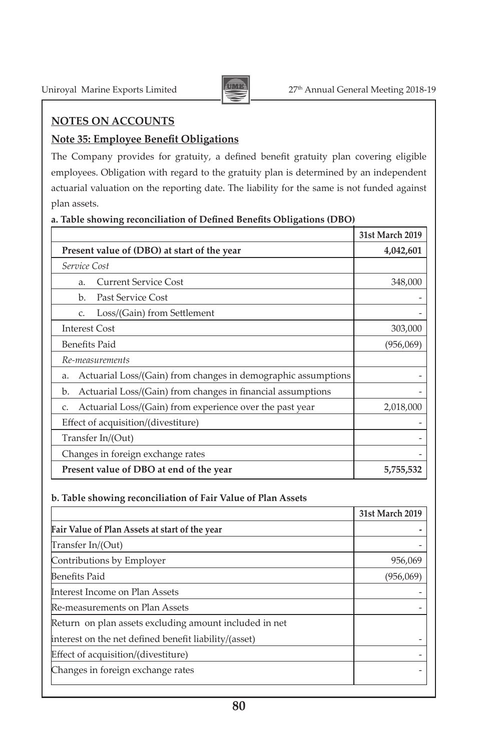

#### **NOTES ON ACCOUNTS**

#### **Note 35: Employee Benefit Obligations**

The Company provides for gratuity, a defined benefit gratuity plan covering eligible employees. Obligation with regard to the gratuity plan is determined by an independent actuarial valuation on the reporting date. The liability for the same is not funded against plan assets.

#### **a. Table showing reconciliation of Defined Benefits Obligations (DBO)**

|                                                                             | 31st March 2019 |
|-----------------------------------------------------------------------------|-----------------|
| Present value of (DBO) at start of the year                                 | 4,042,601       |
| Service Cost                                                                |                 |
| <b>Current Service Cost</b><br>a.                                           | 348,000         |
| b.<br>Past Service Cost                                                     |                 |
| Loss/(Gain) from Settlement<br>C.                                           |                 |
| <b>Interest Cost</b>                                                        | 303,000         |
| Benefits Paid                                                               | (956,069)       |
| Re-measurements                                                             |                 |
| Actuarial Loss/(Gain) from changes in demographic assumptions<br>a.         |                 |
| Actuarial Loss/(Gain) from changes in financial assumptions<br>b.           |                 |
| Actuarial Loss/(Gain) from experience over the past year<br>$\mathcal{C}$ . | 2,018,000       |
| Effect of acquisition/(divestiture)                                         |                 |
| Transfer In/(Out)                                                           |                 |
| Changes in foreign exchange rates                                           |                 |
| Present value of DBO at end of the year                                     | 5,755,532       |

#### **b. Table showing reconciliation of Fair Value of Plan Assets**

|                                                        | 31st March 2019 |
|--------------------------------------------------------|-----------------|
| Fair Value of Plan Assets at start of the year         |                 |
| Transfer In/(Out)                                      |                 |
| Contributions by Employer                              | 956,069         |
| Benefits Paid                                          | (956,069)       |
| Interest Income on Plan Assets                         |                 |
| Re-measurements on Plan Assets                         |                 |
| Return on plan assets excluding amount included in net |                 |
| interest on the net defined benefit liability/(asset)  |                 |
| Effect of acquisition/(divestiture)                    |                 |
| Changes in foreign exchange rates                      |                 |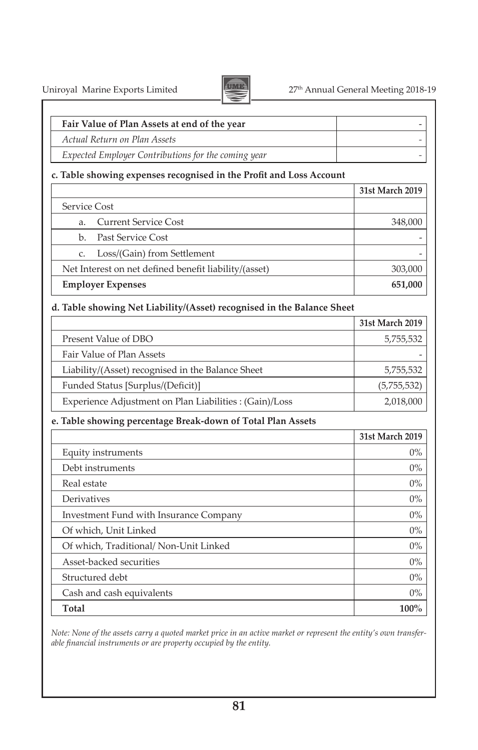

| Fair Value of Plan Assets at end of the year        |  |
|-----------------------------------------------------|--|
| Actual Return on Plan Assets                        |  |
| Expected Employer Contributions for the coming year |  |

#### **c. Table showing expenses recognised in the Profit and Loss Account**

|                                                       | 31st March 2019 |
|-------------------------------------------------------|-----------------|
| Service Cost                                          |                 |
| <b>Current Service Cost</b><br>a.                     | 348,000         |
| Past Service Cost<br>b.                               |                 |
| Loss/(Gain) from Settlement<br>C.                     |                 |
| Net Interest on net defined benefit liability/(asset) | 303,000         |
| <b>Employer Expenses</b>                              | 651,000         |

#### **d. Table showing Net Liability/(Asset) recognised in the Balance Sheet**

|                                                         | 31st March 2019 |
|---------------------------------------------------------|-----------------|
| Present Value of DBO                                    | 5,755,532       |
| Fair Value of Plan Assets                               |                 |
| Liability/(Asset) recognised in the Balance Sheet       | 5,755,532       |
| Funded Status [Surplus/(Deficit)]                       | (5,755,532)     |
| Experience Adjustment on Plan Liabilities : (Gain)/Loss | 2,018,000       |

#### **e. Table showing percentage Break-down of Total Plan Assets**

|                                        | 31st March 2019 |
|----------------------------------------|-----------------|
| Equity instruments                     | $0\%$           |
| Debt instruments                       | 0%              |
| Real estate                            | 0%              |
| Derivatives                            | 0%              |
| Investment Fund with Insurance Company | 0%              |
| Of which, Unit Linked                  | $0\%$           |
| Of which, Traditional/Non-Unit Linked  | $0\%$           |
| Asset-backed securities                | 0%              |
| Structured debt                        | 0%              |
| Cash and cash equivalents              | 0%              |
| Total                                  | 100%            |

*Note: None of the assets carry a quoted market price in an active market or represent the entity's own transferable financial instruments or are property occupied by the entity.*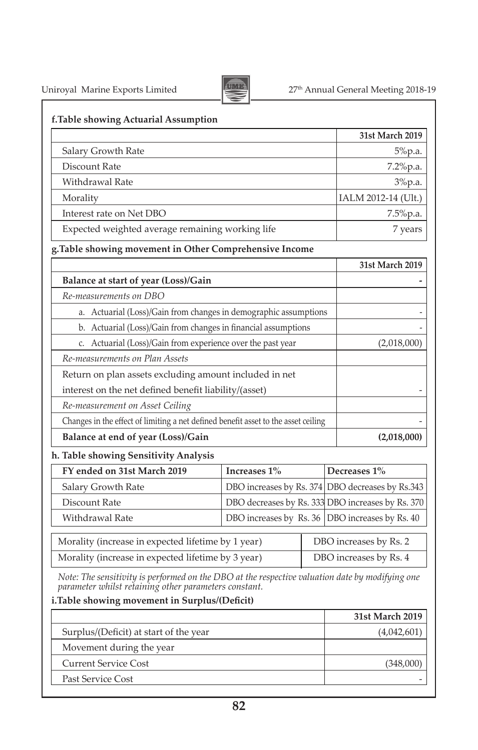

## Uniroyal Marine Exports Limited 2018-19 27<sup>th</sup> Annual General Meeting 2018-19

|                                                                                    | 31st March 2019          |
|------------------------------------------------------------------------------------|--------------------------|
| Salary Growth Rate                                                                 | 5%p.a.                   |
| Discount Rate                                                                      | 7.2%p.a.                 |
| Withdrawal Rate                                                                    | 3%p.a.                   |
| Morality                                                                           | IALM 2012-14 (Ult.)      |
| Interest rate on Net DBO                                                           | 7.5%p.a.                 |
| Expected weighted average remaining working life                                   | 7 years                  |
| g. Table showing movement in Other Comprehensive Income                            |                          |
|                                                                                    | 31st March 2019          |
| Balance at start of year (Loss)/Gain                                               |                          |
| Re-measurements on DBO                                                             |                          |
| a. Actuarial (Loss)/Gain from changes in demographic assumptions                   |                          |
| b. Actuarial (Loss)/Gain from changes in financial assumptions                     |                          |
| c. Actuarial (Loss)/Gain from experience over the past year                        | (2,018,000)              |
| Re-measurements on Plan Assets                                                     |                          |
| Return on plan assets excluding amount included in net                             |                          |
| interest on the net defined benefit liability/(asset)                              |                          |
| Re-measurement on Asset Ceiling                                                    |                          |
| Changes in the effect of limiting a net defined benefit asset to the asset ceiling |                          |
| Balance at end of year (Loss)/Gain                                                 | (2,018,000)              |
| h. Table showing Sensitivity Analysis                                              |                          |
| $T_{\text{eff}}$ = $\mu$ = $\mu$ = $\mu$ = $\sim$ 10/                              | $\mathbf{D}$ .<br>$-10/$ |

| FY ended on 31st March 2019                        | Increases $1\%$ | Decreases 1%                                      |
|----------------------------------------------------|-----------------|---------------------------------------------------|
| Salary Growth Rate                                 |                 | DBO increases by Rs. 374 DBO decreases by Rs.343  |
| Discount Rate                                      |                 | DBO decreases by Rs. 333 DBO increases by Rs. 370 |
| Withdrawal Rate                                    |                 | DBO increases by Rs. 36   DBO increases by Rs. 40 |
|                                                    |                 |                                                   |
| Morality (increase in expected lifetime by 1 year) |                 | DBO increases by Rs. 2                            |

*Note: The sensitivity is performed on the DBO at the respective valuation date by modifying one parameter whilst retaining other parameters constant.*

Morality (increase in expected lifetime by 3 year) DBO increases by Rs. 4

#### **i.Table showing movement in Surplus/(Deficit)**

|                                        | 31st March 2019 |
|----------------------------------------|-----------------|
| Surplus/(Deficit) at start of the year | (4,042,601      |
| Movement during the year               |                 |
| <b>Current Service Cost</b>            | (348,000)       |
| Past Service Cost                      |                 |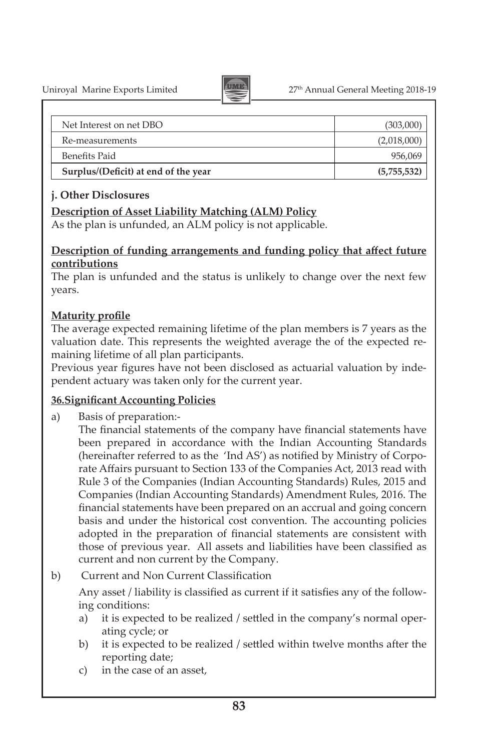Uniroyal Marine Exports Limited Annual General Meeting 2018-19



| Net Interest on net DBO              | (303,000)   |
|--------------------------------------|-------------|
| Re-measurements                      | (2,018,000) |
| Benefits Paid                        | 956,069     |
| Surplus/(Deficit) at end of the year | (5,755,532) |

#### **j. Other Disclosures**

#### **Description of Asset Liability Matching (ALM) Policy**

As the plan is unfunded, an ALM policy is not applicable.

#### **Description of funding arrangements and funding policy that affect future contributions**

The plan is unfunded and the status is unlikely to change over the next few years.

#### **Maturity profile**

The average expected remaining lifetime of the plan members is 7 years as the valuation date. This represents the weighted average the of the expected remaining lifetime of all plan participants.

Previous year figures have not been disclosed as actuarial valuation by independent actuary was taken only for the current year.

#### **36.Significant Accounting Policies**

a) Basis of preparation:-

 The financial statements of the company have financial statements have been prepared in accordance with the Indian Accounting Standards (hereinafter referred to as the 'Ind AS') as notified by Ministry of Corporate Affairs pursuant to Section 133 of the Companies Act, 2013 read with Rule 3 of the Companies (Indian Accounting Standards) Rules, 2015 and Companies (Indian Accounting Standards) Amendment Rules, 2016. The financial statements have been prepared on an accrual and going concern basis and under the historical cost convention. The accounting policies adopted in the preparation of financial statements are consistent with those of previous year. All assets and liabilities have been classified as current and non current by the Company.

b) Current and Non Current Classification

 Any asset / liability is classified as current if it satisfies any of the following conditions:

- a) it is expected to be realized / settled in the company's normal operating cycle; or
- b) it is expected to be realized / settled within twelve months after the reporting date;
- c) in the case of an asset,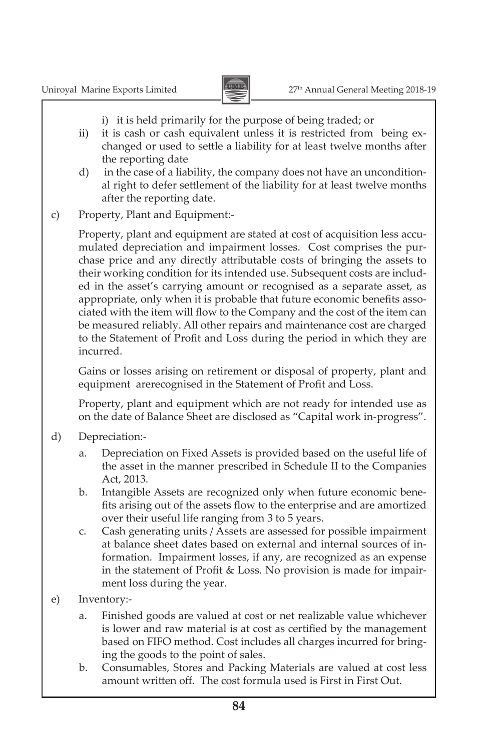

- i) it is held primarily for the purpose of being traded; or
- ii) it is cash or cash equivalent unless it is restricted from being exchanged or used to settle a liability for at least twelve months after the reporting date
- d) in the case of a liability, the company does not have an unconditional right to defer settlement of the liability for at least twelve months after the reporting date.
- c) Property, Plant and Equipment:-

 Property, plant and equipment are stated at cost of acquisition less accumulated depreciation and impairment losses. Cost comprises the purchase price and any directly attributable costs of bringing the assets to their working condition for its intended use. Subsequent costs are included in the asset's carrying amount or recognised as a separate asset, as appropriate, only when it is probable that future economic benefits associated with the item will flow to the Company and the cost of the item can be measured reliably. All other repairs and maintenance cost are charged to the Statement of Profit and Loss during the period in which they are incurred.

 Gains or losses arising on retirement or disposal of property, plant and equipment arerecognised in the Statement of Profit and Loss.

 Property, plant and equipment which are not ready for intended use as on the date of Balance Sheet are disclosed as "Capital work in-progress".

- d) Depreciation:
	- a. Depreciation on Fixed Assets is provided based on the useful life of the asset in the manner prescribed in Schedule II to the Companies Act, 2013.
	- b. Intangible Assets are recognized only when future economic benefits arising out of the assets flow to the enterprise and are amortized over their useful life ranging from 3 to 5 years.
	- c. Cash generating units / Assets are assessed for possible impairment at balance sheet dates based on external and internal sources of information. Impairment losses, if any, are recognized as an expense in the statement of Profit & Loss. No provision is made for impairment loss during the year.
- e) Inventory:
	- a. Finished goods are valued at cost or net realizable value whichever is lower and raw material is at cost as certified by the management based on FIFO method. Cost includes all charges incurred for bringing the goods to the point of sales.
	- b. Consumables, Stores and Packing Materials are valued at cost less amount written off. The cost formula used is First in First Out.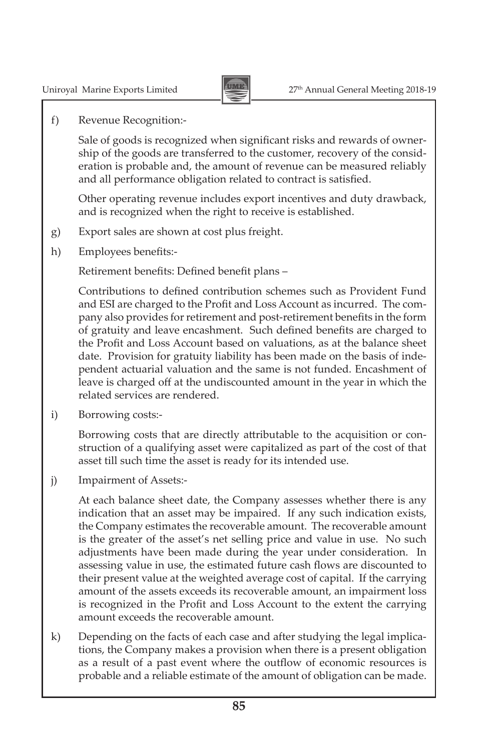

#### f) Revenue Recognition:-

 Sale of goods is recognized when significant risks and rewards of ownership of the goods are transferred to the customer, recovery of the consideration is probable and, the amount of revenue can be measured reliably and all performance obligation related to contract is satisfied.

 Other operating revenue includes export incentives and duty drawback, and is recognized when the right to receive is established.

- g) Export sales are shown at cost plus freight.
- h) Employees benefits:-

 Retirement benefits: Defined benefit plans –

 Contributions to defined contribution schemes such as Provident Fund and ESI are charged to the Profit and Loss Account as incurred. The company also provides for retirement and post-retirement benefits in the form of gratuity and leave encashment. Such defined benefits are charged to the Profit and Loss Account based on valuations, as at the balance sheet date. Provision for gratuity liability has been made on the basis of independent actuarial valuation and the same is not funded. Encashment of leave is charged off at the undiscounted amount in the year in which the related services are rendered.

i) Borrowing costs:-

 Borrowing costs that are directly attributable to the acquisition or construction of a qualifying asset were capitalized as part of the cost of that asset till such time the asset is ready for its intended use.

j) Impairment of Assets:-

 At each balance sheet date, the Company assesses whether there is any indication that an asset may be impaired. If any such indication exists, the Company estimates the recoverable amount. The recoverable amount is the greater of the asset's net selling price and value in use. No such adjustments have been made during the year under consideration. In assessing value in use, the estimated future cash flows are discounted to their present value at the weighted average cost of capital. If the carrying amount of the assets exceeds its recoverable amount, an impairment loss is recognized in the Profit and Loss Account to the extent the carrying amount exceeds the recoverable amount.

k) Depending on the facts of each case and after studying the legal implications, the Company makes a provision when there is a present obligation as a result of a past event where the outflow of economic resources is probable and a reliable estimate of the amount of obligation can be made.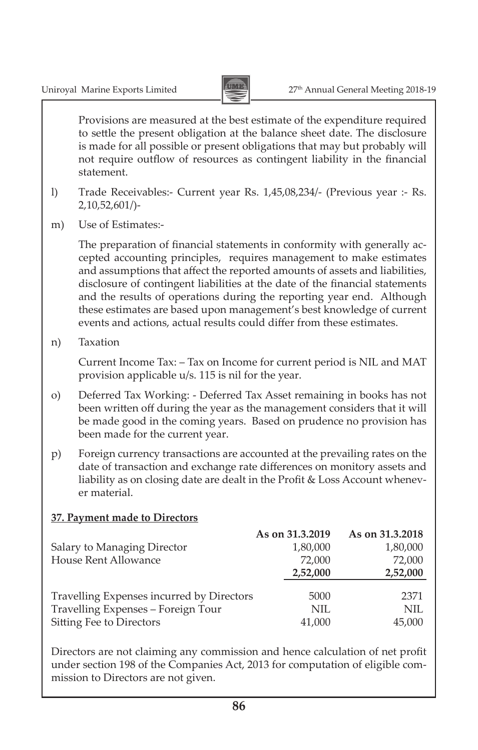

Provisions are measured at the best estimate of the expenditure required to settle the present obligation at the balance sheet date. The disclosure is made for all possible or present obligations that may but probably will not require outflow of resources as contingent liability in the financial statement.

- l) Trade Receivables:- Current year Rs. 1,45,08,234/- (Previous year :- Rs. 2,10,52,601/)-
- m) Use of Estimates:-

 The preparation of financial statements in conformity with generally accepted accounting principles, requires management to make estimates and assumptions that affect the reported amounts of assets and liabilities, disclosure of contingent liabilities at the date of the financial statements and the results of operations during the reporting year end. Although these estimates are based upon management's best knowledge of current events and actions, actual results could differ from these estimates.

n) Taxation

 Current Income Tax: – Tax on Income for current period is NIL and MAT provision applicable u/s. 115 is nil for the year.

- o) Deferred Tax Working: Deferred Tax Asset remaining in books has not been written off during the year as the management considers that it will be made good in the coming years. Based on prudence no provision has been made for the current year.
- p) Foreign currency transactions are accounted at the prevailing rates on the date of transaction and exchange rate differences on monitory assets and liability as on closing date are dealt in the Profit & Loss Account whenever material.

#### **37. Payment made to Directors**

|                                           | As on 31.3.2019 | As on 31.3.2018 |
|-------------------------------------------|-----------------|-----------------|
| Salary to Managing Director               | 1,80,000        | 1,80,000        |
| House Rent Allowance                      | 72,000          | 72,000          |
|                                           | 2,52,000        | 2,52,000        |
|                                           |                 |                 |
| Travelling Expenses incurred by Directors | 5000            | 2371            |
| Travelling Expenses - Foreign Tour        | NIL             | NIL             |
| Sitting Fee to Directors                  | 41,000          | 45,000          |

Directors are not claiming any commission and hence calculation of net profit under section 198 of the Companies Act, 2013 for computation of eligible commission to Directors are not given.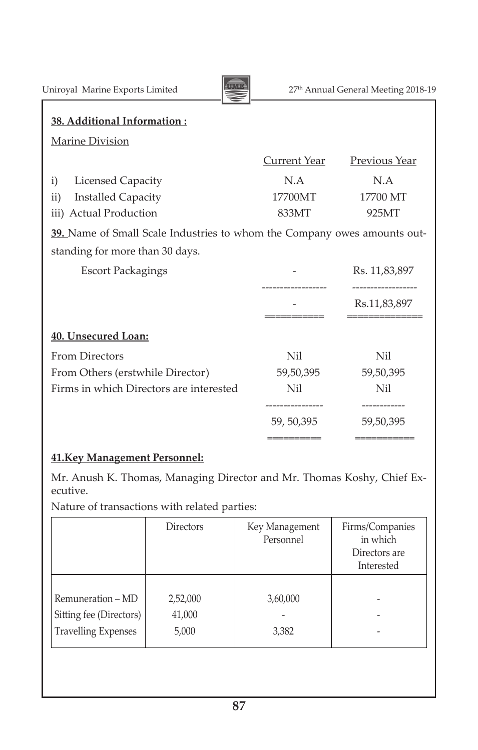

#### **38. Additional Information :**

Marine Division

|                                                                                 | Current Year | Previous Year |
|---------------------------------------------------------------------------------|--------------|---------------|
| Licensed Capacity<br>i)                                                         | N.A          | N.A           |
| <b>Installed Capacity</b><br>$\rm ii)$                                          | 17700MT      | 17700 MT      |
| iii) Actual Production                                                          | 833MT        | 925MT         |
| <b>39.</b> Name of Small Scale Industries to whom the Company owes amounts out- |              |               |

standing for more than 30 days.

| <b>Escort Packagings</b>                |             | Rs. 11,83,897 |
|-----------------------------------------|-------------|---------------|
|                                         |             |               |
|                                         |             | Rs.11,83,897  |
|                                         |             |               |
| 40. Unsecured Loan:                     |             |               |
| From Directors                          | Nil         | Nil           |
| From Others (erstwhile Director)        | 59,50,395   | 59,50,395     |
| Firms in which Directors are interested | Nil         | Nil           |
|                                         |             |               |
|                                         | 59, 50, 395 | 59,50,395     |
|                                         |             |               |

#### **41.Key Management Personnel:**

Mr. Anush K. Thomas, Managing Director and Mr. Thomas Koshy, Chief Executive.

Nature of transactions with related parties:

|                                                                            | <b>Directors</b>            | Key Management<br>Personnel | Firms/Companies<br>in which<br>Directors are<br>Interested |
|----------------------------------------------------------------------------|-----------------------------|-----------------------------|------------------------------------------------------------|
| Remuneration – MD<br>Sitting fee (Directors)<br><b>Travelling Expenses</b> | 2,52,000<br>41,000<br>5,000 | 3,60,000<br>3,382           |                                                            |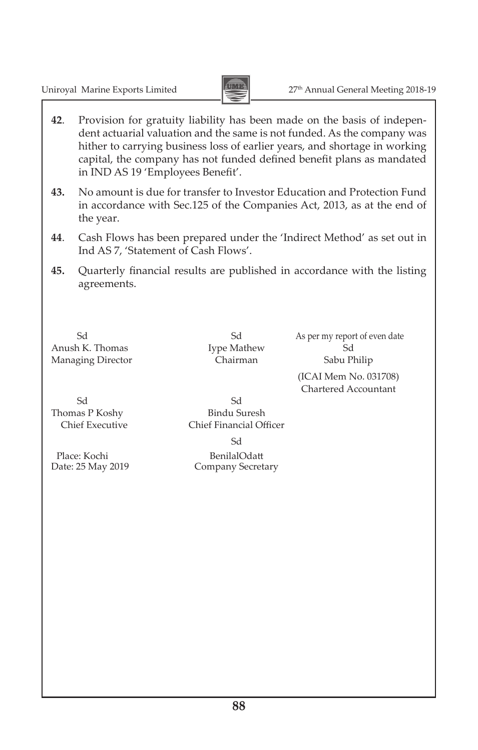

- **42**. Provision for gratuity liability has been made on the basis of independent actuarial valuation and the same is not funded. As the company was hither to carrying business loss of earlier years, and shortage in working capital, the company has not funded defined benefit plans as mandated in IND AS 19 'Employees Benefit'.
- **43.** No amount is due for transfer to Investor Education and Protection Fund in accordance with Sec.125 of the Companies Act, 2013, as at the end of the year.
- **44**. Cash Flows has been prepared under the 'Indirect Method' as set out in Ind AS 7, 'Statement of Cash Flows'.
- **45.** Quarterly financial results are published in accordance with the listing agreements.

Anush K. Thomas **Iype Mathew** Sd Managing Director **Chairman** Sabu Philip

Sd As per my report of even date

 (ICAI Mem No. 031708) Chartered Accountant

Sd Sd Thomas P Koshy Bindu Suresh 

Place: Kochi<br>
Date: 25 May 2019<br>
Company Secret

Chief Executive Chief Financial Officer 

en de la seu de la seu de la seu de la seu de la seu de la seu de la seu de la seu de la seu de la seu de la s

Company Secretary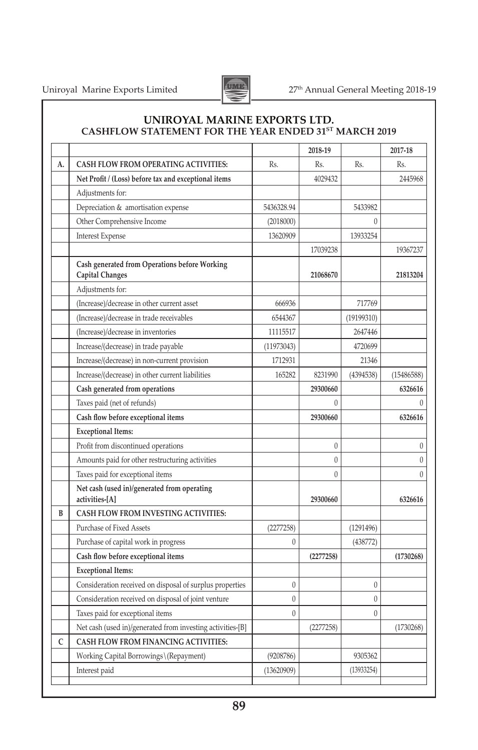Uniroyal Marine Exports Limited 27<sup>th</sup> Annual General Meeting 2018-19



#### **UNIROYAL MARINE EXPORTS LTD. CASHFLOW STATEMENT FOR THE YEAR ENDED 31ST MARCH 2019**

|              |                                                                         |                | 2018-19          |                | 2017-18    |
|--------------|-------------------------------------------------------------------------|----------------|------------------|----------------|------------|
| A.           | <b>CASH FLOW FROM OPERATING ACTIVITIES:</b>                             | Rs.            | Rs.              | Rs.            | Rs.        |
|              | Net Profit / (Loss) before tax and exceptional items                    |                | 4029432          |                | 2445968    |
|              | Adjustments for:                                                        |                |                  |                |            |
|              | Depreciation & amortisation expense                                     | 5436328.94     |                  | 5433982        |            |
|              | Other Comprehensive Income                                              | (2018000)      |                  | $\theta$       |            |
|              | <b>Interest Expense</b>                                                 | 13620909       |                  | 13933254       |            |
|              |                                                                         |                | 17039238         |                | 19367237   |
|              | Cash generated from Operations before Working<br><b>Capital Changes</b> |                | 21068670         |                | 21813204   |
|              | Adjustments for:                                                        |                |                  |                |            |
|              | (Increase)/decrease in other current asset                              | 666936         |                  | 717769         |            |
|              | (Increase)/decrease in trade receivables                                | 6544367        |                  | (19199310)     |            |
|              | (Increase)/decrease in inventories                                      | 11115517       |                  | 2647446        |            |
|              | Increase/(decrease) in trade payable                                    | (11973043)     |                  | 4720699        |            |
|              | Increase/(decrease) in non-current provision                            | 1712931        |                  | 21346          |            |
|              | Increase/(decrease) in other current liabilities                        | 165282         | 8231990          | (4394538)      | (15486588) |
|              | Cash generated from operations                                          |                | 29300660         |                | 6326616    |
|              | Taxes paid (net of refunds)                                             |                | $\theta$         |                | $\theta$   |
|              | Cash flow before exceptional items                                      |                | 29300660         |                | 6326616    |
|              | <b>Exceptional Items:</b>                                               |                |                  |                |            |
|              | Profit from discontinued operations                                     |                | $\theta$         |                | $\theta$   |
|              | Amounts paid for other restructuring activities                         |                | $\mathbf{0}$     |                | $\theta$   |
|              | Taxes paid for exceptional items                                        |                | $\boldsymbol{0}$ |                | $\theta$   |
|              | Net cash (used in)/generated from operating<br>activities-[A]           |                | 29300660         |                | 6326616    |
| B            | <b>CASH FLOW FROM INVESTING ACTIVITIES:</b>                             |                |                  |                |            |
|              | Purchase of Fixed Assets                                                | (2277258)      |                  | (1291496)      |            |
|              | Purchase of capital work in progress                                    | $\theta$       |                  | (438772)       |            |
|              | Cash flow before exceptional items                                      |                | (2277258)        |                | (1730268)  |
|              | <b>Exceptional Items:</b>                                               |                |                  |                |            |
|              | Consideration received on disposal of surplus properties                | $\theta$       |                  | $\theta$       |            |
|              | Consideration received on disposal of joint venture                     | $\overline{0}$ |                  | $\overline{0}$ |            |
|              | Taxes paid for exceptional items                                        | $\overline{0}$ |                  | $\overline{0}$ |            |
|              | Net cash (used in)/generated from investing activities-[B]              |                | (2277258)        |                | (1730268)  |
| $\mathsf{C}$ | CASH FLOW FROM FINANCING ACTIVITIES:                                    |                |                  |                |            |
|              | Working Capital Borrowings\(Repayment)                                  | (9208786)      |                  | 9305362        |            |
|              | Interest paid                                                           | (13620909)     |                  | (13933254)     |            |
|              |                                                                         |                |                  |                |            |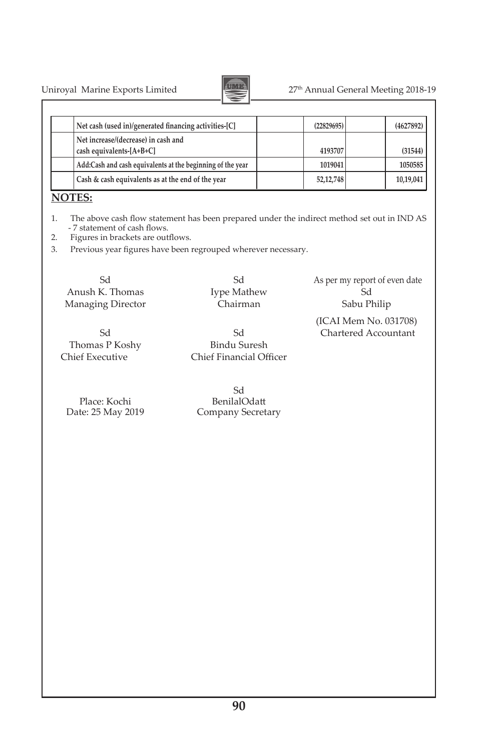

## Uniroyal Marine Exports Limited 2018-19 27<sup>th</sup> Annual General Meeting 2018-19

| Net cash (used in)/generated financing activities-[C]           | (22829695) | (4627892) |
|-----------------------------------------------------------------|------------|-----------|
| Net increase/(decrease) in cash and<br>cash equivalents-[A+B+C] | 4193707    | (31544)   |
| Add:Cash and cash equivalents at the beginning of the year      | 1019041    | 1050585   |
| Cash & cash equivalents as at the end of the year               | 52,12,748  | 10,19,041 |

#### **NOTES:**

1. The above cash flow statement has been prepared under the indirect method set out in IND AS - 7 statement of cash flows.

- 2. Figures in brackets are outflows.
- 3. Previous year figures have been regrouped wherever necessary.

Anush K. Thomas **Ivpe Mathew** Sd Managing Director **Chairman** Sabu Philip

Sd Sd As per my report of even date

Thomas P Koshy

Sd Sd Chartered Accountant<br>
Is P Koshy Bindu Suresh Chief Executive Chief Financial Officer 

Place: Kochi BenilalOdatt<br>
Date: 25 May 2019 Company Secret

<u>Sdeed</u> and the Solid Solid Solid Solid Solid Solid Solid Solid Solid Solid Solid Solid Solid Solid Solid Solid Solid Solid Solid Solid Solid Solid Solid Solid Solid Solid Solid Solid Solid Solid Solid Solid Solid Solid So Company Secretary (ICAI Mem No. 031708)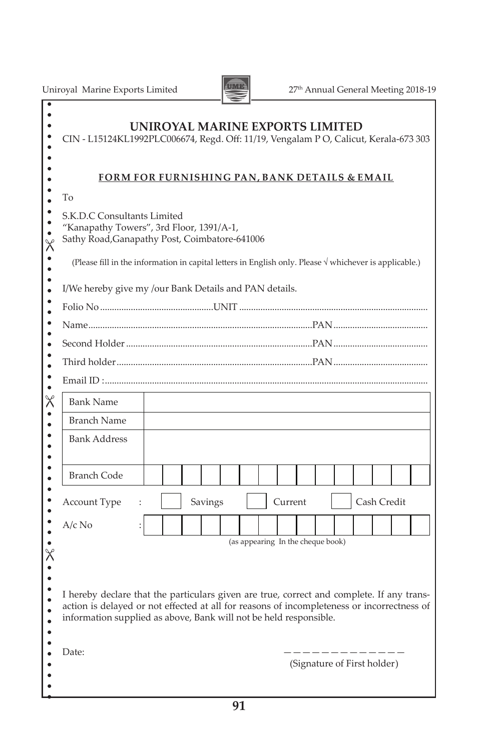Uniroyal Marine Exports Limited 27<sup>th</sup> Annual General Meeting 2018-19



| CIN - L15124KL1992PLC006674, Regd. Off: 11/19, Vengalam P O, Calicut, Kerala-673 303                                                                                                                                                                         | UNIROYAL MARINE EXPORTS LIMITED |  |         |                                   |         |  |                             |             |  |
|--------------------------------------------------------------------------------------------------------------------------------------------------------------------------------------------------------------------------------------------------------------|---------------------------------|--|---------|-----------------------------------|---------|--|-----------------------------|-------------|--|
| <b>FORM FOR FURNISHING PAN, BANK DETAILS &amp; EMAIL</b>                                                                                                                                                                                                     |                                 |  |         |                                   |         |  |                             |             |  |
| To                                                                                                                                                                                                                                                           |                                 |  |         |                                   |         |  |                             |             |  |
| S.K.D.C Consultants Limited<br>"Kanapathy Towers", 3rd Floor, 1391/A-1,<br>Sathy Road, Ganapathy Post, Coimbatore-641006                                                                                                                                     |                                 |  |         |                                   |         |  |                             |             |  |
| (Please fill in the information in capital letters in English only. Please $\sqrt{}$ whichever is applicable.)                                                                                                                                               |                                 |  |         |                                   |         |  |                             |             |  |
| I/We hereby give my /our Bank Details and PAN details.                                                                                                                                                                                                       |                                 |  |         |                                   |         |  |                             |             |  |
|                                                                                                                                                                                                                                                              |                                 |  |         |                                   |         |  |                             |             |  |
|                                                                                                                                                                                                                                                              |                                 |  |         |                                   |         |  |                             |             |  |
|                                                                                                                                                                                                                                                              |                                 |  |         |                                   |         |  |                             |             |  |
|                                                                                                                                                                                                                                                              |                                 |  |         |                                   |         |  |                             |             |  |
|                                                                                                                                                                                                                                                              |                                 |  |         |                                   |         |  |                             |             |  |
| <b>Bank Name</b>                                                                                                                                                                                                                                             |                                 |  |         |                                   |         |  |                             |             |  |
| <b>Branch Name</b>                                                                                                                                                                                                                                           |                                 |  |         |                                   |         |  |                             |             |  |
| <b>Bank Address</b>                                                                                                                                                                                                                                          |                                 |  |         |                                   |         |  |                             |             |  |
| <b>Branch Code</b>                                                                                                                                                                                                                                           |                                 |  |         |                                   |         |  |                             |             |  |
| Account Type                                                                                                                                                                                                                                                 |                                 |  | Savings |                                   | Current |  |                             | Cash Credit |  |
| $A/c$ No                                                                                                                                                                                                                                                     |                                 |  |         |                                   |         |  |                             |             |  |
|                                                                                                                                                                                                                                                              |                                 |  |         | (as appearing In the cheque book) |         |  |                             |             |  |
|                                                                                                                                                                                                                                                              |                                 |  |         |                                   |         |  |                             |             |  |
|                                                                                                                                                                                                                                                              |                                 |  |         |                                   |         |  |                             |             |  |
| I hereby declare that the particulars given are true, correct and complete. If any trans-<br>action is delayed or not effected at all for reasons of incompleteness or incorrectness of<br>information supplied as above, Bank will not be held responsible. |                                 |  |         |                                   |         |  |                             |             |  |
| Date:                                                                                                                                                                                                                                                        |                                 |  |         |                                   |         |  | (Signature of First holder) |             |  |
|                                                                                                                                                                                                                                                              |                                 |  |         |                                   |         |  |                             |             |  |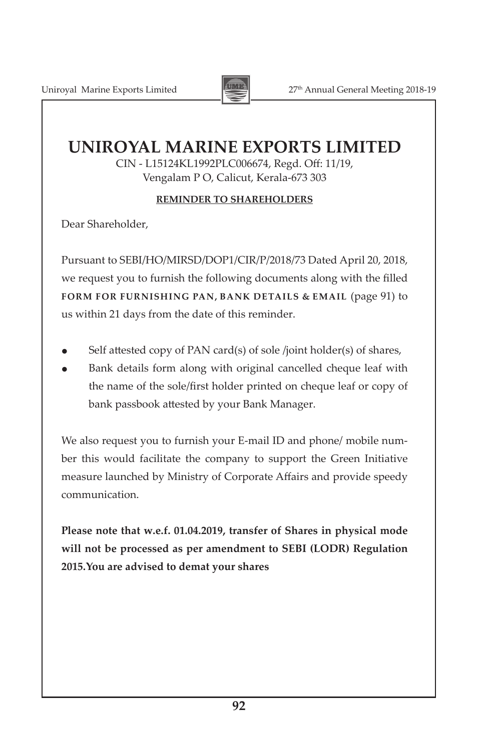

## **UNIROYAL MARINE EXPORTS LIMITED**

CIN - L15124KL1992PLC006674, Regd. Off: 11/19, Vengalam P O, Calicut, Kerala-673 303

#### **REMINDER TO SHAREHOLDERS**

Dear Shareholder,

Pursuant to SEBI/HO/MIRSD/DOP1/CIR/P/2018/73 Dated April 20, 2018, we request you to furnish the following documents along with the filled **FORM FOR FURNISHING PAN, BANK DETAILS & EMAIL** (page 91) to us within 21 days from the date of this reminder.

- Self attested copy of PAN card(s) of sole /joint holder(s) of shares,
- Bank details form along with original cancelled cheque leaf with the name of the sole/first holder printed on cheque leaf or copy of bank passbook attested by your Bank Manager.

We also request you to furnish your E-mail ID and phone/ mobile number this would facilitate the company to support the Green Initiative measure launched by Ministry of Corporate Affairs and provide speedy communication.

**Please note that w.e.f. 01.04.2019, transfer of Shares in physical mode will not be processed as per amendment to SEBI (LODR) Regulation 2015.You are advised to demat your shares**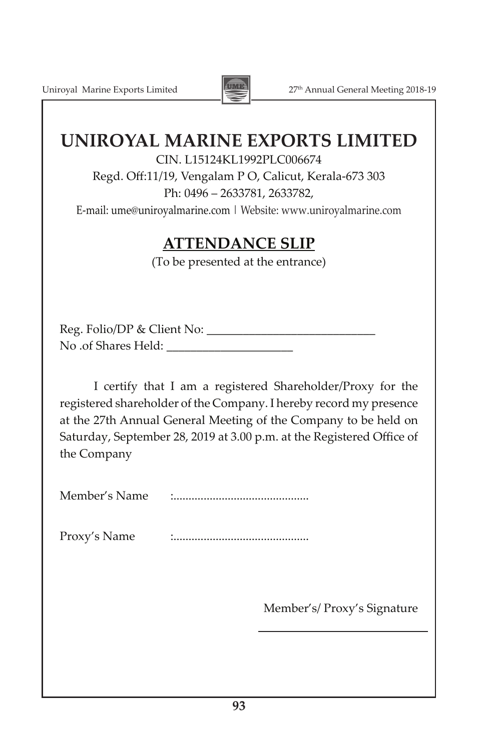

# **UNIROYAL MARINE EXPORTS LIMITED**

CIN. L15124KL1992PLC006674

Regd. Off:11/19, Vengalam P O, Calicut, Kerala-673 303 Ph: 0496 – 2633781, 2633782,

E-mail: ume@uniroyalmarine.com | Website: www.uniroyalmarine.com

## **ATTENDANCE SLIP**

(To be presented at the entrance)

| Reg. Folio/DP & Client No: |  |
|----------------------------|--|
| No .of Shares Held:        |  |

I certify that I am a registered Shareholder/Proxy for the registered shareholder of the Company. I hereby record my presence at the 27th Annual General Meeting of the Company to be held on Saturday, September 28, 2019 at 3.00 p.m. at the Registered Office of the Company

Member's Name :.............................................

Proxy's Name :.............................................

Member's/ Proxy's Signature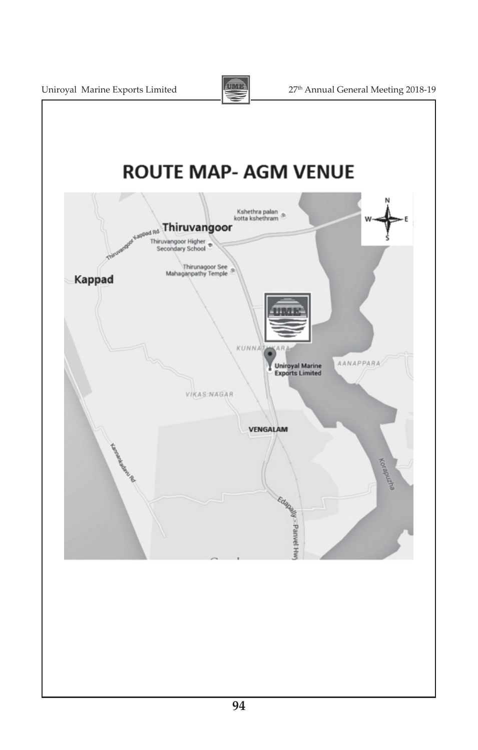

Uniroyal Marine Exports Limited 27<sup>th</sup> Annual General Meeting 2018-19

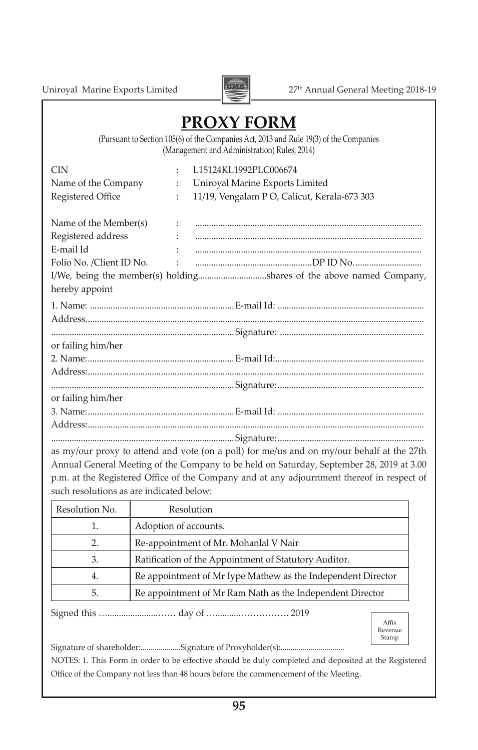

Uniroyal Marine Exports Limited Annual General Meeting 2018-19

# **PROXY FORM**

(Pursuant to Section 105(6) of the Companies Act, 2013 and Rule 19(3) of the Companies (Management and Administration) Rules, 2014)

CIN : L15124KL1992PLC006674 Name of the Company : Uniroyal Marine Exports Limited Registered Office : 11/19, Vengalam P O, Calicut, Kerala-673 303 Name of the Member(s) : ................................................................................................... Registered address : ................................................................................................... E-mail Id : ................................................................................................... Folio No. /Client ID No. : ...................................................DP ID No.............................. I/We, being the member(s) holding..............................shares of the above named Company, hereby appoint 1. Name: ...............................................................E-mail Id: ................................................................ Address.................................................................................................................................................... ................................................................................ Signature: ............................................................... or failing him/her 2. Name:................................................................E-mail Id:................................................................. Address:................................................................................................................................................... ................................................................................ Signature:................................................................ or failing him/her 3. Name:................................................................E-mail Id: ................................................................ Address:................................................................................................................................................... ................................................................................ Signature:................................................................ as my/our proxy to attend and vote (on a poll) for me/us and on my/our behalf at the 27th Annual General Meeting of the Company to be held on Saturday, September 28, 2019 at 3.00 p.m. at the Registered Office of the Company and at any adjournment thereof in respect of such resolutions as are indicated below:

| Resolution No. | Resolution                                                   |
|----------------|--------------------------------------------------------------|
|                | Adoption of accounts.                                        |
| 2.             | Re-appointment of Mr. Mohanlal V Nair                        |
| З.             | Ratification of the Appointment of Statutory Auditor.        |
| 4.             | Re appointment of Mr Iype Mathew as the Independent Director |
| 5.             | Re appointment of Mr Ram Nath as the Independent Director    |

Signed this …......................…… day of …...........……………. 2019

Affix Revenue Stamp

Signature of shareholder:....................Signature of Proxyholder(s):................................

NOTES: 1. This Form in order to be effective should be duly completed and deposited at the Registered Office of the Company not less than 48 hours before the commencement of the Meeting.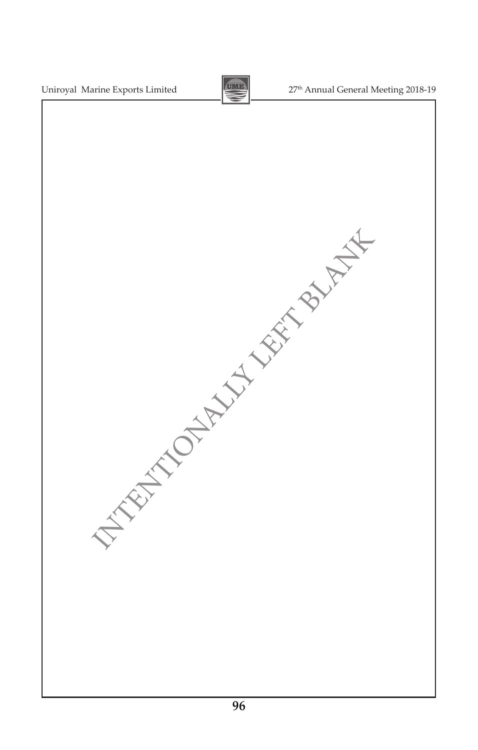